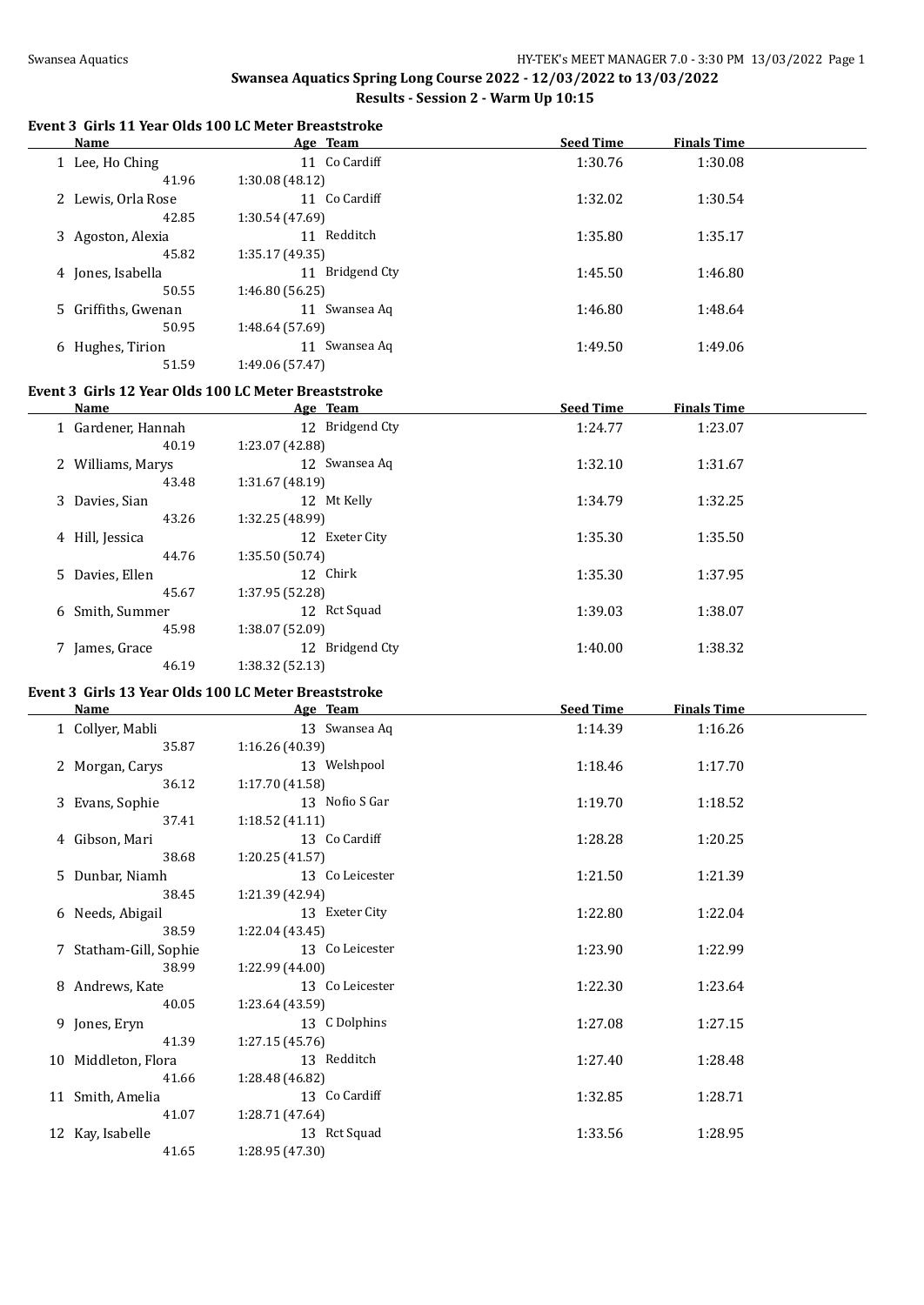#### **Event 3 Girls 11 Year Olds 100 LC Meter Breaststroke**

| <b>Name</b>                           | Age Team                                                         | <b>Seed Time</b> | <b>Finals Time</b> |  |
|---------------------------------------|------------------------------------------------------------------|------------------|--------------------|--|
| 1 Lee, Ho Ching<br>41.96              | 11 Co Cardiff<br>1:30.08 (48.12)                                 | 1:30.76          | 1:30.08            |  |
| 2 Lewis, Orla Rose<br>42.85           | 11 Co Cardiff<br>1:30.54 (47.69)                                 | 1:32.02          | 1:30.54            |  |
| 3 Agoston, Alexia                     | 11 Redditch                                                      | 1:35.80          | 1:35.17            |  |
| 45.82<br>4 Jones, Isabella            | 1:35.17 (49.35)<br>11 Bridgend Cty                               | 1:45.50          | 1:46.80            |  |
| 50.55<br>5 Griffiths, Gwenan<br>50.95 | 1:46.80 (56.25)<br>11 Swansea Aq<br>1:48.64 (57.69)              | 1:46.80          | 1:48.64            |  |
| 6 Hughes, Tirion<br>51.59             | 11 Swansea Aq<br>1:49.06 (57.47)                                 | 1:49.50          | 1:49.06            |  |
|                                       | Event 3 Girls 12 Year Olds 100 LC Meter Breaststroke             |                  |                    |  |
| Name                                  | Age Team                                                         | <b>Seed Time</b> | <b>Finals Time</b> |  |
| 1 Gardener, Hannah<br>40.19           | 12 Bridgend Cty<br>1:23.07 (42.88)                               | 1:24.77          | 1:23.07            |  |
| 2 Williams, Marys                     | 12 Swansea Aq                                                    | 1:32.10          | 1:31.67            |  |
| 43.48<br>3 Davies, Sian               | 1:31.67 (48.19)<br>12 Mt Kelly                                   | 1:34.79          | 1:32.25            |  |
| 43.26<br>4 Hill, Jessica              | 1:32.25 (48.99)<br>12 Exeter City                                | 1:35.30          | 1:35.50            |  |
| 44.76<br>5 Davies, Ellen              | 1:35.50(50.74)<br>12 Chirk                                       | 1:35.30          | 1:37.95            |  |
| 45.67<br>6 Smith, Summer              | 1:37.95 (52.28)<br>12 Rct Squad                                  | 1:39.03          | 1:38.07            |  |
| 45.98                                 | 1:38.07 (52.09)                                                  |                  |                    |  |
| 7 James, Grace<br>46.19               | 12 Bridgend Cty<br>1:38.32 (52.13)                               | 1:40.00          | 1:38.32            |  |
| Name                                  | Event 3 Girls 13 Year Olds 100 LC Meter Breaststroke<br>Age Team | <b>Seed Time</b> | <b>Finals Time</b> |  |
|                                       |                                                                  |                  |                    |  |
| 1 Collyer, Mabli<br>35.87             | 13 Swansea Aq<br>1:16.26 (40.39)                                 | 1:14.39          | 1:16.26            |  |
| 2 Morgan, Carys<br>36.12              | 13 Welshpool<br>1:17.70 (41.58)                                  | 1:18.46          | 1:17.70            |  |
| 3 Evans, Sophie<br>37.41              | 13 Nofio S Gar<br>1:18.52(41.11)                                 | 1:19.70          | 1:18.52            |  |
| 4 Gibson, Mari<br>38.68               | 13 Co Cardiff<br>1:20.25 (41.57)                                 | 1:28.28          | 1:20.25            |  |
| 5 Dunbar, Niamh<br>38.45              | 13 Co Leicester<br>1:21.39 (42.94)                               | 1:21.50          | 1:21.39            |  |
| 6 Needs, Abigail                      | 13 Exeter City                                                   | 1:22.80          | 1:22.04            |  |
| 38.59<br>7 Statham-Gill, Sophie       | 1:22.04 (43.45)<br>13 Co Leicester                               | 1:23.90          | 1:22.99            |  |
| 38.99<br>8 Andrews, Kate              | 1:22.99 (44.00)<br>13 Co Leicester                               | 1:22.30          | 1:23.64            |  |
| 40.05<br>9 Jones, Eryn                | 1:23.64 (43.59)<br>13 C Dolphins                                 | 1:27.08          | 1:27.15            |  |
| 41.39<br>10 Middleton, Flora          | 1:27.15(45.76)<br>13 Redditch                                    | 1:27.40          | 1:28.48            |  |
| 41.66<br>11 Smith, Amelia             | 1:28.48 (46.82)<br>13 Co Cardiff                                 | 1:32.85          | 1:28.71            |  |
| 41.07                                 | 1:28.71 (47.64)                                                  |                  |                    |  |
| 12 Kay, Isabelle<br>41.65             | 13 Rct Squad<br>1:28.95 (47.30)                                  | 1:33.56          | 1:28.95            |  |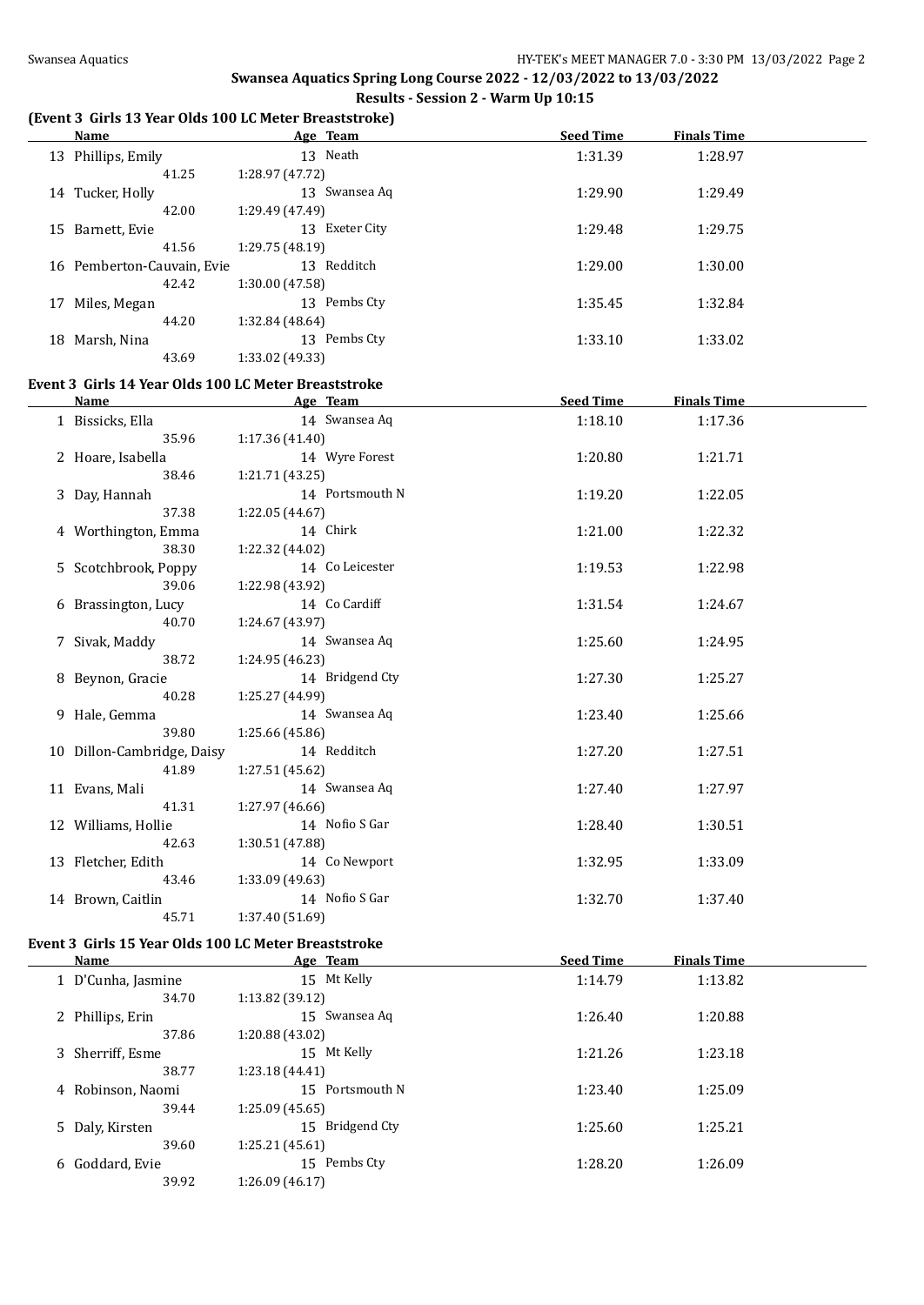#### **(Event 3 Girls 13 Year Olds 100 LC Meter Breaststroke)**

| <b>Name</b>                                                  | Age Team        | <b>Seed Time</b> | <b>Finals Time</b> |  |
|--------------------------------------------------------------|-----------------|------------------|--------------------|--|
| 13 Phillips, Emily                                           | 13 Neath        | 1:31.39          | 1:28.97            |  |
| 41.25                                                        | 1:28.97 (47.72) |                  |                    |  |
| 14 Tucker, Holly                                             | 13 Swansea Aq   | 1:29.90          | 1:29.49            |  |
| 42.00                                                        | 1:29.49 (47.49) |                  |                    |  |
| 15 Barnett, Evie                                             | 13 Exeter City  | 1:29.48          | 1:29.75            |  |
| 41.56                                                        | 1:29.75 (48.19) |                  |                    |  |
| 16 Pemberton-Cauvain, Evie                                   | 13 Redditch     | 1:29.00          | 1:30.00            |  |
| 42.42                                                        | 1:30.00 (47.58) |                  |                    |  |
| 17 Miles, Megan                                              | 13 Pembs Cty    | 1:35.45          | 1:32.84            |  |
| 44.20                                                        | 1:32.84 (48.64) |                  |                    |  |
| 18 Marsh, Nina                                               | 13 Pembs Cty    | 1:33.10          | 1:33.02            |  |
| 43.69                                                        | 1:33.02 (49.33) |                  |                    |  |
|                                                              |                 |                  |                    |  |
| Event 3 Girls 14 Year Olds 100 LC Meter Breaststroke<br>Name | Age Team        | <b>Seed Time</b> | <b>Finals Time</b> |  |
| 1 Bissicks, Ella                                             | 14 Swansea Aq   | 1:18.10          | 1:17.36            |  |
| 35.96                                                        | 1:17.36(41.40)  |                  |                    |  |
| 2 Hoare, Isabella                                            | 14 Wyre Forest  | 1:20.80          |                    |  |
| 38.46                                                        | 1:21.71 (43.25) |                  | 1:21.71            |  |
| 3 Day, Hannah                                                | 14 Portsmouth N | 1:19.20          | 1:22.05            |  |
| 37.38                                                        | 1:22.05 (44.67) |                  |                    |  |
| 4 Worthington, Emma                                          | 14 Chirk        | 1:21.00          | 1:22.32            |  |
| 38.30                                                        | 1:22.32 (44.02) |                  |                    |  |
| 5 Scotchbrook, Poppy                                         | 14 Co Leicester | 1:19.53          | 1:22.98            |  |
| 39.06                                                        | 1:22.98 (43.92) |                  |                    |  |
| 6 Brassington, Lucy                                          | 14 Co Cardiff   | 1:31.54          | 1:24.67            |  |
| 40.70                                                        | 1:24.67 (43.97) |                  |                    |  |
| 7 Sivak, Maddy                                               | 14 Swansea Aq   | 1:25.60          | 1:24.95            |  |
| 38.72                                                        | 1:24.95 (46.23) |                  |                    |  |
| 8 Beynon, Gracie                                             | 14 Bridgend Cty | 1:27.30          | 1:25.27            |  |
| 40.28                                                        | 1:25.27 (44.99) |                  |                    |  |
| 9 Hale, Gemma                                                | 14 Swansea Aq   | 1:23.40          | 1:25.66            |  |
| 39.80                                                        | 1:25.66 (45.86) |                  |                    |  |
| 10 Dillon-Cambridge, Daisy                                   | 14 Redditch     | 1:27.20          | 1:27.51            |  |
| 41.89                                                        | 1:27.51 (45.62) |                  |                    |  |
| 11 Evans, Mali                                               | 14 Swansea Aq   | 1:27.40          | 1:27.97            |  |
| 41.31                                                        | 1:27.97 (46.66) |                  |                    |  |
| 12 Williams, Hollie                                          | 14 Nofio S Gar  | 1:28.40          | 1:30.51            |  |
| 42.63                                                        | 1:30.51(47.88)  |                  |                    |  |
| 13 Fletcher, Edith                                           | 14 Co Newport   | 1:32.95          | 1:33.09            |  |
| 43.46                                                        | 1:33.09 (49.63) |                  |                    |  |
| 14 Brown, Caitlin                                            | 14 Nofio S Gar  | 1:32.70          | 1:37.40            |  |
| 45.71                                                        | 1:37.40 (51.69) |                  |                    |  |
|                                                              |                 |                  |                    |  |
| Event 3 Girls 15 Year Olds 100 LC Meter Breaststroke         |                 |                  |                    |  |

| Name               | Age Team        | <b>Seed Time</b> | <b>Finals Time</b> |  |
|--------------------|-----------------|------------------|--------------------|--|
| 1 D'Cunha, Jasmine | 15 Mt Kelly     | 1:14.79          | 1:13.82            |  |
| 34.70              | 1:13.82 (39.12) |                  |                    |  |
| 2 Phillips, Erin   | 15 Swansea Aq   | 1:26.40          | 1:20.88            |  |
| 37.86              | 1:20.88 (43.02) |                  |                    |  |
| 3 Sherriff, Esme   | 15 Mt Kelly     | 1:21.26          | 1:23.18            |  |
| 38.77              | 1:23.18 (44.41) |                  |                    |  |
| 4 Robinson, Naomi  | 15 Portsmouth N | 1:23.40          | 1:25.09            |  |
| 39.44              | 1:25.09(45.65)  |                  |                    |  |
| 5 Daly, Kirsten    | 15 Bridgend Cty | 1:25.60          | 1:25.21            |  |
| 39.60              | 1:25.21(45.61)  |                  |                    |  |
| Goddard, Evie<br>6 | Pembs Cty<br>15 | 1:28.20          | 1:26.09            |  |
| 39.92              | 1:26.09 (46.17) |                  |                    |  |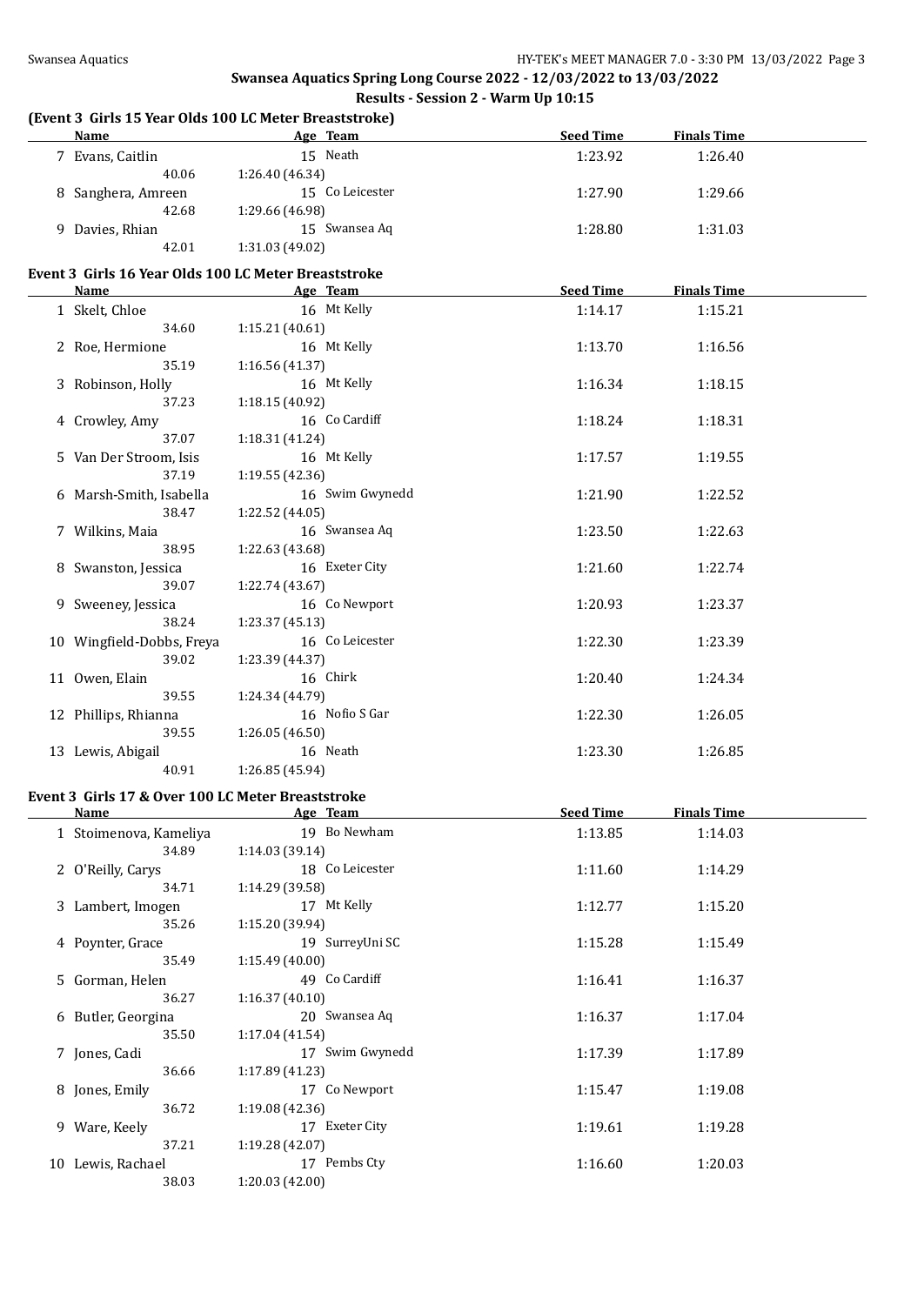# **(Event 3 Girls 15 Year Olds 100 LC Meter Breaststroke)**

| Name                                                 | Age Team        | <b>Seed Time</b> | <b>Finals Time</b> |  |
|------------------------------------------------------|-----------------|------------------|--------------------|--|
| 7 Evans, Caitlin                                     | 15 Neath        | 1:23.92          | 1:26.40            |  |
| 40.06                                                | 1:26.40 (46.34) |                  |                    |  |
| 8 Sanghera, Amreen                                   | 15 Co Leicester | 1:27.90          | 1:29.66            |  |
| 42.68                                                | 1:29.66 (46.98) |                  |                    |  |
| 9 Davies, Rhian                                      | 15 Swansea Aq   | 1:28.80          | 1:31.03            |  |
| 42.01                                                | 1:31.03 (49.02) |                  |                    |  |
| Event 3 Girls 16 Year Olds 100 LC Meter Breaststroke |                 |                  |                    |  |
| <b>Name</b>                                          | Age Team        | <b>Seed Time</b> | <b>Finals Time</b> |  |
| 1 Skelt, Chloe                                       | 16 Mt Kelly     | 1:14.17          | 1:15.21            |  |
| 34.60                                                | 1:15.21(40.61)  |                  |                    |  |
| 2 Roe, Hermione                                      | 16 Mt Kelly     | 1:13.70          | 1:16.56            |  |
| 35.19                                                | 1:16.56 (41.37) |                  |                    |  |
| 3 Robinson, Holly                                    | 16 Mt Kelly     | 1:16.34          | 1:18.15            |  |
| 37.23                                                | 1:18.15 (40.92) |                  |                    |  |
| 4 Crowley, Amy                                       | 16 Co Cardiff   | 1:18.24          | 1:18.31            |  |
| 37.07                                                | 1:18.31 (41.24) |                  |                    |  |
| 5 Van Der Stroom, Isis                               | 16 Mt Kelly     | 1:17.57          | 1:19.55            |  |
| 37.19                                                | 1:19.55(42.36)  |                  |                    |  |
| 6 Marsh-Smith, Isabella                              | 16 Swim Gwynedd | 1:21.90          | 1:22.52            |  |
| 38.47                                                | 1:22.52 (44.05) |                  |                    |  |
| 7 Wilkins, Maia                                      | 16 Swansea Aq   | 1:23.50          | 1:22.63            |  |
| 38.95                                                | 1:22.63 (43.68) |                  |                    |  |
| 8 Swanston, Jessica                                  | 16 Exeter City  | 1:21.60          | 1:22.74            |  |
| 39.07                                                | 1:22.74 (43.67) |                  |                    |  |
| 9 Sweeney, Jessica                                   | 16 Co Newport   | 1:20.93          | 1:23.37            |  |
| 38.24                                                | 1:23.37(45.13)  |                  |                    |  |
| 10 Wingfield-Dobbs, Freya                            | 16 Co Leicester | 1:22.30          | 1:23.39            |  |
| 39.02                                                | 1:23.39 (44.37) |                  |                    |  |

11 Owen, Elain 1:20.40 1:24.34

12 Phillips, Rhianna 16 Nofio S Gar 1:22.30 1:26.05

13 Lewis, Abigail 16 Neath 16 20 1:23.30 1:26.85

#### **Event 3 Girls 17 & Over 100 LC Meter Breaststroke**

39.55 1:24.34 (44.79)

39.55 1:26.05 (46.50)

40.91 1:26.85 (45.94)

| <b>Name</b>            |                 | Age Team        | <b>Seed Time</b> | <b>Finals Time</b> |  |
|------------------------|-----------------|-----------------|------------------|--------------------|--|
| 1 Stoimenova, Kameliya |                 | 19 Bo Newham    | 1:13.85          | 1:14.03            |  |
| 34.89                  | 1:14.03(39.14)  |                 |                  |                    |  |
| 2 O'Reilly, Carys      |                 | 18 Co Leicester | 1:11.60          | 1:14.29            |  |
| 34.71                  | 1:14.29(39.58)  |                 |                  |                    |  |
| 3 Lambert, Imogen      |                 | 17 Mt Kelly     | 1:12.77          | 1:15.20            |  |
| 35.26                  | 1:15.20 (39.94) |                 |                  |                    |  |
| 4 Poynter, Grace       |                 | 19 SurreyUni SC | 1:15.28          | 1:15.49            |  |
| 35.49                  | 1:15.49(40.00)  |                 |                  |                    |  |
| 5 Gorman, Helen        |                 | 49 Co Cardiff   | 1:16.41          | 1:16.37            |  |
| 36.27                  | 1:16.37(40.10)  |                 |                  |                    |  |
| 6 Butler, Georgina     |                 | 20 Swansea Aq   | 1:16.37          | 1:17.04            |  |
| 35.50                  | 1:17.04(41.54)  |                 |                  |                    |  |
| 7 Jones, Cadi          |                 | 17 Swim Gwynedd | 1:17.39          | 1:17.89            |  |
| 36.66                  | 1:17.89(41.23)  |                 |                  |                    |  |
| 8 Jones, Emily         |                 | 17 Co Newport   | 1:15.47          | 1:19.08            |  |
| 36.72                  | 1:19.08(42.36)  |                 |                  |                    |  |
| 9 Ware, Keely          |                 | 17 Exeter City  | 1:19.61          | 1:19.28            |  |
| 37.21                  | 1:19.28(42.07)  |                 |                  |                    |  |
| 10 Lewis, Rachael      |                 | 17 Pembs Cty    | 1:16.60          | 1:20.03            |  |
| 38.03                  | 1:20.03(42.00)  |                 |                  |                    |  |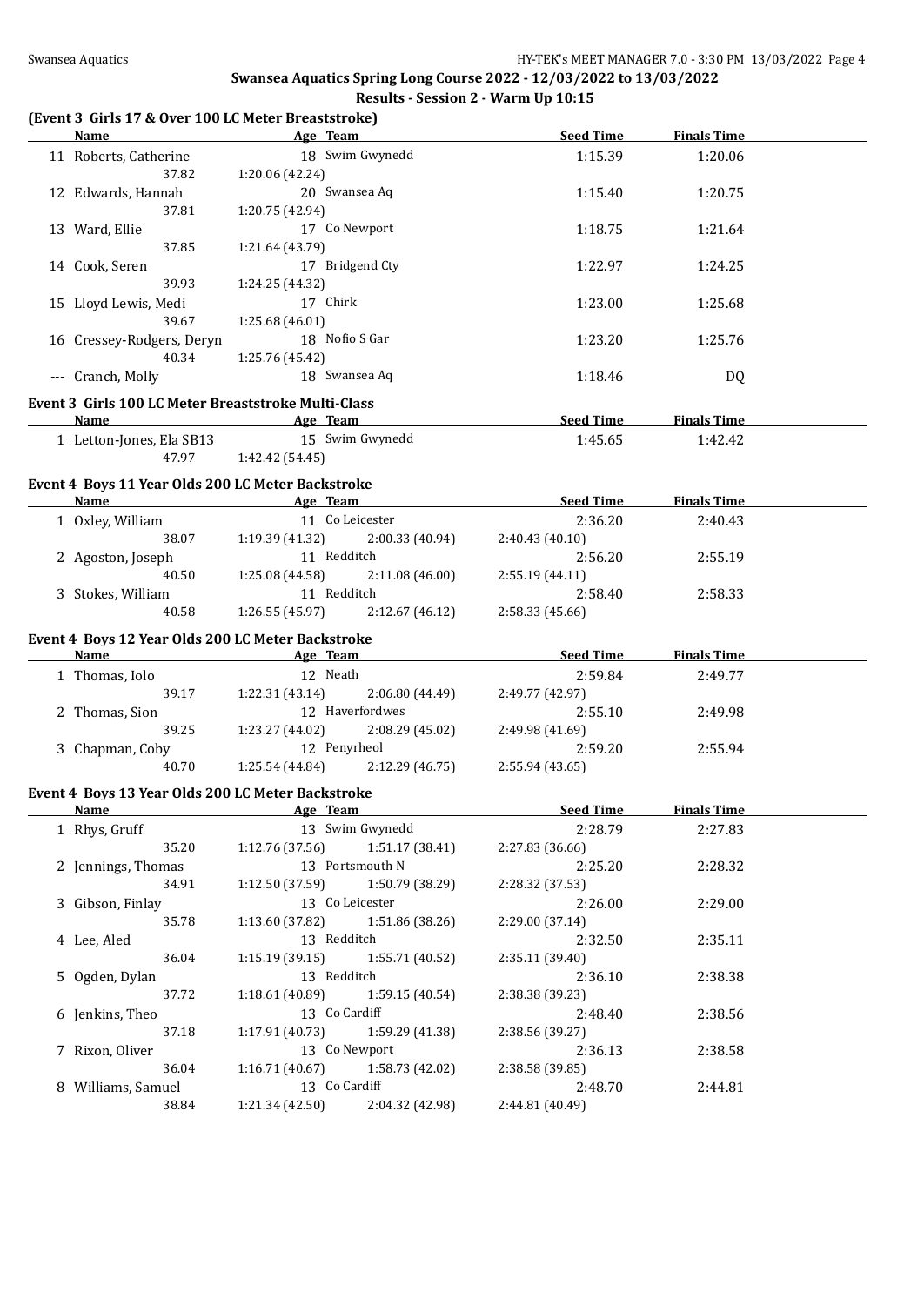#### **(Event 3 Girls 17 & Over 100 LC Meter Breaststroke)**

| Name                                                | Age Team                              |                 | <b>Seed Time</b>           | <b>Finals Time</b> |  |
|-----------------------------------------------------|---------------------------------------|-----------------|----------------------------|--------------------|--|
| 11 Roberts, Catherine                               |                                       | 18 Swim Gwynedd | 1:15.39                    | 1:20.06            |  |
| 37.82                                               | 1:20.06 (42.24)                       |                 |                            |                    |  |
| 12 Edwards, Hannah                                  | 20 Swansea Aq                         |                 | 1:15.40                    | 1:20.75            |  |
| 37.81                                               | 1:20.75 (42.94)                       |                 |                            |                    |  |
| 13 Ward, Ellie                                      | 17 Co Newport                         |                 | 1:18.75                    | 1:21.64            |  |
| 37.85                                               | 1:21.64 (43.79)                       |                 |                            |                    |  |
| 14 Cook, Seren                                      | 17 Bridgend Cty                       |                 | 1:22.97                    | 1:24.25            |  |
| 39.93                                               | 1:24.25 (44.32)                       |                 |                            |                    |  |
| 15 Lloyd Lewis, Medi                                | 17 Chirk                              |                 | 1:23.00                    | 1:25.68            |  |
| 39.67                                               | 1:25.68 (46.01)                       |                 |                            |                    |  |
|                                                     | 18 Nofio S Gar                        |                 |                            |                    |  |
| 16 Cressey-Rodgers, Deryn                           |                                       |                 | 1:23.20                    | 1:25.76            |  |
| 40.34                                               | 1:25.76 (45.42)                       |                 |                            |                    |  |
| --- Cranch, Molly                                   | 18 Swansea Aq                         |                 | 1:18.46                    | DQ                 |  |
| Event 3 Girls 100 LC Meter Breaststroke Multi-Class |                                       |                 |                            |                    |  |
| Name                                                | <b>Example 2018 Age Team</b>          |                 | Seed Time                  | <b>Finals Time</b> |  |
| 1 Letton-Jones, Ela SB13 15 Swim Gwynedd            |                                       |                 | 1:45.65                    | 1:42.42            |  |
|                                                     | 47.97 1:42.42 (54.45)                 |                 |                            |                    |  |
|                                                     |                                       |                 |                            |                    |  |
| Event 4 Boys 11 Year Olds 200 LC Meter Backstroke   |                                       |                 |                            |                    |  |
| Name                                                | <b>Example 2018</b> Age Team          |                 | <b>Seed Time</b>           | <b>Finals Time</b> |  |
| 1 Oxley, William                                    | 11 Co Leicester                       |                 | 2:36.20                    | 2:40.43            |  |
|                                                     | 38.07 1:19.39 (41.32) 2:00.33 (40.94) |                 | 2:40.43(40.10)             |                    |  |
| 2 Agoston, Joseph                                   | 11 Redditch                           |                 | 2:56.20                    | 2:55.19            |  |
| 40.50                                               | $1:25.08(44.58)$ $2:11.08(46.00)$     |                 | 2:55.19 (44.11)            |                    |  |
| 3 Stokes, William                                   | 11 Redditch                           |                 | 2:58.40                    | 2:58.33            |  |
| 40.58                                               | $1:26.55(45.97)$ $2:12.67(46.12)$     |                 | 2:58.33 (45.66)            |                    |  |
| Event 4 Boys 12 Year Olds 200 LC Meter Backstroke   |                                       |                 |                            |                    |  |
|                                                     |                                       |                 |                            |                    |  |
|                                                     |                                       |                 |                            |                    |  |
| <b>Name</b>                                         | and the same state of the Age Team    |                 | Seed Time                  | <b>Finals Time</b> |  |
| 1 Thomas, Iolo                                      | 12 Neath                              |                 | 2:59.84                    | 2:49.77            |  |
| 39.17                                               | 1:22.31(43.14)                        | 2:06.80 (44.49) | 2:49.77 (42.97)            |                    |  |
| 2 Thomas, Sion                                      | 12 Haverfordwes                       |                 | 2:55.10                    | 2:49.98            |  |
| 39.25                                               | 1:23.27 (44.02)                       | 2:08.29 (45.02) | 2:49.98 (41.69)            |                    |  |
| 3 Chapman, Coby                                     | 12 Penyrheol                          |                 | 2:59.20                    | 2:55.94            |  |
| 40.70                                               | $1:25.54(44.84)$ $2:12.29(46.75)$     |                 | 2:55.94(43.65)             |                    |  |
| Event 4 Boys 13 Year Olds 200 LC Meter Backstroke   |                                       |                 |                            |                    |  |
| Name                                                | <b>Example 2</b> Separate 2 Age Team  |                 | <b>Seed Time</b>           | <b>Finals Time</b> |  |
| 1 Rhys, Gruff                                       |                                       | 13 Swim Gwynedd | 2:28.79                    | 2:27.83            |  |
| 35.20                                               | 1:12.76 (37.56)                       | 1:51.17(38.41)  | 2:27.83 (36.66)            |                    |  |
| 2 Jennings, Thomas                                  | 13 Portsmouth N                       |                 | 2:25.20                    | 2:28.32            |  |
| 34.91                                               | 1:12.50 (37.59)                       | 1:50.79 (38.29) | 2:28.32 (37.53)            |                    |  |
|                                                     | 13 Co Leicester                       |                 |                            |                    |  |
| 3 Gibson, Finlay                                    | 1:13.60(37.82)                        |                 | 2:26.00                    | 2:29.00            |  |
| 35.78                                               |                                       | 1:51.86 (38.26) | 2:29.00 (37.14)            |                    |  |
| 4 Lee, Aled                                         | 13 Redditch                           |                 | 2:32.50                    | 2:35.11            |  |
| 36.04                                               | 1:15.19(39.15)                        | 1:55.71 (40.52) | 2:35.11 (39.40)            |                    |  |
| 5 Ogden, Dylan                                      | 13 Redditch                           |                 | 2:36.10                    | 2:38.38            |  |
| 37.72                                               | 1:18.61(40.89)                        | 1:59.15 (40.54) | 2:38.38 (39.23)            |                    |  |
| 6 Jenkins, Theo                                     | 13 Co Cardiff                         |                 | 2:48.40                    | 2:38.56            |  |
| 37.18                                               | 1:17.91(40.73)                        | 1:59.29 (41.38) | 2:38.56 (39.27)            |                    |  |
| 7 Rixon, Oliver                                     | 13 Co Newport                         |                 | 2:36.13                    | 2:38.58            |  |
| 36.04                                               | 1:16.71 (40.67)                       | 1:58.73 (42.02) | 2:38.58 (39.85)            |                    |  |
| 8 Williams, Samuel<br>38.84                         | 13 Co Cardiff<br>1:21.34(42.50)       | 2:04.32 (42.98) | 2:48.70<br>2:44.81 (40.49) | 2:44.81            |  |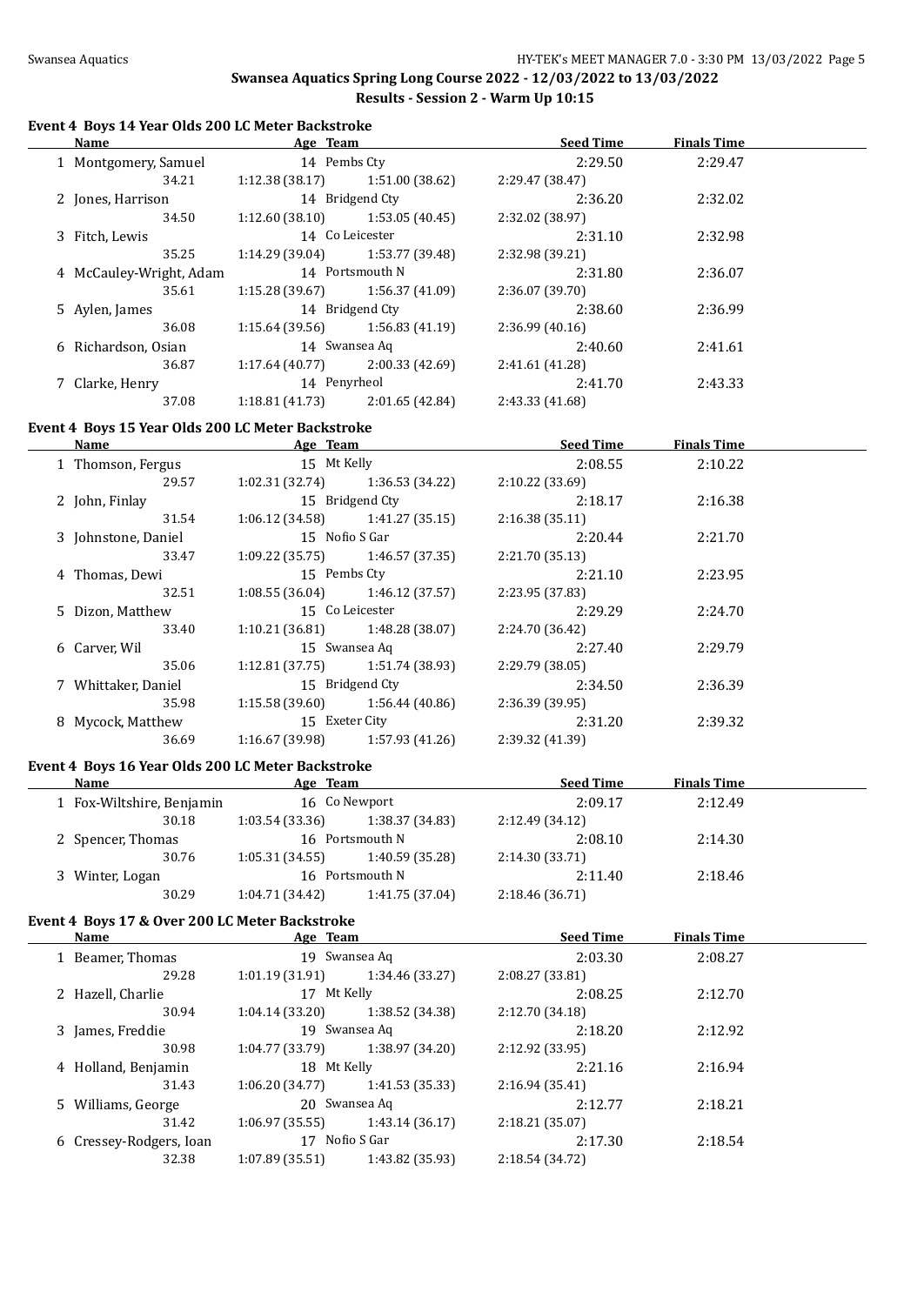#### **Event 4 Boys 14 Year Olds 200 LC Meter Backstroke**

| Name |                         | Age Team        |                 | <b>Seed Time</b> | <b>Finals Time</b> |  |
|------|-------------------------|-----------------|-----------------|------------------|--------------------|--|
|      | 1 Montgomery, Samuel    | 14 Pembs Ctv    |                 | 2:29.50          | 2:29.47            |  |
|      | 34.21                   | 1:12.38 (38.17) | 1:51.00 (38.62) | 2:29.47 (38.47)  |                    |  |
|      | 2 Jones, Harrison       |                 | 14 Bridgend Cty | 2:36.20          | 2:32.02            |  |
|      | 34.50                   | 1:12.60 (38.10) | 1:53.05 (40.45) | 2:32.02 (38.97)  |                    |  |
|      | 3 Fitch, Lewis          |                 | 14 Co Leicester | 2:31.10          | 2:32.98            |  |
|      | 35.25                   | 1:14.29 (39.04) | 1:53.77 (39.48) | 2:32.98 (39.21)  |                    |  |
|      | 4 McCauley-Wright, Adam |                 | 14 Portsmouth N | 2:31.80          | 2:36.07            |  |
|      | 35.61                   | 1:15.28 (39.67) | 1:56.37 (41.09) | 2:36.07 (39.70)  |                    |  |
|      | 5 Aylen, James          |                 | 14 Bridgend Cty | 2:38.60          | 2:36.99            |  |
|      | 36.08                   | 1:15.64 (39.56) | 1:56.83(41.19)  | 2:36.99(40.16)   |                    |  |
|      | 6 Richardson, Osian     |                 | 14 Swansea Aq   | 2:40.60          | 2:41.61            |  |
|      | 36.87                   | 1:17.64(40.77)  | 2:00.33(42.69)  | 2:41.61 (41.28)  |                    |  |
|      | 7 Clarke, Henry         | 14 Penyrheol    |                 | 2:41.70          | 2:43.33            |  |
|      | 37.08                   | 1:18.81(41.73)  | 2:01.65(42.84)  | 2:43.33 (41.68)  |                    |  |

#### **Event 4 Boys 15 Year Olds 200 LC Meter Backstroke**

| Name                | Age Team                          |                                   | <b>Seed Time</b> | <b>Finals Time</b> |  |
|---------------------|-----------------------------------|-----------------------------------|------------------|--------------------|--|
| 1 Thomson, Fergus   |                                   | 15 Mt Kelly                       |                  | 2:10.22            |  |
| 29.57               |                                   | $1:02.31(32.74)$ $1:36.53(34.22)$ | 2:10.22(33.69)   |                    |  |
| 2 John, Finlay      |                                   | 15 Bridgend Cty                   | 2:18.17          | 2:16.38            |  |
| 31.54               |                                   | $1:06.12(34.58)$ $1:41.27(35.15)$ | 2:16.38(35.11)   |                    |  |
| 3 Johnstone, Daniel | 15 Nofio S Gar                    |                                   | 2:20.44          | 2:21.70            |  |
| 33.47               |                                   | $1:09.22(35.75)$ $1:46.57(37.35)$ | 2:21.70(35.13)   |                    |  |
| 4 Thomas, Dewi      | 15 Pembs Cty                      |                                   | 2:21.10          | 2:23.95            |  |
| 32.51               |                                   | $1:08.55(36.04)$ $1:46.12(37.57)$ | 2:23.95 (37.83)  |                    |  |
| 5 Dizon, Matthew    |                                   | 15 Co Leicester                   | 2:29.29          | 2:24.70            |  |
| 33.40               |                                   | $1:10.21(36.81)$ $1:48.28(38.07)$ | 2:24.70 (36.42)  |                    |  |
| 6 Carver, Wil       | 15 Swansea Aq                     |                                   | 2:27.40          | 2:29.79            |  |
| 35.06               |                                   | $1:12.81(37.75)$ $1:51.74(38.93)$ | 2:29.79(38.05)   |                    |  |
| 7 Whittaker, Daniel |                                   | 15 Bridgend Cty                   | 2:34.50          | 2:36.39            |  |
| 35.98               | $1:15.58(39.60)$ $1:56.44(40.86)$ |                                   | 2:36.39(39.95)   |                    |  |
| 8 Mycock, Matthew   | 15 Exeter City                    |                                   | 2:31.20          | 2:39.32            |  |
| 36.69               | 1:16.67 (39.98)                   | 1:57.93 (41.26)                   | 2:39.32 (41.39)  |                    |  |
|                     |                                   |                                   |                  |                    |  |

## **Event 4 Boys 16 Year Olds 200 LC Meter Backstroke**

| Name                      | Age Team        |                 | <b>Seed Time</b> | <b>Finals Time</b> |  |
|---------------------------|-----------------|-----------------|------------------|--------------------|--|
| 1 Fox-Wiltshire, Benjamin |                 | 16 Co Newport   | 2:09.17          | 2:12.49            |  |
| 30.18                     | 1:03.54(33.36)  | 1:38.37 (34.83) | 2:12.49 (34.12)  |                    |  |
| 2 Spencer, Thomas         |                 | 16 Portsmouth N | 2:08.10          | 2:14.30            |  |
| 30.76                     | 1:05.31(34.55)  | 1:40.59 (35.28) | 2:14.30 (33.71)  |                    |  |
| 3 Winter, Logan           | 16              | Portsmouth N    | 2:11.40          | 2:18.46            |  |
| 30.29                     | 1:04.71 (34.42) | 1:41.75 (37.04) | 2:18.46(36.71)   |                    |  |

# **Event 4 Boys 17 & Over 200 LC Meter Backstroke**

| Name                    | Age Team        |                 | <b>Seed Time</b> | <b>Finals Time</b> |  |
|-------------------------|-----------------|-----------------|------------------|--------------------|--|
| 1 Beamer, Thomas        |                 | 19 Swansea Aq   | 2:03.30          | 2:08.27            |  |
| 29.28                   | 1:01.19(31.91)  | 1:34.46 (33.27) | 2:08.27 (33.81)  |                    |  |
| 2 Hazell, Charlie       | 17 Mt Kelly     |                 | 2:08.25          | 2:12.70            |  |
| 30.94                   | 1:04.14(33.20)  | 1:38.52 (34.38) | 2:12.70 (34.18)  |                    |  |
| 3 James, Freddie        |                 | 19 Swansea Aq   | 2:18.20          | 2:12.92            |  |
| 30.98                   | 1:04.77(33.79)  | 1:38.97 (34.20) | 2:12.92 (33.95)  |                    |  |
| 4 Holland, Benjamin     | 18 Mt Kelly     |                 | 2:21.16          | 2:16.94            |  |
| 31.43                   | 1:06.20(34.77)  | 1:41.53(35.33)  | 2:16.94(35.41)   |                    |  |
| 5 Williams, George      |                 | 20 Swansea Aq   | 2:12.77          | 2:18.21            |  |
| 31.42                   | 1:06.97(35.55)  | 1:43.14(36.17)  | 2:18.21 (35.07)  |                    |  |
| 6 Cressey-Rodgers, Ioan | 17              | Nofio S Gar     | 2:17.30          | 2:18.54            |  |
| 32.38                   | 1:07.89 (35.51) | 1:43.82 (35.93) | 2:18.54 (34.72)  |                    |  |
|                         |                 |                 |                  |                    |  |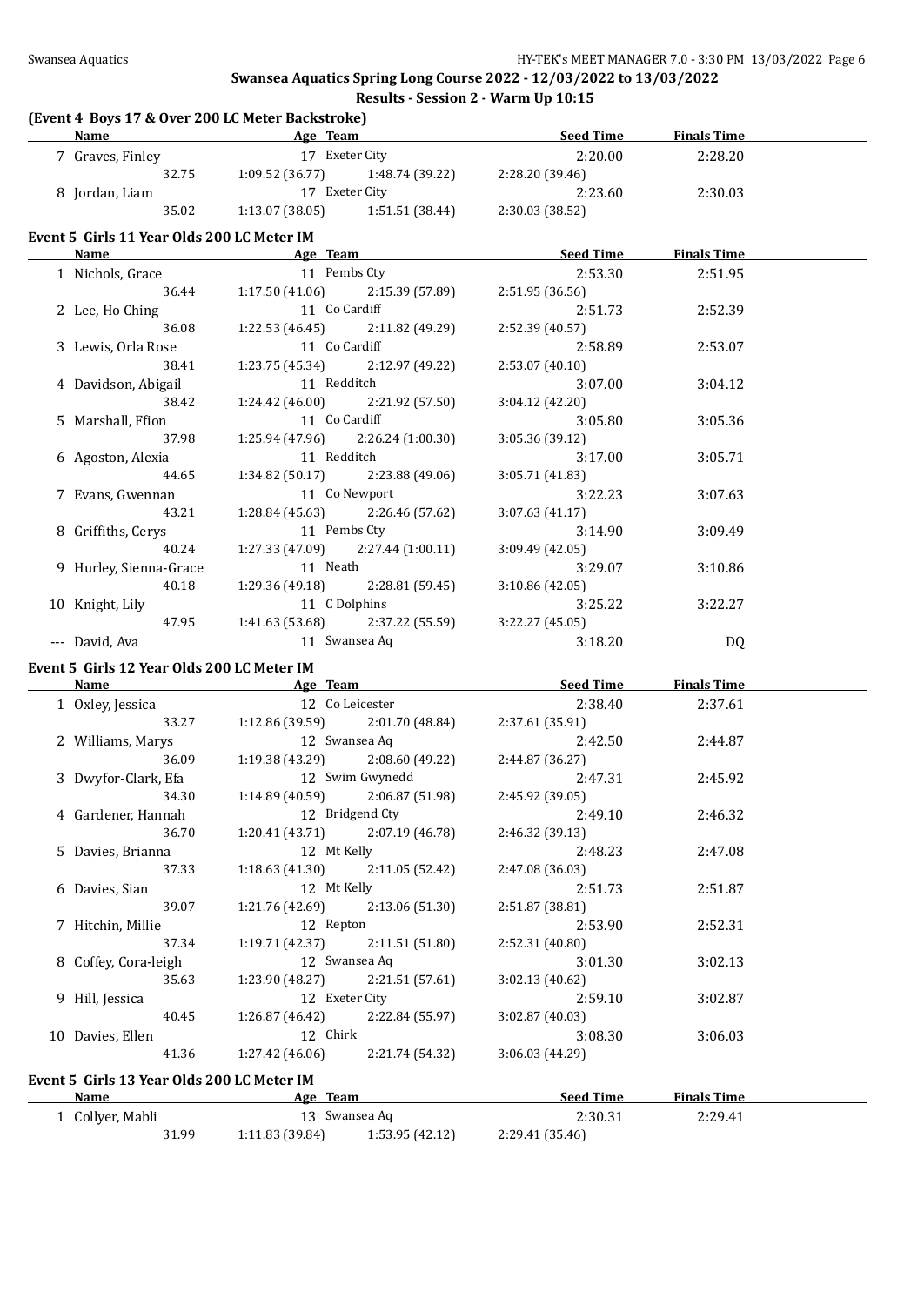#### **(Event 4 Boys 17 & Over 200 LC Meter Backstroke)**

| <b>Name</b>                                | <b>Example 2018 Age Team</b>                                                                                         | Seed Time        | <b>Finals Time</b> |  |
|--------------------------------------------|----------------------------------------------------------------------------------------------------------------------|------------------|--------------------|--|
| 7 Graves, Finley                           | 17 Exeter City                                                                                                       | 2:20.00          | 2:28.20            |  |
| 32.75                                      | $1:09.52(36.77)$ $1:48.74(39.22)$                                                                                    | 2:28.20 (39.46)  |                    |  |
| 8 Jordan, Liam                             | 17 Exeter City                                                                                                       | 2:23.60          | 2:30.03            |  |
| 35.02                                      | $1:13.07(38.05)$ $1:51.51(38.44)$                                                                                    | 2:30.03 (38.52)  |                    |  |
|                                            |                                                                                                                      |                  |                    |  |
| Event 5 Girls 11 Year Olds 200 LC Meter IM |                                                                                                                      |                  |                    |  |
| <b>Name</b>                                | <b>Example 20 Age Team Age Team Age Team Age Team Age Team Age Team Age Team Age Team Age Team Age Team Age Team</b> |                  |                    |  |
| 1 Nichols, Grace                           | 11 Pembs Cty                                                                                                         | 2:53.30          | 2:51.95            |  |
| 36.44                                      | 1:17.50(41.06)<br>2:15.39 (57.89)                                                                                    | 2:51.95 (36.56)  |                    |  |
| 2 Lee, Ho Ching                            | 11 Co Cardiff                                                                                                        | 2:51.73          | 2:52.39            |  |
| 36.08                                      | 1:22.53 (46.45)<br>2:11.82 (49.29)                                                                                   | 2:52.39 (40.57)  |                    |  |
| 3 Lewis, Orla Rose                         | 11 Co Cardiff                                                                                                        | 2:58.89          | 2:53.07            |  |
| 38.41                                      | $1:23.75(45.34)$ $2:12.97(49.22)$                                                                                    | 2:53.07(40.10)   |                    |  |
| 4 Davidson, Abigail                        | 11 Redditch                                                                                                          | 3:07.00          | 3:04.12            |  |
| 38.42                                      | 1:24.42 (46.00)<br>2:21.92 (57.50)                                                                                   | 3:04.12 (42.20)  |                    |  |
| 5 Marshall, Ffion                          | 11 Co Cardiff                                                                                                        | 3:05.80          | 3:05.36            |  |
| 37.98                                      | 1:25.94 (47.96)<br>2:26.24 (1:00.30)                                                                                 | 3:05.36 (39.12)  |                    |  |
|                                            | 11 Redditch                                                                                                          | 3:17.00          | 3:05.71            |  |
| 6 Agoston, Alexia                          |                                                                                                                      |                  |                    |  |
| 44.65                                      | 1:34.82 (50.17)<br>2:23.88 (49.06)                                                                                   | 3:05.71 (41.83)  |                    |  |
| 7 Evans, Gwennan                           | 11 Co Newport                                                                                                        | 3:22.23          | 3:07.63            |  |
| 43.21                                      | 1:28.84(45.63)<br>2:26.46 (57.62)                                                                                    | 3:07.63(41.17)   |                    |  |
| 8 Griffiths, Cerys                         | 11 Pembs Cty                                                                                                         | 3:14.90          | 3:09.49            |  |
| 40.24                                      | $1:27.33(47.09)$ $2:27.44(1:00.11)$                                                                                  | 3:09.49(42.05)   |                    |  |
| 9 Hurley, Sienna-Grace                     | 11 Neath                                                                                                             | 3:29.07          | 3:10.86            |  |
| 40.18                                      | 1:29.36 (49.18)<br>2:28.81 (59.45)                                                                                   | 3:10.86(42.05)   |                    |  |
| 10 Knight, Lily                            | 11 C Dolphins                                                                                                        | 3:25.22          | 3:22.27            |  |
| 47.95                                      | $1:41.63(53.68)$ $2:37.22(55.59)$                                                                                    | 3:22.27 (45.05)  |                    |  |
| --- David, Ava                             | 11 Swansea Aq                                                                                                        | 3:18.20          | DQ                 |  |
|                                            |                                                                                                                      |                  |                    |  |
| Event 5 Girls 12 Year Olds 200 LC Meter IM |                                                                                                                      |                  |                    |  |
| <b>Name</b>                                | <b>Example 2018 Age Team Age Team Seed Time Seed Time</b>                                                            |                  | <b>Finals Time</b> |  |
| 1 Oxley, Jessica                           | 12 Co Leicester                                                                                                      | 2:38.40          | 2:37.61            |  |
| 33.27                                      | 1:12.86 (39.59) 2:01.70 (48.84)                                                                                      | 2:37.61 (35.91)  |                    |  |
| 2 Williams, Marys                          | 12 Swansea Aq                                                                                                        | 2:42.50          | 2:44.87            |  |
| 36.09                                      | $1:19.38(43.29)$ $2:08.60(49.22)$                                                                                    | 2:44.87 (36.27)  |                    |  |
| 3 Dwyfor-Clark, Efa                        | 12 Swim Gwynedd                                                                                                      | 2:47.31          | 2:45.92            |  |
| 34.30                                      | $1:14.89(40.59)$ $2:06.87(51.98)$                                                                                    | 2:45.92 (39.05)  |                    |  |
| 4 Gardener, Hannah                         | 12 Bridgend Cty                                                                                                      | 2:49.10          | 2:46.32            |  |
| 36.70                                      | 2:07.19 (46.78)<br>1:20.41 (43.71)                                                                                   | 2:46.32 (39.13)  |                    |  |
| 5 Davies, Brianna                          | 12 Mt Kelly                                                                                                          | 2:48.23          | 2:47.08            |  |
| 37.33                                      | 1:18.63(41.30)<br>2:11.05 (52.42)                                                                                    | 2:47.08 (36.03)  |                    |  |
| 6 Davies, Sian                             | 12 Mt Kelly                                                                                                          | 2:51.73          | 2:51.87            |  |
| 39.07                                      | 2:13.06 (51.30)<br>1:21.76 (42.69)                                                                                   | 2:51.87 (38.81)  |                    |  |
|                                            |                                                                                                                      |                  |                    |  |
| 7 Hitchin, Millie                          | 12 Repton                                                                                                            | 2:53.90          | 2:52.31            |  |
| 37.34                                      | 1:19.71(42.37)<br>2:11.51(51.80)                                                                                     | 2:52.31 (40.80)  |                    |  |
| 8 Coffey, Cora-leigh                       | 12 Swansea Aq                                                                                                        | 3:01.30          | 3:02.13            |  |
| 35.63                                      | 2:21.51 (57.61)<br>1:23.90 (48.27)                                                                                   | 3:02.13 (40.62)  |                    |  |
| 9 Hill, Jessica                            | 12 Exeter City                                                                                                       | 2:59.10          | 3:02.87            |  |
| 40.45                                      | 2:22.84 (55.97)<br>1:26.87 (46.42)                                                                                   | 3:02.87 (40.03)  |                    |  |
| 10 Davies, Ellen                           | 12 Chirk                                                                                                             | 3:08.30          | 3:06.03            |  |
| 41.36                                      | 1:27.42(46.06)<br>2:21.74 (54.32)                                                                                    | 3:06.03 (44.29)  |                    |  |
| Event 5 Girls 13 Year Olds 200 LC Meter IM |                                                                                                                      |                  |                    |  |
| <b>Name</b>                                | Age Team                                                                                                             | <b>Seed Time</b> | <b>Finals Time</b> |  |
|                                            | 13 Swansea Aq                                                                                                        |                  |                    |  |
| 1 Collyer, Mabli                           |                                                                                                                      | 2:30.31          | 2:29.41            |  |
| 31.99                                      | 1:11.83 (39.84)<br>1:53.95 (42.12)                                                                                   | 2:29.41 (35.46)  |                    |  |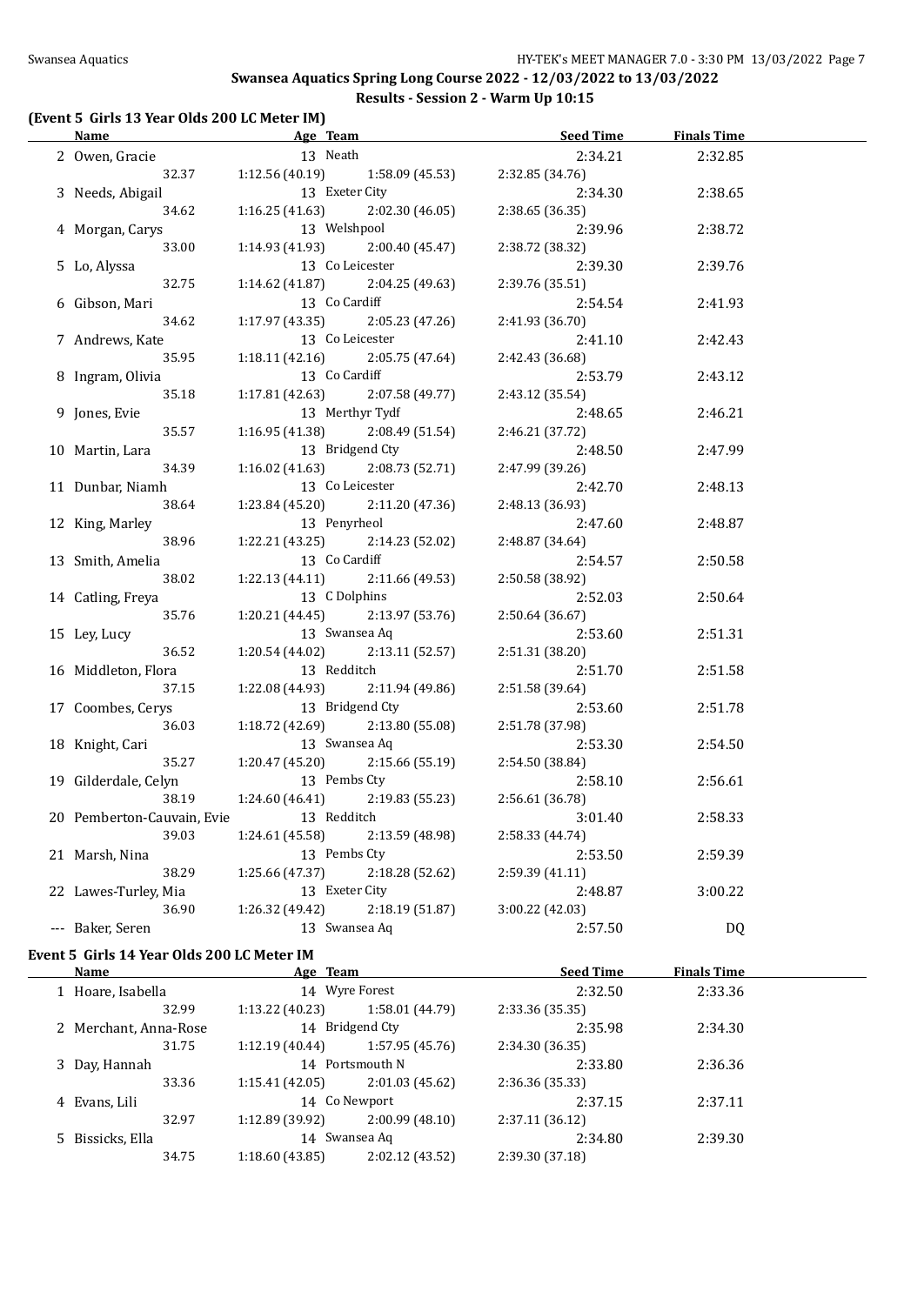#### **(Event 5 Girls 13 Year Olds 200 LC Meter IM)**

| Name                                   | and the same state of the Age Team  |                 | <u>Seed Time</u>                  | <b>Finals Time</b> |  |
|----------------------------------------|-------------------------------------|-----------------|-----------------------------------|--------------------|--|
| 2 Owen, Gracie                         | 13 Neath                            |                 | 2:34.21                           | 2:32.85            |  |
|                                        | 32.37 1:12.56 (40.19)               |                 | $1:58.09(45.53)$ $2:32.85(34.76)$ |                    |  |
| 3 Needs, Abigail                       | 13 Exeter City                      |                 | 2:34.30                           | 2:38.65            |  |
| 34.62                                  | 1:16.25(41.63)                      | 2:02.30 (46.05) | 2:38.65 (36.35)                   |                    |  |
| 4 Morgan, Carys                        | 13 Welshpool                        |                 | 2:39.96                           | 2:38.72            |  |
| 33.00                                  | 1:14.93 (41.93)                     | 2:00.40 (45.47) | 2:38.72 (38.32)                   |                    |  |
| 5 Lo, Alyssa                           | 13 Co Leicester                     |                 | 2:39.30                           | 2:39.76            |  |
| 32.75                                  | $1:14.62$ (41.87) $2:04.25$ (49.63) |                 | 2:39.76 (35.51)                   |                    |  |
| 6 Gibson, Mari                         | 13 Co Cardiff                       |                 | 2:54.54                           | 2:41.93            |  |
| 34.62                                  | $1:17.97(43.35)$ $2:05.23(47.26)$   |                 | 2:41.93 (36.70)                   |                    |  |
| 7 Andrews, Kate                        | 13 Co Leicester                     |                 | 2:41.10                           | 2:42.43            |  |
| 35.95                                  | $1:18.11(42.16)$ $2:05.75(47.64)$   |                 | 2:42.43 (36.68)                   |                    |  |
| 8 Ingram, Olivia                       | 13 Co Cardiff                       |                 | 2:53.79                           | 2:43.12            |  |
| 35.18                                  | $1:17.81(42.63)$ $2:07.58(49.77)$   |                 | 2:43.12 (35.54)                   |                    |  |
| 9 Jones, Evie                          | 13 Merthyr Tydf                     |                 | 2:48.65                           | 2:46.21            |  |
| 35.57                                  | $1:16.95(41.38)$ $2:08.49(51.54)$   |                 | 2:46.21(37.72)                    |                    |  |
| 10 Martin, Lara                        | 13 Bridgend Cty                     |                 | 2:48.50                           | 2:47.99            |  |
| 34.39                                  | $1:16.02(41.63)$ $2:08.73(52.71)$   |                 | 2:47.99 (39.26)                   |                    |  |
| 11 Dunbar, Niamh                       | 13 Co Leicester                     |                 | 2:42.70                           | 2:48.13            |  |
| 38.64                                  | $1:23.84(45.20)$ $2:11.20(47.36)$   |                 | 2:48.13 (36.93)                   |                    |  |
| 12 King, Marley                        | 13 Penyrheol                        |                 | 2:47.60                           | 2:48.87            |  |
| 38.96                                  | $1:22.21(43.25)$ $2:14.23(52.02)$   |                 | 2:48.87 (34.64)                   |                    |  |
| 13 Smith, Amelia                       | 13 Co Cardiff                       |                 | 2:54.57                           | 2:50.58            |  |
| 38.02                                  | $1:22.13(44.11)$ $2:11.66(49.53)$   |                 | 2:50.58 (38.92)                   |                    |  |
| 14 Catling, Freya                      | 13 C Dolphins                       |                 | 2:52.03                           | 2:50.64            |  |
| 35.76                                  | $1:20.21(44.45)$ $2:13.97(53.76)$   |                 | 2:50.64 (36.67)                   |                    |  |
| 15 Ley, Lucy                           | 13 Swansea Aq                       |                 | 2:53.60                           | 2:51.31            |  |
| 36.52                                  | $1:20.54(44.02)$ $2:13.11(52.57)$   |                 | 2:51.31 (38.20)                   |                    |  |
| 16 Middleton, Flora                    | 13 Redditch                         |                 | 2:51.70                           | 2:51.58            |  |
| 37.15                                  | $1:22.08(44.93)$ $2:11.94(49.86)$   |                 | 2:51.58 (39.64)                   |                    |  |
| 17 Coombes, Cerys                      | 13 Bridgend Cty                     |                 | 2:53.60                           | 2:51.78            |  |
| 36.03                                  | $1:18.72(42.69)$ $2:13.80(55.08)$   |                 | 2:51.78 (37.98)                   |                    |  |
| 18 Knight, Cari                        | 13 Swansea Aq                       |                 | 2:53.30                           | 2:54.50            |  |
| 35.27                                  | $1:20.47(45.20)$ $2:15.66(55.19)$   |                 | 2:54.50 (38.84)                   |                    |  |
| 19 Gilderdale, Celyn                   | 13 Pembs Cty                        |                 | 2:58.10                           | 2:56.61            |  |
| 38.19                                  | $1:24.60(46.41)$ $2:19.83(55.23)$   |                 | 2:56.61 (36.78)                   |                    |  |
| 20 Pemberton-Cauvain, Evie 13 Redditch |                                     |                 | 3:01.40                           | 2:58.33            |  |
| 39.03                                  | 1:24.61 (45.58)                     | 2:13.59 (48.98) | 2:58.33 (44.74)                   |                    |  |
| 21 Marsh, Nina                         | 13 Pembs Cty                        |                 | 2:53.50                           | 2:59.39            |  |
| 38.29                                  | 1:25.66 (47.37)                     | 2:18.28 (52.62) | 2:59.39 (41.11)                   |                    |  |
| 22 Lawes-Turley, Mia                   | 13 Exeter City                      |                 | 2:48.87                           | 3:00.22            |  |
| 36.90                                  | 1:26.32 (49.42)                     | 2:18.19 (51.87) | 3:00.22 (42.03)                   |                    |  |
| --- Baker, Seren                       | 13 Swansea Aq                       |                 | 2:57.50                           | DQ                 |  |
|                                        |                                     |                 |                                   |                    |  |

#### **Event 5 Girls 14 Year Olds 200 LC Meter IM**

| Name                  | Age Team        |                 | <b>Seed Time</b> | <b>Finals Time</b> |  |
|-----------------------|-----------------|-----------------|------------------|--------------------|--|
| 1 Hoare, Isabella     |                 | 14 Wyre Forest  | 2:32.50          | 2:33.36            |  |
| 32.99                 | 1:13.22(40.23)  | 1:58.01 (44.79) | 2:33.36 (35.35)  |                    |  |
| 2 Merchant, Anna-Rose |                 | 14 Bridgend Cty | 2:35.98          | 2:34.30            |  |
| 31.75                 | 1:12.19(40.44)  | 1:57.95 (45.76) | 2:34.30 (36.35)  |                    |  |
| 3 Day, Hannah         |                 | 14 Portsmouth N | 2:33.80          | 2:36.36            |  |
| 33.36                 | 1:15.41(42.05)  | 2:01.03(45.62)  | 2:36.36 (35.33)  |                    |  |
| 4 Evans, Lili         |                 | 14 Co Newport   | 2:37.15          | 2:37.11            |  |
| 32.97                 | 1:12.89 (39.92) | 2:00.99(48.10)  | 2:37.11 (36.12)  |                    |  |
| 5 Bissicks, Ella      |                 | 14 Swansea Ag   | 2:34.80          | 2:39.30            |  |
| 34.75                 | 1:18.60 (43.85) | 2:02.12 (43.52) | 2:39.30 (37.18)  |                    |  |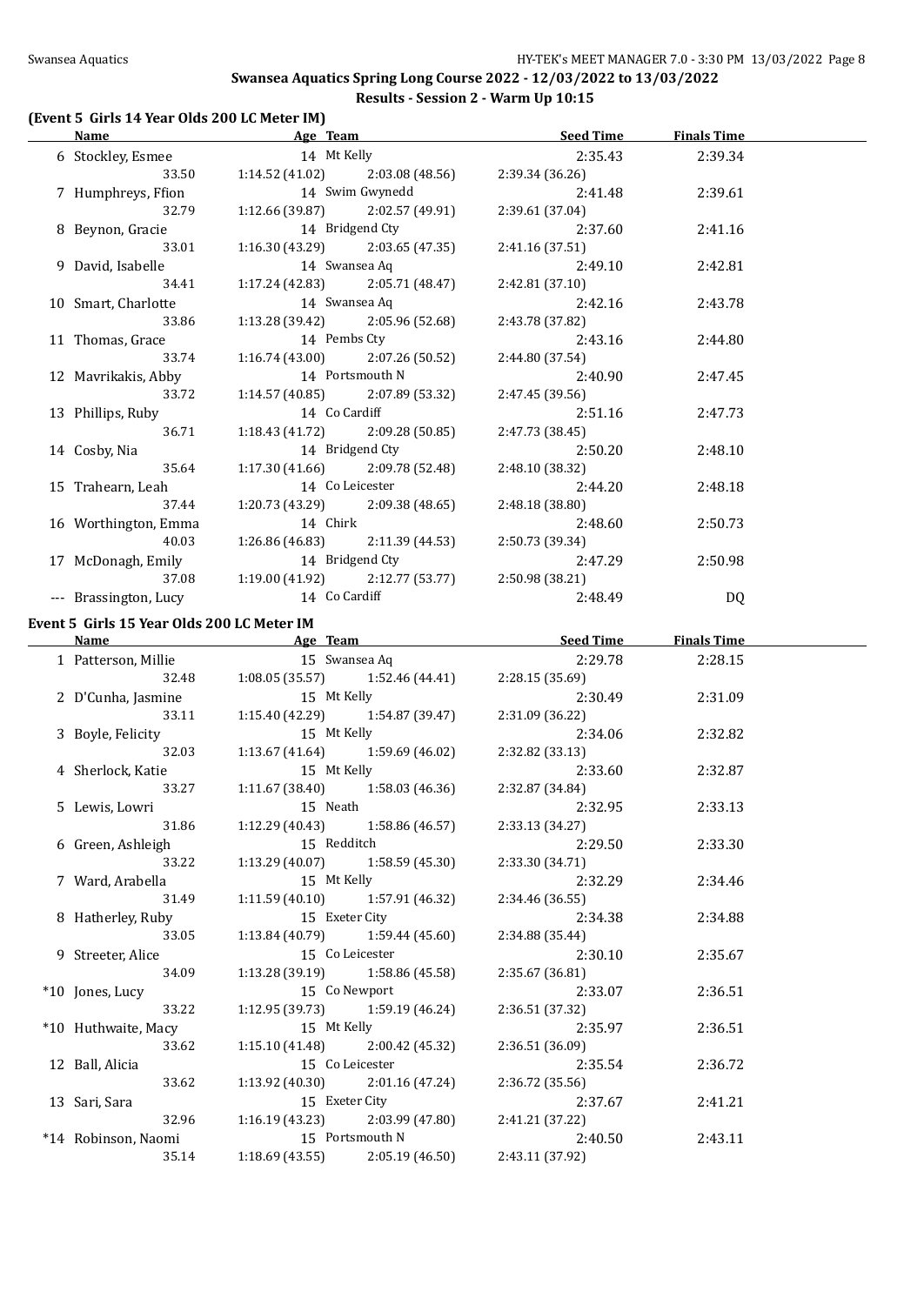#### **(Event 5 Girls 14 Year Olds 200 LC Meter IM)**

|                                            | Name <b>Seed Time</b> Finals Time <b>Age Team Seed Time</b> Finals Time |                 |                    |  |
|--------------------------------------------|-------------------------------------------------------------------------|-----------------|--------------------|--|
|                                            | 6 Stockley, Esmee 14 Mt Kelly                                           | 2:35.43         | 2:39.34            |  |
|                                            | 33.50 1:14.52 (41.02) 2:03.08 (48.56)                                   | 2:39.34 (36.26) |                    |  |
| 7 Humphreys, Ffion                         | 14 Swim Gwynedd                                                         | 2:41.48         | 2:39.61            |  |
| 32.79                                      | $1:12.66(39.87)$ $2:02.57(49.91)$                                       | 2:39.61 (37.04) |                    |  |
| 8 Beynon, Gracie                           | 14 Bridgend Cty                                                         | 2:37.60         | 2:41.16            |  |
| 33.01                                      | 1:16.30 (43.29)<br>2:03.65 (47.35)                                      | 2:41.16 (37.51) |                    |  |
| 9 David, Isabelle                          | 14 Swansea Aq                                                           | 2:49.10         | 2:42.81            |  |
| 34.41                                      | 2:05.71 (48.47)<br>1:17.24 (42.83)                                      | 2:42.81(37.10)  |                    |  |
|                                            | 14 Swansea Aq                                                           |                 |                    |  |
| 10 Smart, Charlotte                        |                                                                         | 2:42.16         | 2:43.78            |  |
| 33.86                                      | 1:13.28 (39.42)<br>2:05.96 (52.68)                                      | 2:43.78 (37.82) |                    |  |
| 11 Thomas, Grace                           | 14 Pembs Cty                                                            | 2:43.16         | 2:44.80            |  |
| 33.74                                      | $1:16.74(43.00)$ $2:07.26(50.52)$                                       | 2:44.80 (37.54) |                    |  |
| 12 Mavrikakis, Abby                        | 14 Portsmouth N                                                         | 2:40.90         | 2:47.45            |  |
| 33.72                                      | $1:14.57(40.85)$ $2:07.89(53.32)$                                       | 2:47.45 (39.56) |                    |  |
| 13 Phillips, Ruby                          | 14 Co Cardiff                                                           | 2:51.16         | 2:47.73            |  |
| 36.71                                      | $1:18.43(41.72)$ $2:09.28(50.85)$                                       | 2:47.73 (38.45) |                    |  |
| 14 Cosby, Nia                              | 14 Bridgend Cty                                                         | 2:50.20         | 2:48.10            |  |
| 35.64                                      | $1:17.30(41.66)$ $2:09.78(52.48)$                                       | 2:48.10 (38.32) |                    |  |
| 15 Trahearn, Leah                          | 14 Co Leicester                                                         | 2:44.20         | 2:48.18            |  |
| 37.44                                      | $1:20.73(43.29)$ $2:09.38(48.65)$                                       | 2:48.18 (38.80) |                    |  |
| 16 Worthington, Emma                       | 14 Chirk                                                                | 2:48.60         | 2:50.73            |  |
| 40.03                                      | $1:26.86(46.83)$ $2:11.39(44.53)$                                       | 2:50.73 (39.34) |                    |  |
| 17 McDonagh, Emily                         | 14 Bridgend Cty                                                         | 2:47.29         | 2:50.98            |  |
| 37.08                                      | $1:19.00(41.92)$ $2:12.77(53.77)$                                       | 2:50.98 (38.21) |                    |  |
| --- Brassington, Lucy                      | 14 Co Cardiff                                                           | 2:48.49         | DQ                 |  |
|                                            |                                                                         |                 |                    |  |
| Event 5 Girls 15 Year Olds 200 LC Meter IM |                                                                         |                 |                    |  |
|                                            |                                                                         |                 |                    |  |
| <b>Name</b>                                | <b>Example 2018 Age Team Age Team Seed Time</b> Seed Time               |                 | <b>Finals Time</b> |  |
| 1 Patterson, Millie                        | 15 Swansea Aq                                                           | 2:29.78         | 2:28.15            |  |
|                                            | 32.48 1:08.05 (35.57) 1:52.46 (44.41)                                   | 2:28.15 (35.69) |                    |  |
| 2 D'Cunha, Jasmine                         | 15 Mt Kelly                                                             | 2:30.49         | 2:31.09            |  |
| 33.11                                      | $1:15.40(42.29)$ $1:54.87(39.47)$                                       | 2:31.09 (36.22) |                    |  |
| 3 Boyle, Felicity                          | 15 Mt Kelly                                                             | 2:34.06         | 2:32.82            |  |
| 32.03                                      | 1:13.67 (41.64) $1:59.69$ (46.02)                                       | 2:32.82 (33.13) |                    |  |
| 4 Sherlock, Katie                          | 15 Mt Kelly                                                             | 2:33.60         | 2:32.87            |  |
| 33.27                                      | $1:11.67(38.40)$ $1:58.03(46.36)$                                       | 2:32.87 (34.84) |                    |  |
| 5 Lewis, Lowri                             | 15 Neath                                                                | 2:32.95         | 2:33.13            |  |
| 31.86                                      | $1:12.29(40.43)$ $1:58.86(46.57)$                                       | 2:33.13 (34.27) |                    |  |
| 6 Green, Ashleigh                          | 15 Redditch                                                             | 2:29.50         | 2:33.30            |  |
| 33.22                                      | 1:13.29(40.07)<br>1:58.59 (45.30)                                       | 2:33.30 (34.71) |                    |  |
| 7 Ward, Arabella                           | 15 Mt Kelly                                                             | 2:32.29         | 2:34.46            |  |
| 31.49                                      | 1:11.59(40.10)<br>1:57.91 (46.32)                                       | 2:34.46 (36.55) |                    |  |
| 8 Hatherley, Ruby                          | 15 Exeter City                                                          | 2:34.38         | 2:34.88            |  |
| 33.05                                      | 1:13.84 (40.79)<br>1:59.44 (45.60)                                      | 2:34.88 (35.44) |                    |  |
| 9 Streeter, Alice                          | 15 Co Leicester                                                         | 2:30.10         | 2:35.67            |  |
| 34.09                                      | 1:13.28 (39.19)<br>1:58.86 (45.58)                                      | 2:35.67 (36.81) |                    |  |
| *10 Jones, Lucy                            | 15 Co Newport                                                           | 2:33.07         | 2:36.51            |  |
| 33.22                                      | $1:12.95(39.73)$ $1:59.19(46.24)$                                       | 2:36.51 (37.32) |                    |  |
| *10 Huthwaite, Macy                        | 15 Mt Kelly                                                             | 2:35.97         | 2:36.51            |  |
| 33.62                                      | $1:15.10(41.48)$ $2:00.42(45.32)$                                       | 2:36.51 (36.09) |                    |  |
| 12 Ball, Alicia                            | 15 Co Leicester                                                         | 2:35.54         | 2:36.72            |  |
| 33.62                                      | $1:13.92(40.30)$ $2:01.16(47.24)$                                       | 2:36.72 (35.56) |                    |  |
| 13 Sari, Sara                              | 15 Exeter City                                                          | 2:37.67         | 2:41.21            |  |
| 32.96                                      | $1:16.19(43.23)$ $2:03.99(47.80)$                                       | 2:41.21 (37.22) |                    |  |
| *14 Robinson, Naomi                        | 15 Portsmouth N                                                         | 2:40.50         | 2:43.11            |  |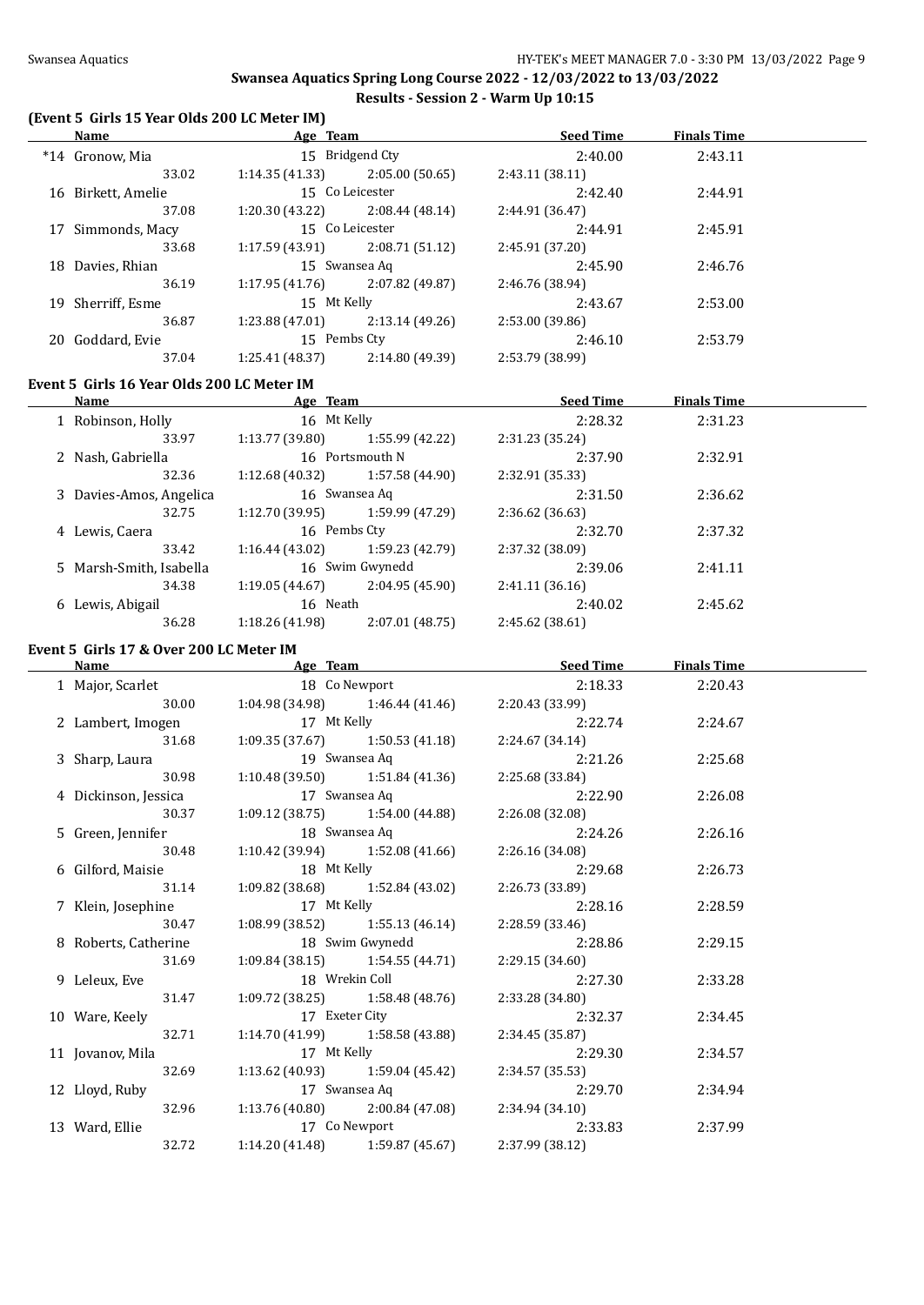$\overline{\phantom{0}}$ 

#### **Swansea Aquatics Spring Long Course 2022 - 12/03/2022 to 13/03/2022 Results - Session 2 - Warm Up 10:15**

#### **(Event 5 Girls 15 Year Olds 200 LC Meter IM)**

|     | Name               | Age Team        |                 | <b>Seed Time</b> | <b>Finals Time</b> |  |
|-----|--------------------|-----------------|-----------------|------------------|--------------------|--|
|     | *14 Gronow, Mia    |                 | 15 Bridgend Cty | 2:40.00          | 2:43.11            |  |
|     | 33.02              | 1:14.35(41.33)  | 2:05.00(50.65)  | 2:43.11(38.11)   |                    |  |
|     | 16 Birkett, Amelie |                 | 15 Co Leicester | 2:42.40          | 2:44.91            |  |
|     | 37.08              | 1:20.30(43.22)  | 2:08.44(48.14)  | 2:44.91 (36.47)  |                    |  |
|     | 17 Simmonds, Macy  |                 | 15 Co Leicester | 2:44.91          | 2:45.91            |  |
|     | 33.68              | 1:17.59(43.91)  | 2:08.71(51.12)  | 2:45.91 (37.20)  |                    |  |
| 18  | Davies, Rhian      | 15 Swansea Aq   |                 | 2:45.90          | 2:46.76            |  |
|     | 36.19              | 1:17.95(41.76)  | 2:07.82 (49.87) | 2:46.76 (38.94)  |                    |  |
| 19  | Sherriff, Esme     | 15 Mt Kelly     |                 | 2:43.67          | 2:53.00            |  |
|     | 36.87              | 1:23.88 (47.01) | 2:13.14(49.26)  | 2:53.00 (39.86)  |                    |  |
| 20. | Goddard, Evie      | 15 Pembs Cty    |                 | 2:46.10          | 2:53.79            |  |
|     | 37.04              | 1:25.41 (48.37) | 2:14.80 (49.39) | 2:53.79 (38.99)  |                    |  |

#### **Event 5 Girls 16 Year Olds 200 LC Meter IM**

|   | Name                    | Age Team        |                 | <b>Seed Time</b> | <b>Finals Time</b> |  |
|---|-------------------------|-----------------|-----------------|------------------|--------------------|--|
|   | 1 Robinson, Holly       | 16 Mt Kelly     |                 | 2:28.32          | 2:31.23            |  |
|   | 33.97                   | 1:13.77(39.80)  | 1:55.99 (42.22) | 2:31.23 (35.24)  |                    |  |
|   | 2 Nash, Gabriella       |                 | 16 Portsmouth N | 2:37.90          | 2:32.91            |  |
|   | 32.36                   | 1:12.68 (40.32) | 1:57.58 (44.90) | 2:32.91 (35.33)  |                    |  |
|   | 3 Davies-Amos, Angelica |                 | 16 Swansea Aq   | 2:31.50          | 2:36.62            |  |
|   | 32.75                   | 1:12.70(39.95)  | 1:59.99 (47.29) | 2:36.62 (36.63)  |                    |  |
|   | 4 Lewis, Caera          | 16 Pembs Cty    |                 | 2:32.70          | 2:37.32            |  |
|   | 33.42                   | 1:16.44(43.02)  | 1:59.23 (42.79) | 2:37.32 (38.09)  |                    |  |
|   | 5 Marsh-Smith, Isabella |                 | 16 Swim Gwynedd | 2:39.06          | 2:41.11            |  |
|   | 34.38                   | 1:19.05(44.67)  | 2:04.95 (45.90) | 2:41.11 (36.16)  |                    |  |
| 6 | Lewis, Abigail          | 16 Neath        |                 | 2:40.02          | 2:45.62            |  |
|   | 36.28                   | 1:18.26 (41.98) | 2:07.01 (48.75) | 2:45.62 (38.61)  |                    |  |
|   |                         |                 |                 |                  |                    |  |

#### **Event 5 Girls 17 & Over 200 LC Meter IM**

|                                |                                     | Name Seed Time Seed Time Age Team Age Seed Time                                                | <b>Finals Time</b> |  |
|--------------------------------|-------------------------------------|------------------------------------------------------------------------------------------------|--------------------|--|
| 1 Major, Scarlet 18 Co Newport |                                     | 2:18.33 2:20.43                                                                                |                    |  |
| 30.00                          |                                     | 1:04.98 (34.98) 1:46.44 (41.46) 2:20.43 (33.99)                                                |                    |  |
|                                |                                     | 2 Lambert, Imogen 17 Mt Kelly 2:22.74<br>31.68 1:09.35 (37.67) 1:50.53 (41.18) 2:24.67 (34.14) | 2:24.67            |  |
|                                |                                     |                                                                                                |                    |  |
|                                |                                     | 3 Sharp, Laura 19 Swansea Aq 2:21.26                                                           | 2:25.68            |  |
| 30.98                          | $1:10.48(39.50)$ $1:51.84(41.36)$   | 2:25.68 (33.84)                                                                                |                    |  |
|                                |                                     | 4 Dickinson, Jessica 17 Swansea Aq 2:22.90                                                     | 2:26.08            |  |
| 30.37                          |                                     | $1:09.12$ $(38.75)$ $1:54.00$ $(44.88)$ $2:26.08$ $(32.08)$                                    |                    |  |
| 5 Green, Jennifer              |                                     | 18 Swansea Aq 2:24.26                                                                          | 2:26.16            |  |
| 30.48                          |                                     | 1:10.42 (39.94) $1:52.08(41.66)$ $2:26.16(34.08)$                                              |                    |  |
| 6 Gilford, Maisie              | 18 Mt Kelly                         | 2:29.68                                                                                        | 2:26.73            |  |
| 31.14                          | $1:09.82$ (38.68) $1:52.84$ (43.02) | 2:26.73 (33.89)                                                                                |                    |  |
| 7 Klein, Josephine             | 17 Mt Kelly                         | 2:28.16                                                                                        | 2:28.59            |  |
| 30.47                          | $1:08.99$ (38.52) $1:55.13$ (46.14) | 2:28.59 (33.46)                                                                                |                    |  |
| 8 Roberts, Catherine           |                                     | 18 Swim Gwynedd 2:28.86                                                                        | 2:29.15            |  |
| 31.69                          | $1:09.84(38.15)$ $1:54.55(44.71)$   | 2:29.15 (34.60)                                                                                |                    |  |
| 9 Leleux, Eve                  |                                     | 18 Wrekin Coll 2:27.30                                                                         | 2:33.28            |  |
| 31.47                          |                                     | $1:09.72$ (38.25) $1:58.48$ (48.76) $2:33.28$ (34.80)                                          |                    |  |
| 10 Ware, Keely                 | 17 Exeter City                      | 2:32.37                                                                                        | 2:34.45            |  |
| 32.71                          | $1:14.70(41.99)$ $1:58.58(43.88)$   | 2:34.45 (35.87)                                                                                |                    |  |
| 11 Jovanov, Mila               |                                     | 17 Mt Kelly 2:29.30                                                                            | 2:34.57            |  |
| 32.69                          |                                     | 1:13.62 (40.93) $1:59.04$ (45.42) $2:34.57$ (35.53)                                            |                    |  |
|                                |                                     | 12 Lloyd, Ruby 17 Swansea Aq 2:29.70<br>32.96 1:13.76 (40.80) 2:00.84 (47.08) 2:34.94 (34.10)  | 2:34.94            |  |
|                                |                                     |                                                                                                |                    |  |
| 13 Ward, Ellie                 |                                     | 17 Co Newport 2:33.83 2:37.99                                                                  |                    |  |
| 32.72                          | $1:14.20(41.48)$ $1:59.87(45.67)$   | 2:37.99 (38.12)                                                                                |                    |  |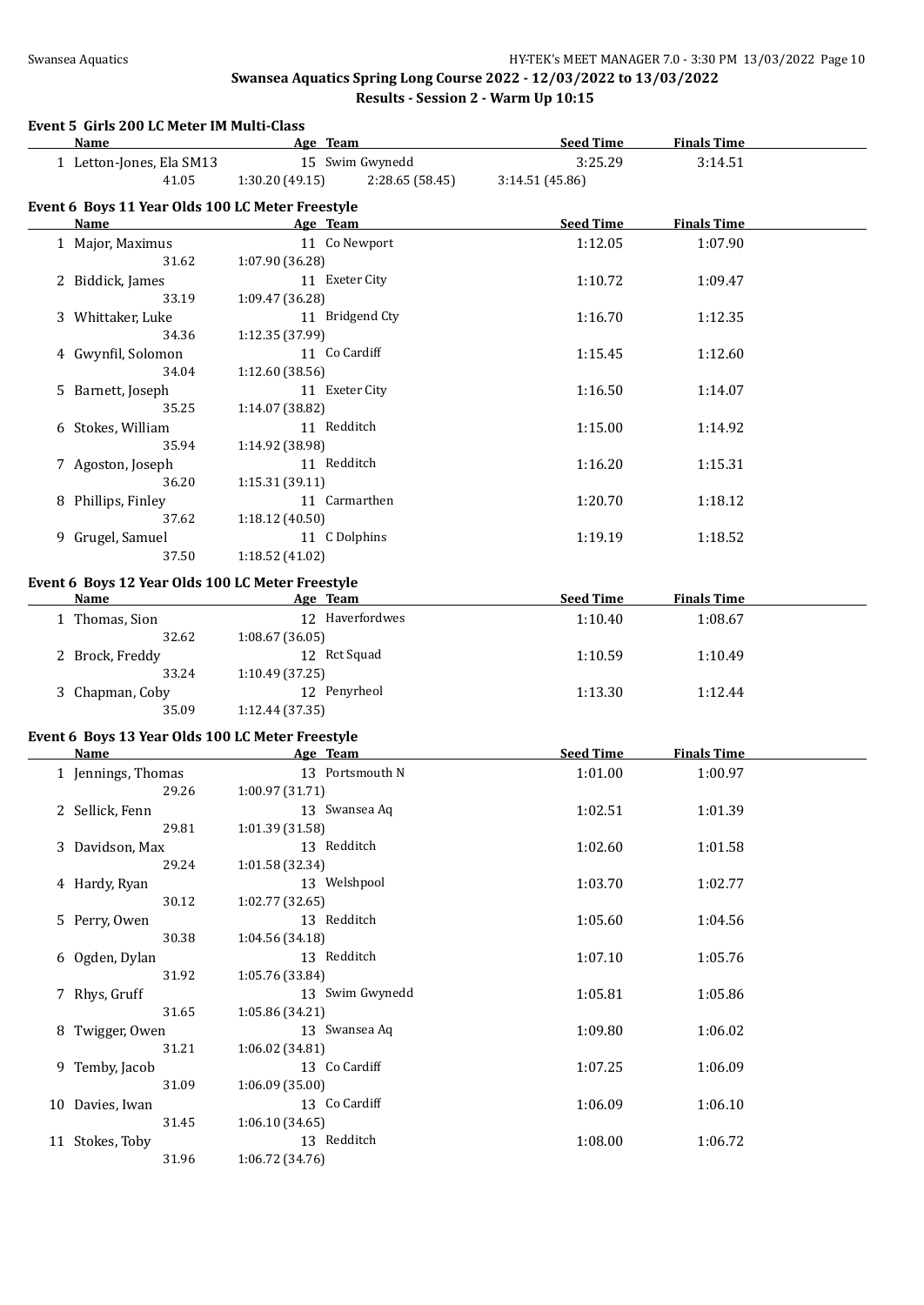# **Event 5 Girls 200 LC Meter IM Multi-Class**

| <b>Name</b>                                                     |                 | Age Team        | <b>Seed Time</b> | <b>Finals Time</b> |  |
|-----------------------------------------------------------------|-----------------|-----------------|------------------|--------------------|--|
| 1 Letton-Jones, Ela SM13                                        |                 | 15 Swim Gwynedd | 3:25.29          | 3:14.51            |  |
| 41.05                                                           | 1:30.20(49.15)  | 2:28.65(58.45)  | 3:14.51 (45.86)  |                    |  |
|                                                                 |                 |                 |                  |                    |  |
| Event 6 Boys 11 Year Olds 100 LC Meter Freestyle<br><b>Name</b> |                 |                 |                  | <b>Finals Time</b> |  |
|                                                                 |                 | Age Team        | <b>Seed Time</b> |                    |  |
| 1 Major, Maximus                                                |                 | 11 Co Newport   | 1:12.05          | 1:07.90            |  |
| 31.62                                                           | 1:07.90 (36.28) | 11 Exeter City  |                  |                    |  |
| 2 Biddick, James                                                |                 |                 | 1:10.72          | 1:09.47            |  |
| 33.19                                                           | 1:09.47 (36.28) |                 |                  |                    |  |
| 3 Whittaker, Luke                                               |                 | 11 Bridgend Cty | 1:16.70          | 1:12.35            |  |
| 34.36                                                           | 1:12.35 (37.99) |                 |                  |                    |  |
| 4 Gwynfil, Solomon                                              |                 | 11 Co Cardiff   | 1:15.45          | 1:12.60            |  |
| 34.04                                                           | 1:12.60 (38.56) |                 |                  |                    |  |
| 5 Barnett, Joseph                                               |                 | 11 Exeter City  | 1:16.50          | 1:14.07            |  |
| 35.25                                                           | 1:14.07 (38.82) |                 |                  |                    |  |
| 6 Stokes, William                                               |                 | 11 Redditch     | 1:15.00          | 1:14.92            |  |
| 35.94                                                           | 1:14.92 (38.98) |                 |                  |                    |  |
| 7 Agoston, Joseph                                               |                 | 11 Redditch     | 1:16.20          | 1:15.31            |  |
| 36.20                                                           | 1:15.31 (39.11) |                 |                  |                    |  |
| 8 Phillips, Finley                                              |                 | 11 Carmarthen   | 1:20.70          | 1:18.12            |  |
| 37.62                                                           | 1:18.12 (40.50) |                 |                  |                    |  |
| 9 Grugel, Samuel                                                |                 | 11 C Dolphins   | 1:19.19          | 1:18.52            |  |
| 37.50                                                           | 1:18.52 (41.02) |                 |                  |                    |  |
| Event 6 Boys 12 Year Olds 100 LC Meter Freestyle                |                 |                 |                  |                    |  |
| <b>Name</b>                                                     |                 | Age Team        | <b>Seed Time</b> | <b>Finals Time</b> |  |
| 1 Thomas, Sion                                                  |                 | 12 Haverfordwes | 1:10.40          | 1:08.67            |  |
| 32.62                                                           | 1:08.67(36.05)  |                 |                  |                    |  |
| 2 Brock, Freddy                                                 |                 | 12 Rct Squad    | 1:10.59          | 1:10.49            |  |
| 33.24                                                           | 1:10.49 (37.25) |                 |                  |                    |  |
| 3 Chapman, Coby                                                 |                 | 12 Penyrheol    | 1:13.30          | 1:12.44            |  |
| 35.09                                                           | 1:12.44 (37.35) |                 |                  |                    |  |
| Event 6 Boys 13 Year Olds 100 LC Meter Freestyle                |                 |                 |                  |                    |  |
| Name                                                            |                 | Age Team        | <b>Seed Time</b> | <b>Finals Time</b> |  |
| 1 Jennings, Thomas                                              |                 | 13 Portsmouth N | 1:01.00          | 1:00.97            |  |
| 29.26                                                           | 1:00.97 (31.71) |                 |                  |                    |  |
|                                                                 |                 | 13 Swansea Aq   |                  |                    |  |
| 2 Sellick, Fenn                                                 |                 |                 | 1:02.51          | 1:01.39            |  |
| 29.81                                                           | 1:01.39 (31.58) |                 |                  |                    |  |
| 3 Davidson, Max<br>29.24                                        | 1:01.58 (32.34) | 13 Redditch     | 1:02.60          | 1:01.58            |  |
|                                                                 |                 | 13 Welshpool    |                  |                    |  |
| 4 Hardy, Ryan                                                   |                 |                 | 1:03.70          | 1:02.77            |  |
| 30.12                                                           | 1:02.77 (32.65) | 13 Redditch     |                  |                    |  |
| 5 Perry, Owen                                                   |                 |                 | 1:05.60          | 1:04.56            |  |
| 30.38                                                           | 1:04.56 (34.18) |                 |                  |                    |  |
| 6 Ogden, Dylan                                                  |                 | 13 Redditch     | 1:07.10          | 1:05.76            |  |
| 31.92                                                           | 1:05.76 (33.84) |                 |                  |                    |  |
| 7 Rhys, Gruff                                                   |                 | 13 Swim Gwynedd | 1:05.81          | 1:05.86            |  |
| 31.65                                                           | 1:05.86 (34.21) |                 |                  |                    |  |
| 8 Twigger, Owen                                                 |                 | 13 Swansea Aq   | 1:09.80          | 1:06.02            |  |
| 31.21                                                           | 1:06.02 (34.81) |                 |                  |                    |  |
| 9 Temby, Jacob                                                  |                 | 13 Co Cardiff   | 1:07.25          | 1:06.09            |  |
| 31.09                                                           | 1:06.09 (35.00) |                 |                  |                    |  |
| 10 Davies, Iwan                                                 |                 | 13 Co Cardiff   | 1:06.09          | 1:06.10            |  |
| 31.45                                                           | 1:06.10(34.65)  |                 |                  |                    |  |
| 11 Stokes, Toby                                                 |                 | 13 Redditch     | 1:08.00          | 1:06.72            |  |
| 31.96                                                           | 1:06.72 (34.76) |                 |                  |                    |  |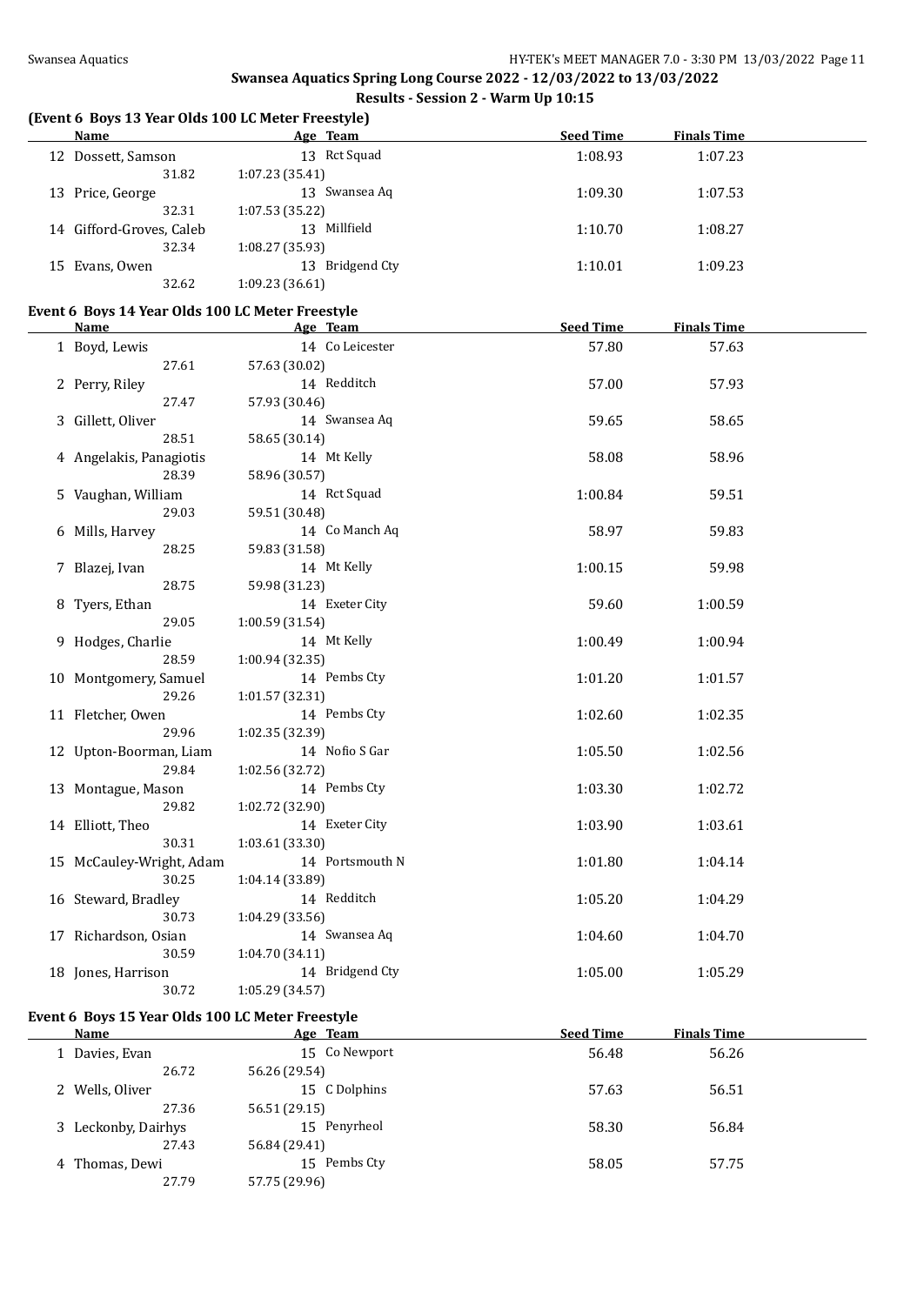#### **(Event 6 Boys 13 Year Olds 100 LC Meter Freestyle)**

| Name                     | Age Team        | <b>Seed Time</b> | <b>Finals Time</b> |  |
|--------------------------|-----------------|------------------|--------------------|--|
| 12 Dossett, Samson       | 13 Rct Squad    | 1:08.93          | 1:07.23            |  |
| 31.82                    | 1:07.23(35.41)  |                  |                    |  |
| 13 Price, George         | 13 Swansea Aq   | 1:09.30          | 1:07.53            |  |
| 32.31                    | 1:07.53(35.22)  |                  |                    |  |
| 14 Gifford-Groves, Caleb | 13 Millfield    | 1:10.70          | 1:08.27            |  |
| 32.34                    | 1:08.27(35.93)  |                  |                    |  |
| 15 Evans, Owen           | 13 Bridgend Cty | 1:10.01          | 1:09.23            |  |
| 32.62                    | 1:09.23(36.61)  |                  |                    |  |
|                          |                 |                  |                    |  |

#### **Event 6 Boys 14 Year Olds 100 LC Meter Freestyle**

| ento boys in ieur onis 100 de meter ric<br>Name | Age Team                           | <b>Seed Time</b> | <b>Finals Time</b> |  |
|-------------------------------------------------|------------------------------------|------------------|--------------------|--|
| 1 Boyd, Lewis                                   | 14 Co Leicester                    | 57.80            | 57.63              |  |
| 27.61                                           | 57.63 (30.02)                      |                  |                    |  |
| 2 Perry, Riley                                  | 14 Redditch                        | 57.00            | 57.93              |  |
| 27.47                                           | 57.93 (30.46)                      |                  |                    |  |
| 3 Gillett, Oliver                               | 14 Swansea Aq                      | 59.65            | 58.65              |  |
| 28.51                                           | 58.65 (30.14)                      |                  |                    |  |
| 4 Angelakis, Panagiotis                         | 14 Mt Kelly                        | 58.08            | 58.96              |  |
| 28.39                                           | 58.96 (30.57)                      |                  |                    |  |
| 5 Vaughan, William                              | 14 Rct Squad                       | 1:00.84          | 59.51              |  |
| 29.03                                           | 59.51 (30.48)                      |                  |                    |  |
| 6 Mills, Harvey                                 | 14 Co Manch Aq                     | 58.97            | 59.83              |  |
| 28.25                                           | 59.83 (31.58)                      |                  |                    |  |
| 7 Blazej, Ivan                                  | 14 Mt Kelly                        | 1:00.15          | 59.98              |  |
| 28.75                                           | 59.98 (31.23)                      |                  |                    |  |
| 8 Tyers, Ethan                                  | 14 Exeter City                     | 59.60            | 1:00.59            |  |
| 29.05                                           | 1:00.59(31.54)                     |                  |                    |  |
| 9 Hodges, Charlie                               | 14 Mt Kelly                        | 1:00.49          | 1:00.94            |  |
| 28.59                                           | 1:00.94(32.35)                     |                  |                    |  |
| 10 Montgomery, Samuel                           | 14 Pembs Cty                       | 1:01.20          | 1:01.57            |  |
| 29.26                                           | 1:01.57 (32.31)                    |                  |                    |  |
| 11 Fletcher, Owen                               | 14 Pembs Cty                       | 1:02.60          | 1:02.35            |  |
| 29.96                                           | 1:02.35 (32.39)                    |                  |                    |  |
| 12 Upton-Boorman, Liam                          | 14 Nofio S Gar                     | 1:05.50          | 1:02.56            |  |
| 29.84                                           | 1:02.56 (32.72)                    |                  |                    |  |
| 13 Montague, Mason                              | 14 Pembs Cty                       | 1:03.30          | 1:02.72            |  |
| 29.82                                           | 1:02.72 (32.90)                    |                  |                    |  |
| 14 Elliott, Theo                                | 14 Exeter City                     | 1:03.90          | 1:03.61            |  |
| 30.31                                           | 1:03.61 (33.30)                    |                  |                    |  |
| 15 McCauley-Wright, Adam<br>30.25               | 14 Portsmouth N                    | 1:01.80          | 1:04.14            |  |
|                                                 | 1:04.14(33.89)<br>14 Redditch      |                  |                    |  |
| 16 Steward, Bradley                             |                                    | 1:05.20          | 1:04.29            |  |
| 30.73                                           | 1:04.29(33.56)<br>14 Swansea Aq    |                  |                    |  |
| 17 Richardson, Osian<br>30.59                   | 1:04.70 (34.11)                    | 1:04.60          | 1:04.70            |  |
|                                                 |                                    |                  |                    |  |
|                                                 |                                    |                  |                    |  |
| 18 Jones, Harrison<br>30.72                     | 14 Bridgend Cty<br>1:05.29 (34.57) | 1:05.00          | 1:05.29            |  |

#### **Event 6 Boys 15 Year Olds 100 LC Meter Freestyle**

| Name                | Age Team      | <b>Seed Time</b> | <b>Finals Time</b> |  |
|---------------------|---------------|------------------|--------------------|--|
| 1 Davies, Evan      | 15 Co Newport | 56.48            | 56.26              |  |
| 26.72               | 56.26 (29.54) |                  |                    |  |
| 2 Wells, Oliver     | 15 C Dolphins | 57.63            | 56.51              |  |
| 27.36               | 56.51 (29.15) |                  |                    |  |
| 3 Leckonby, Dairhys | 15 Penyrheol  | 58.30            | 56.84              |  |
| 27.43               | 56.84 (29.41) |                  |                    |  |
| 4 Thomas, Dewi      | 15 Pembs Cty  | 58.05            | 57.75              |  |
| 27.79               | 57.75 (29.96) |                  |                    |  |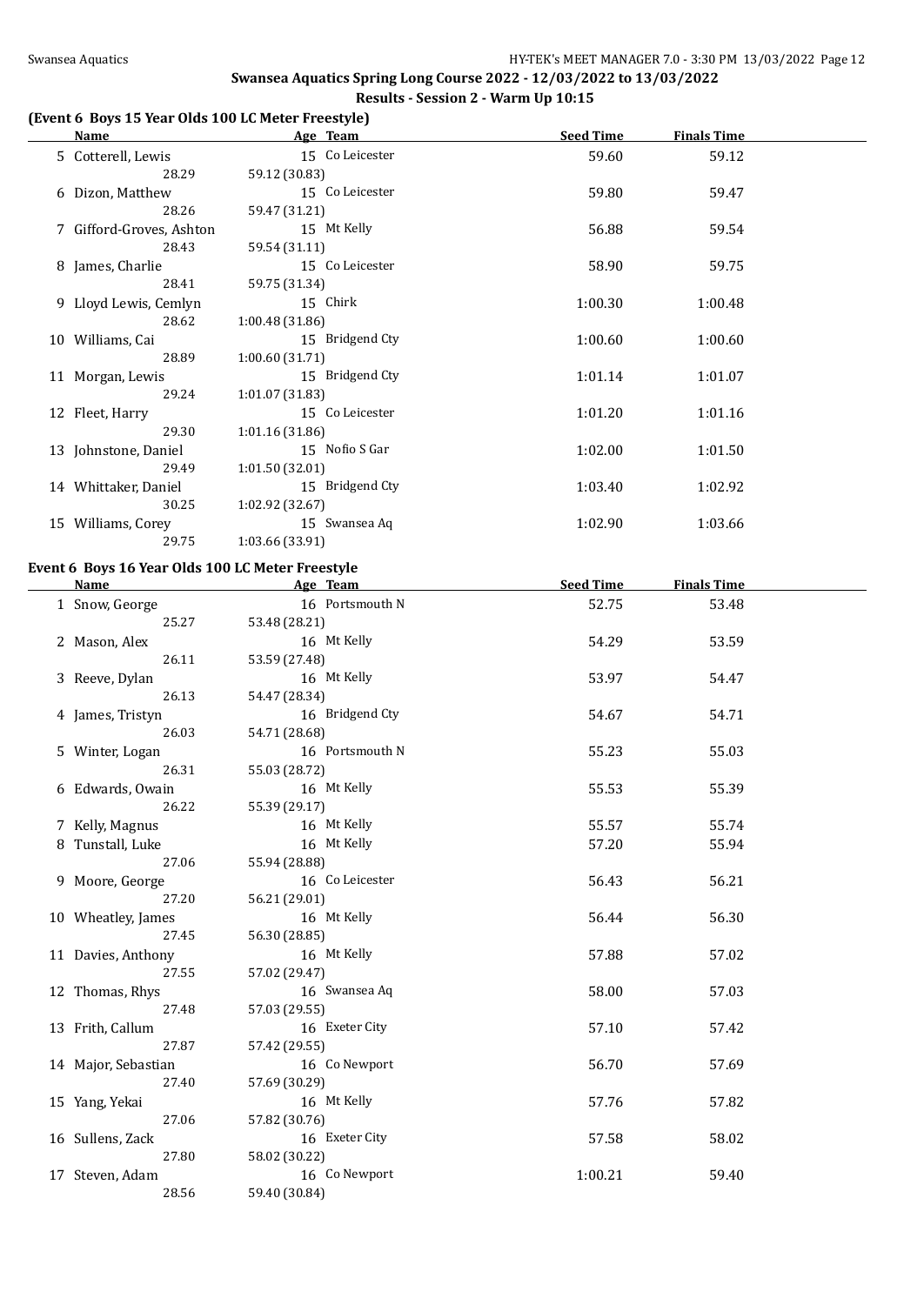#### **(Event 6 Boys 15 Year Olds 100 LC Meter Freestyle)**

| Name                     | Age Team        | <b>Seed Time</b> | <b>Finals Time</b> |  |
|--------------------------|-----------------|------------------|--------------------|--|
| 5 Cotterell, Lewis       | 15 Co Leicester | 59.60            | 59.12              |  |
| 28.29                    | 59.12 (30.83)   |                  |                    |  |
| 6 Dizon, Matthew         | 15 Co Leicester | 59.80            | 59.47              |  |
| 28.26                    | 59.47 (31.21)   |                  |                    |  |
| 7 Gifford-Groves, Ashton | 15 Mt Kelly     | 56.88            | 59.54              |  |
| 28.43                    | 59.54 (31.11)   |                  |                    |  |
| 8 James, Charlie         | 15 Co Leicester | 58.90            | 59.75              |  |
| 28.41                    | 59.75 (31.34)   |                  |                    |  |
| 9 Lloyd Lewis, Cemlyn    | 15 Chirk        | 1:00.30          | 1:00.48            |  |
| 28.62                    | 1:00.48(31.86)  |                  |                    |  |
| 10 Williams, Cai         | 15 Bridgend Cty | 1:00.60          | 1:00.60            |  |
| 28.89                    | 1:00.60(31.71)  |                  |                    |  |
| 11 Morgan, Lewis         | 15 Bridgend Cty | 1:01.14          | 1:01.07            |  |
| 29.24                    | 1:01.07(31.83)  |                  |                    |  |
| 12 Fleet, Harry          | 15 Co Leicester | 1:01.20          | 1:01.16            |  |
| 29.30                    | 1:01.16(31.86)  |                  |                    |  |
| 13 Johnstone, Daniel     | 15 Nofio S Gar  | 1:02.00          | 1:01.50            |  |
| 29.49                    | 1:01.50(32.01)  |                  |                    |  |
| 14 Whittaker, Daniel     | 15 Bridgend Cty | 1:03.40          | 1:02.92            |  |
| 30.25                    | 1:02.92(32.67)  |                  |                    |  |
| 15 Williams, Corey       | 15 Swansea Aq   | 1:02.90          | 1:03.66            |  |
| 29.75                    | 1:03.66 (33.91) |                  |                    |  |
|                          |                 |                  |                    |  |

#### **Event 6 Boys 16 Year Olds 100 LC Meter Freestyle**

|                | <b>Name</b>         | Age Team        | <b>Seed Time</b> | <b>Finals Time</b> |  |
|----------------|---------------------|-----------------|------------------|--------------------|--|
| 1 Snow, George |                     | 16 Portsmouth N | 52.75            | 53.48              |  |
|                | 25.27               | 53.48 (28.21)   |                  |                    |  |
| 2 Mason, Alex  |                     | 16 Mt Kelly     | 54.29            | 53.59              |  |
|                | 26.11               | 53.59 (27.48)   |                  |                    |  |
|                | 3 Reeve, Dylan      | 16 Mt Kelly     | 53.97            | 54.47              |  |
|                | 26.13               | 54.47 (28.34)   |                  |                    |  |
|                | 4 James, Tristyn    | 16 Bridgend Cty | 54.67            | 54.71              |  |
|                | 26.03               | 54.71 (28.68)   |                  |                    |  |
|                | 5 Winter, Logan     | 16 Portsmouth N | 55.23            | 55.03              |  |
|                | 26.31               | 55.03 (28.72)   |                  |                    |  |
|                | 6 Edwards, Owain    | 16 Mt Kelly     | 55.53            | 55.39              |  |
|                | 26.22               | 55.39 (29.17)   |                  |                    |  |
|                | 7 Kelly, Magnus     | 16 Mt Kelly     | 55.57            | 55.74              |  |
|                | 8 Tunstall, Luke    | 16 Mt Kelly     | 57.20            | 55.94              |  |
|                | 27.06               | 55.94 (28.88)   |                  |                    |  |
|                | 9 Moore, George     | 16 Co Leicester | 56.43            | 56.21              |  |
|                | 27.20               | 56.21 (29.01)   |                  |                    |  |
|                | 10 Wheatley, James  | 16 Mt Kelly     | 56.44            | 56.30              |  |
|                | 27.45               | 56.30 (28.85)   |                  |                    |  |
|                | 11 Davies, Anthony  | 16 Mt Kelly     | 57.88            | 57.02              |  |
|                | 27.55               | 57.02 (29.47)   |                  |                    |  |
|                | 12 Thomas, Rhys     | 16 Swansea Aq   | 58.00            | 57.03              |  |
|                | 27.48               | 57.03 (29.55)   |                  |                    |  |
|                | 13 Frith, Callum    | 16 Exeter City  | 57.10            | 57.42              |  |
|                | 27.87               | 57.42 (29.55)   |                  |                    |  |
|                | 14 Major, Sebastian | 16 Co Newport   | 56.70            | 57.69              |  |
|                | 27.40               | 57.69 (30.29)   |                  |                    |  |
|                | 15 Yang, Yekai      | 16 Mt Kelly     | 57.76            | 57.82              |  |
|                | 27.06               | 57.82 (30.76)   |                  |                    |  |
|                | 16 Sullens, Zack    | 16 Exeter City  | 57.58            | 58.02              |  |
|                | 27.80               | 58.02 (30.22)   |                  |                    |  |
|                | 17 Steven, Adam     | 16 Co Newport   | 1:00.21          | 59.40              |  |
|                | 28.56               | 59.40 (30.84)   |                  |                    |  |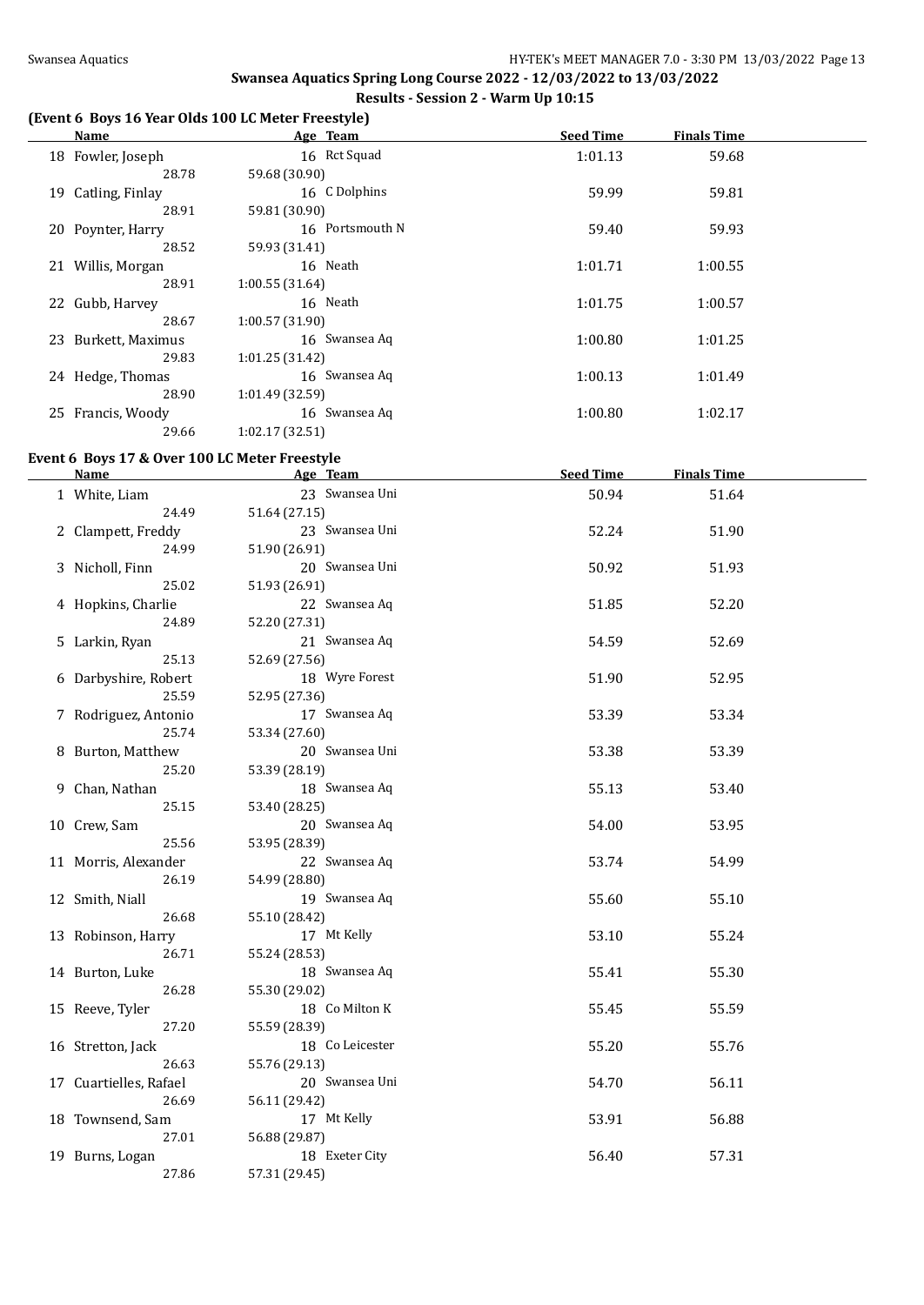#### **(Event 6 Boys 16 Year Olds 100 LC Meter Freestyle)**

| Name                |                | Age Team        | <b>Seed Time</b> | <b>Finals Time</b> |  |
|---------------------|----------------|-----------------|------------------|--------------------|--|
| 18 Fowler, Joseph   |                | 16 Rct Squad    | 1:01.13          | 59.68              |  |
| 28.78               | 59.68 (30.90)  |                 |                  |                    |  |
| 19 Catling, Finlay  |                | 16 C Dolphins   | 59.99            | 59.81              |  |
| 28.91               | 59.81 (30.90)  |                 |                  |                    |  |
| 20 Poynter, Harry   |                | 16 Portsmouth N | 59.40            | 59.93              |  |
| 28.52               | 59.93 (31.41)  |                 |                  |                    |  |
| 21 Willis, Morgan   |                | 16 Neath        | 1:01.71          | 1:00.55            |  |
| 28.91               | 1:00.55(31.64) |                 |                  |                    |  |
| 22 Gubb, Harvey     |                | 16 Neath        | 1:01.75          | 1:00.57            |  |
| 28.67               | 1:00.57(31.90) |                 |                  |                    |  |
| 23 Burkett, Maximus |                | 16 Swansea Aq   | 1:00.80          | 1:01.25            |  |
| 29.83               | 1:01.25(31.42) |                 |                  |                    |  |
| 24 Hedge, Thomas    |                | 16 Swansea Aq   | 1:00.13          | 1:01.49            |  |
| 28.90               | 1:01.49(32.59) |                 |                  |                    |  |
| 25 Francis, Woody   |                | 16 Swansea Aq   | 1:00.80          | 1:02.17            |  |
| 29.66               | 1:02.17(32.51) |                 |                  |                    |  |

#### **Event 6 Boys 17 & Over 100 LC Meter Freestyle**

| <b>Name</b> | Age Team                                                                                                                                                                                                                                                                                                                                                                                                                                                          | <b>Seed Time</b>                                                                                                                                                                                                                                                                                                                                                                     | <b>Finals Time</b>                                          |                                                                      |
|-------------|-------------------------------------------------------------------------------------------------------------------------------------------------------------------------------------------------------------------------------------------------------------------------------------------------------------------------------------------------------------------------------------------------------------------------------------------------------------------|--------------------------------------------------------------------------------------------------------------------------------------------------------------------------------------------------------------------------------------------------------------------------------------------------------------------------------------------------------------------------------------|-------------------------------------------------------------|----------------------------------------------------------------------|
|             | 23 Swansea Uni                                                                                                                                                                                                                                                                                                                                                                                                                                                    | 50.94                                                                                                                                                                                                                                                                                                                                                                                | 51.64                                                       |                                                                      |
| 24.49       | 51.64 (27.15)                                                                                                                                                                                                                                                                                                                                                                                                                                                     |                                                                                                                                                                                                                                                                                                                                                                                      |                                                             |                                                                      |
|             | 23 Swansea Uni                                                                                                                                                                                                                                                                                                                                                                                                                                                    | 52.24                                                                                                                                                                                                                                                                                                                                                                                | 51.90                                                       |                                                                      |
| 24.99       | 51.90 (26.91)                                                                                                                                                                                                                                                                                                                                                                                                                                                     |                                                                                                                                                                                                                                                                                                                                                                                      |                                                             |                                                                      |
|             | 20 Swansea Uni                                                                                                                                                                                                                                                                                                                                                                                                                                                    | 50.92                                                                                                                                                                                                                                                                                                                                                                                | 51.93                                                       |                                                                      |
| 25.02       | 51.93 (26.91)                                                                                                                                                                                                                                                                                                                                                                                                                                                     |                                                                                                                                                                                                                                                                                                                                                                                      |                                                             |                                                                      |
|             | 22 Swansea Aq                                                                                                                                                                                                                                                                                                                                                                                                                                                     | 51.85                                                                                                                                                                                                                                                                                                                                                                                | 52.20                                                       |                                                                      |
| 24.89       | 52.20 (27.31)                                                                                                                                                                                                                                                                                                                                                                                                                                                     |                                                                                                                                                                                                                                                                                                                                                                                      |                                                             |                                                                      |
|             | 21 Swansea Aq                                                                                                                                                                                                                                                                                                                                                                                                                                                     | 54.59                                                                                                                                                                                                                                                                                                                                                                                | 52.69                                                       |                                                                      |
| 25.13       | 52.69 (27.56)                                                                                                                                                                                                                                                                                                                                                                                                                                                     |                                                                                                                                                                                                                                                                                                                                                                                      |                                                             |                                                                      |
|             | 18 Wyre Forest                                                                                                                                                                                                                                                                                                                                                                                                                                                    | 51.90                                                                                                                                                                                                                                                                                                                                                                                | 52.95                                                       |                                                                      |
| 25.59       | 52.95 (27.36)                                                                                                                                                                                                                                                                                                                                                                                                                                                     |                                                                                                                                                                                                                                                                                                                                                                                      |                                                             |                                                                      |
|             |                                                                                                                                                                                                                                                                                                                                                                                                                                                                   | 53.39                                                                                                                                                                                                                                                                                                                                                                                | 53.34                                                       |                                                                      |
| 25.74       | 53.34 (27.60)                                                                                                                                                                                                                                                                                                                                                                                                                                                     |                                                                                                                                                                                                                                                                                                                                                                                      |                                                             |                                                                      |
|             |                                                                                                                                                                                                                                                                                                                                                                                                                                                                   | 53.38                                                                                                                                                                                                                                                                                                                                                                                | 53.39                                                       |                                                                      |
| 25.20       | 53.39 (28.19)                                                                                                                                                                                                                                                                                                                                                                                                                                                     |                                                                                                                                                                                                                                                                                                                                                                                      |                                                             |                                                                      |
|             | 18 Swansea Aq                                                                                                                                                                                                                                                                                                                                                                                                                                                     | 55.13                                                                                                                                                                                                                                                                                                                                                                                | 53.40                                                       |                                                                      |
| 25.15       | 53.40 (28.25)                                                                                                                                                                                                                                                                                                                                                                                                                                                     |                                                                                                                                                                                                                                                                                                                                                                                      |                                                             |                                                                      |
|             |                                                                                                                                                                                                                                                                                                                                                                                                                                                                   | 54.00                                                                                                                                                                                                                                                                                                                                                                                | 53.95                                                       |                                                                      |
| 25.56       |                                                                                                                                                                                                                                                                                                                                                                                                                                                                   |                                                                                                                                                                                                                                                                                                                                                                                      |                                                             |                                                                      |
|             |                                                                                                                                                                                                                                                                                                                                                                                                                                                                   | 53.74                                                                                                                                                                                                                                                                                                                                                                                | 54.99                                                       |                                                                      |
| 26.19       |                                                                                                                                                                                                                                                                                                                                                                                                                                                                   |                                                                                                                                                                                                                                                                                                                                                                                      |                                                             |                                                                      |
|             |                                                                                                                                                                                                                                                                                                                                                                                                                                                                   | 55.60                                                                                                                                                                                                                                                                                                                                                                                |                                                             |                                                                      |
|             |                                                                                                                                                                                                                                                                                                                                                                                                                                                                   |                                                                                                                                                                                                                                                                                                                                                                                      |                                                             |                                                                      |
|             |                                                                                                                                                                                                                                                                                                                                                                                                                                                                   |                                                                                                                                                                                                                                                                                                                                                                                      |                                                             |                                                                      |
| 26.71       |                                                                                                                                                                                                                                                                                                                                                                                                                                                                   |                                                                                                                                                                                                                                                                                                                                                                                      |                                                             |                                                                      |
|             |                                                                                                                                                                                                                                                                                                                                                                                                                                                                   |                                                                                                                                                                                                                                                                                                                                                                                      |                                                             |                                                                      |
|             |                                                                                                                                                                                                                                                                                                                                                                                                                                                                   |                                                                                                                                                                                                                                                                                                                                                                                      |                                                             |                                                                      |
|             |                                                                                                                                                                                                                                                                                                                                                                                                                                                                   |                                                                                                                                                                                                                                                                                                                                                                                      |                                                             |                                                                      |
|             |                                                                                                                                                                                                                                                                                                                                                                                                                                                                   |                                                                                                                                                                                                                                                                                                                                                                                      |                                                             |                                                                      |
|             |                                                                                                                                                                                                                                                                                                                                                                                                                                                                   |                                                                                                                                                                                                                                                                                                                                                                                      |                                                             |                                                                      |
|             |                                                                                                                                                                                                                                                                                                                                                                                                                                                                   |                                                                                                                                                                                                                                                                                                                                                                                      |                                                             |                                                                      |
|             |                                                                                                                                                                                                                                                                                                                                                                                                                                                                   |                                                                                                                                                                                                                                                                                                                                                                                      |                                                             |                                                                      |
|             |                                                                                                                                                                                                                                                                                                                                                                                                                                                                   |                                                                                                                                                                                                                                                                                                                                                                                      |                                                             |                                                                      |
|             |                                                                                                                                                                                                                                                                                                                                                                                                                                                                   |                                                                                                                                                                                                                                                                                                                                                                                      |                                                             |                                                                      |
|             |                                                                                                                                                                                                                                                                                                                                                                                                                                                                   |                                                                                                                                                                                                                                                                                                                                                                                      |                                                             |                                                                      |
|             |                                                                                                                                                                                                                                                                                                                                                                                                                                                                   |                                                                                                                                                                                                                                                                                                                                                                                      |                                                             |                                                                      |
|             |                                                                                                                                                                                                                                                                                                                                                                                                                                                                   |                                                                                                                                                                                                                                                                                                                                                                                      |                                                             |                                                                      |
|             | 1 White, Liam<br>2 Clampett, Freddy<br>3 Nicholl, Finn<br>4 Hopkins, Charlie<br>5 Larkin, Ryan<br>6 Darbyshire, Robert<br>7 Rodriguez, Antonio<br>8 Burton, Matthew<br>9 Chan, Nathan<br>10 Crew, Sam<br>11 Morris, Alexander<br>12 Smith, Niall<br>26.68<br>13 Robinson, Harry<br>14 Burton, Luke<br>26.28<br>15 Reeve, Tyler<br>27.20<br>16 Stretton, Jack<br>26.63<br>17 Cuartielles, Rafael<br>26.69<br>18 Townsend, Sam<br>27.01<br>19 Burns, Logan<br>27.86 | 17 Swansea Aq<br>20 Swansea Uni<br>20 Swansea Aq<br>53.95 (28.39)<br>22 Swansea Aq<br>54.99 (28.80)<br>19 Swansea Aq<br>55.10 (28.42)<br>17 Mt Kelly<br>55.24 (28.53)<br>18 Swansea Aq<br>55.30 (29.02)<br>18 Co Milton K<br>55.59 (28.39)<br>18 Co Leicester<br>55.76 (29.13)<br>20 Swansea Uni<br>56.11 (29.42)<br>17 Mt Kelly<br>56.88 (29.87)<br>18 Exeter City<br>57.31 (29.45) | 53.10<br>55.41<br>55.45<br>55.20<br>54.70<br>53.91<br>56.40 | 55.10<br>55.24<br>55.30<br>55.59<br>55.76<br>56.11<br>56.88<br>57.31 |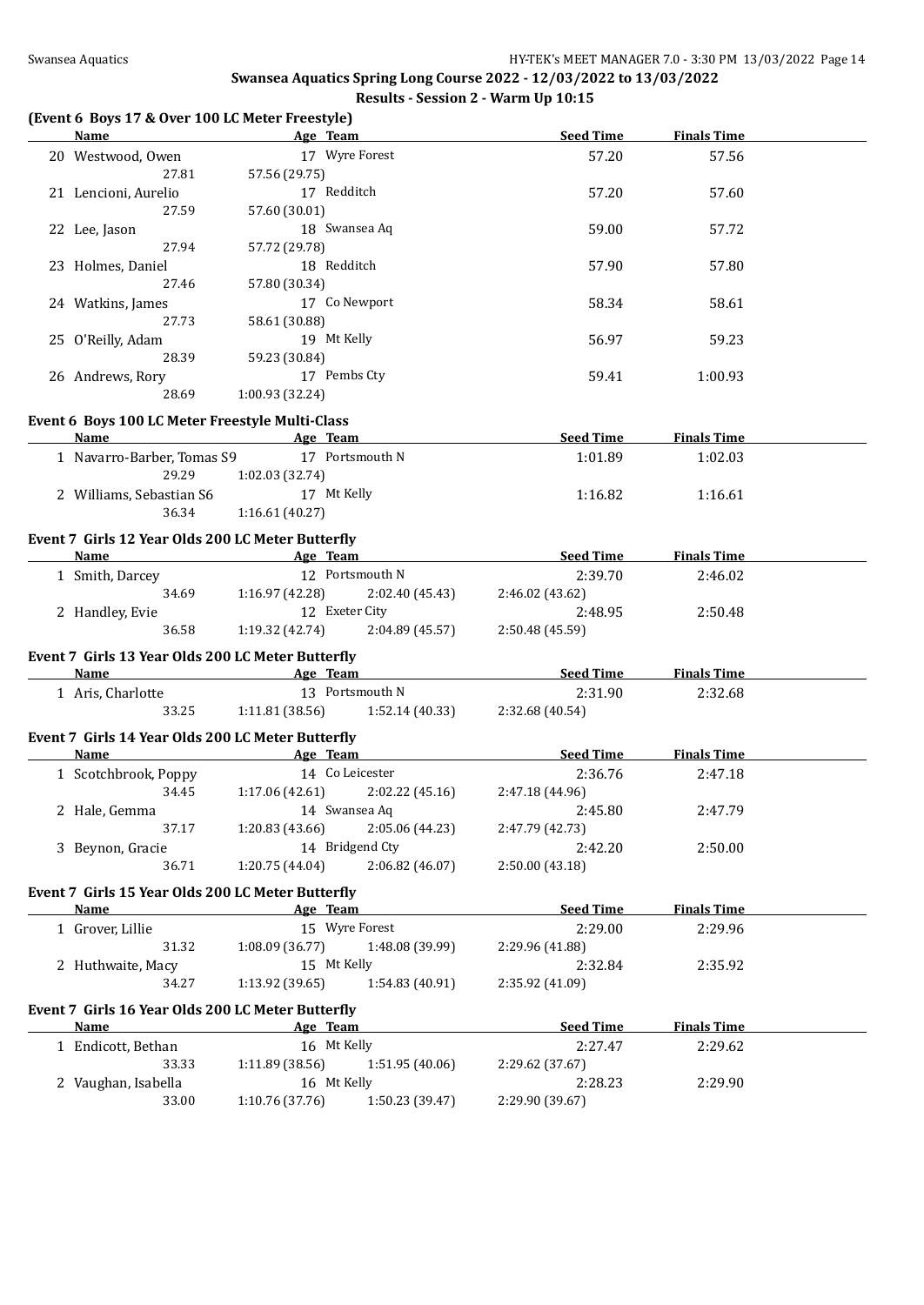#### **(Event 6 Boys 17 & Over 100 LC Meter Freestyle)**

| Name                                                                                                                                                                                                                             |                                   | <b>Example 2018 Age Team</b>                                                                                                                                                                                                         | <b>Seed Time</b>                                                                                                                                                                                                                     | <b>Finals Time</b>    |  |
|----------------------------------------------------------------------------------------------------------------------------------------------------------------------------------------------------------------------------------|-----------------------------------|--------------------------------------------------------------------------------------------------------------------------------------------------------------------------------------------------------------------------------------|--------------------------------------------------------------------------------------------------------------------------------------------------------------------------------------------------------------------------------------|-----------------------|--|
| 20 Westwood, Owen                                                                                                                                                                                                                |                                   | 17 Wyre Forest                                                                                                                                                                                                                       | 57.20                                                                                                                                                                                                                                | 57.56                 |  |
| 27.81                                                                                                                                                                                                                            | 57.56 (29.75)                     |                                                                                                                                                                                                                                      |                                                                                                                                                                                                                                      |                       |  |
| 21 Lencioni, Aurelio                                                                                                                                                                                                             | 17 Redditch                       |                                                                                                                                                                                                                                      | 57.20                                                                                                                                                                                                                                | 57.60                 |  |
| 27.59                                                                                                                                                                                                                            | 57.60 (30.01)                     |                                                                                                                                                                                                                                      |                                                                                                                                                                                                                                      |                       |  |
| 22 Lee, Jason                                                                                                                                                                                                                    |                                   | 18 Swansea Aq                                                                                                                                                                                                                        | 59.00                                                                                                                                                                                                                                | 57.72                 |  |
| 27.94                                                                                                                                                                                                                            | 57.72 (29.78)                     |                                                                                                                                                                                                                                      |                                                                                                                                                                                                                                      |                       |  |
| 23 Holmes, Daniel                                                                                                                                                                                                                | 18 Redditch                       |                                                                                                                                                                                                                                      | 57.90                                                                                                                                                                                                                                | 57.80                 |  |
| 27.46                                                                                                                                                                                                                            | 57.80 (30.34)                     |                                                                                                                                                                                                                                      |                                                                                                                                                                                                                                      |                       |  |
| 24 Watkins, James                                                                                                                                                                                                                |                                   | 17 Co Newport                                                                                                                                                                                                                        | 58.34                                                                                                                                                                                                                                | 58.61                 |  |
| 27.73                                                                                                                                                                                                                            | 58.61 (30.88)                     |                                                                                                                                                                                                                                      |                                                                                                                                                                                                                                      |                       |  |
| 25 O'Reilly, Adam                                                                                                                                                                                                                | 19 Mt Kelly                       |                                                                                                                                                                                                                                      | 56.97                                                                                                                                                                                                                                | 59.23                 |  |
| 28.39                                                                                                                                                                                                                            | 59.23 (30.84)                     |                                                                                                                                                                                                                                      |                                                                                                                                                                                                                                      |                       |  |
|                                                                                                                                                                                                                                  | 17 Pembs Cty                      |                                                                                                                                                                                                                                      |                                                                                                                                                                                                                                      |                       |  |
| 26 Andrews, Rory                                                                                                                                                                                                                 |                                   |                                                                                                                                                                                                                                      | 59.41                                                                                                                                                                                                                                | 1:00.93               |  |
| 28.69                                                                                                                                                                                                                            | 1:00.93 (32.24)                   |                                                                                                                                                                                                                                      |                                                                                                                                                                                                                                      |                       |  |
| Event 6 Boys 100 LC Meter Freestyle Multi-Class                                                                                                                                                                                  |                                   |                                                                                                                                                                                                                                      |                                                                                                                                                                                                                                      |                       |  |
| <b>Name</b>                                                                                                                                                                                                                      |                                   | <b>Example 2.1 Age Team Age Team 2.1 Age Team 2.1 Age Team 2.1 Age Team 2.1 Age Team 2.1 Age Team 2.1 Age Team 2.1 Age Team 2.1 Age Team 2.1 Age Team 2.1 Age Team 2.1 Age Team 2.1 Age Team 2.1 Age Team 2.1 Age Team 2.1 Age T</b> |                                                                                                                                                                                                                                      | Seed Time Finals Time |  |
| 1 Navarro-Barber, Tomas S9 17 Portsmouth N                                                                                                                                                                                       |                                   |                                                                                                                                                                                                                                      | 1:01.89                                                                                                                                                                                                                              | 1:02.03               |  |
| 29.29                                                                                                                                                                                                                            | 1:02.03 (32.74)                   |                                                                                                                                                                                                                                      |                                                                                                                                                                                                                                      |                       |  |
| 2 Williams, Sebastian S6 17 Mt Kelly                                                                                                                                                                                             |                                   |                                                                                                                                                                                                                                      | 1:16.82                                                                                                                                                                                                                              | 1:16.61               |  |
| 36.34                                                                                                                                                                                                                            | 1:16.61 (40.27)                   |                                                                                                                                                                                                                                      |                                                                                                                                                                                                                                      |                       |  |
|                                                                                                                                                                                                                                  |                                   |                                                                                                                                                                                                                                      |                                                                                                                                                                                                                                      |                       |  |
| Event 7 Girls 12 Year Olds 200 LC Meter Butterfly                                                                                                                                                                                |                                   |                                                                                                                                                                                                                                      |                                                                                                                                                                                                                                      |                       |  |
| <b>Name Age Team Age 100 mg/magazing 100 mg/magazing 100 mg/magazing 100 mg/magazing 100 mg/magazing 100 mg/magazing 100 mg/magazing 100 mg/magazing 100 mg/magazing 100 mg/magazing 100 mg/magazing 100 mg/magazing 100 mg/</b> |                                   |                                                                                                                                                                                                                                      |                                                                                                                                                                                                                                      | Seed Time Finals Time |  |
| 1 Smith, Darcey                                                                                                                                                                                                                  |                                   | 12 Portsmouth N                                                                                                                                                                                                                      | 2:39.70                                                                                                                                                                                                                              | 2:46.02               |  |
|                                                                                                                                                                                                                                  |                                   | 34.69 1:16.97 (42.28) 2:02.40 (45.43)                                                                                                                                                                                                | 2:46.02 (43.62)                                                                                                                                                                                                                      |                       |  |
| 2 Handley, Evie                                                                                                                                                                                                                  | 12 Exeter City                    |                                                                                                                                                                                                                                      | 2:48.95                                                                                                                                                                                                                              | 2:50.48               |  |
| 36.58                                                                                                                                                                                                                            | $1:19.32(42.74)$ $2:04.89(45.57)$ |                                                                                                                                                                                                                                      | 2:50.48 (45.59)                                                                                                                                                                                                                      |                       |  |
| Event 7 Girls 13 Year Olds 200 LC Meter Butterfly                                                                                                                                                                                |                                   |                                                                                                                                                                                                                                      |                                                                                                                                                                                                                                      |                       |  |
|                                                                                                                                                                                                                                  |                                   |                                                                                                                                                                                                                                      | <b>Name</b> Seed Time Age Team Seed Time                                                                                                                                                                                             | <b>Finals Time</b>    |  |
| 1 Aris, Charlotte                                                                                                                                                                                                                |                                   | 13 Portsmouth N                                                                                                                                                                                                                      | 2:31.90                                                                                                                                                                                                                              | 2:32.68               |  |
|                                                                                                                                                                                                                                  |                                   | 33.25 1:11.81 (38.56) 1:52.14 (40.33) 2:32.68 (40.54)                                                                                                                                                                                |                                                                                                                                                                                                                                      |                       |  |
|                                                                                                                                                                                                                                  |                                   |                                                                                                                                                                                                                                      |                                                                                                                                                                                                                                      |                       |  |
| Event 7 Girls 14 Year Olds 200 LC Meter Butterfly                                                                                                                                                                                |                                   |                                                                                                                                                                                                                                      |                                                                                                                                                                                                                                      |                       |  |
| <b>Name</b>                                                                                                                                                                                                                      |                                   |                                                                                                                                                                                                                                      | <b>Example 20 Age Team Age of Pressure 20 Age Team Age Team Age 20 Age 20 Age 20 Age 20 Age 20 Age 20 Age 20 Age 20 Age 20 Age 20 Age 20 Age 20 Age 20 Age 20 Age 20 Age 20 Age 20 Age 20 Age 20 Age 20 Age 20 Age 20 Age 20 Age</b> |                       |  |
| 1 Scotchbrook, Poppy                                                                                                                                                                                                             |                                   | 14 Co Leicester                                                                                                                                                                                                                      | 2:36.76                                                                                                                                                                                                                              | 2:47.18               |  |
|                                                                                                                                                                                                                                  |                                   | 34.45 1:17.06 (42.61) 2:02.22 (45.16) 2:47.18 (44.96)                                                                                                                                                                                |                                                                                                                                                                                                                                      |                       |  |
| 2 Hale, Gemma                                                                                                                                                                                                                    |                                   | 14 Swansea Aq                                                                                                                                                                                                                        | 2:45.80                                                                                                                                                                                                                              | 2:47.79               |  |
|                                                                                                                                                                                                                                  |                                   | 37.17 1:20.83 (43.66) 2:05.06 (44.23) 2:47.79 (42.73)                                                                                                                                                                                |                                                                                                                                                                                                                                      |                       |  |
| 3 Beynon, Gracie                                                                                                                                                                                                                 |                                   | 14 Bridgend Cty                                                                                                                                                                                                                      | 2:42.20                                                                                                                                                                                                                              | 2:50.00               |  |
| 36.71                                                                                                                                                                                                                            | 1:20.75 (44.04)                   | 2:06.82 (46.07)                                                                                                                                                                                                                      | 2:50.00 (43.18)                                                                                                                                                                                                                      |                       |  |
| Event 7 Girls 15 Year Olds 200 LC Meter Butterfly                                                                                                                                                                                |                                   |                                                                                                                                                                                                                                      |                                                                                                                                                                                                                                      |                       |  |
| <b>Name</b>                                                                                                                                                                                                                      | Age Team                          |                                                                                                                                                                                                                                      | <b>Seed Time</b>                                                                                                                                                                                                                     | <b>Finals Time</b>    |  |
|                                                                                                                                                                                                                                  |                                   | 15 Wyre Forest                                                                                                                                                                                                                       |                                                                                                                                                                                                                                      |                       |  |
| 1 Grover, Lillie                                                                                                                                                                                                                 |                                   |                                                                                                                                                                                                                                      | 2:29.00                                                                                                                                                                                                                              | 2:29.96               |  |
| 31.32                                                                                                                                                                                                                            | 1:08.09 (36.77)                   | 1:48.08 (39.99)                                                                                                                                                                                                                      | 2:29.96 (41.88)                                                                                                                                                                                                                      |                       |  |
| 2 Huthwaite, Macy                                                                                                                                                                                                                | 15 Mt Kelly                       |                                                                                                                                                                                                                                      | 2:32.84                                                                                                                                                                                                                              | 2:35.92               |  |
| 34.27                                                                                                                                                                                                                            | 1:13.92(39.65)                    | 1:54.83 (40.91)                                                                                                                                                                                                                      | 2:35.92 (41.09)                                                                                                                                                                                                                      |                       |  |
| Event 7 Girls 16 Year Olds 200 LC Meter Butterfly                                                                                                                                                                                |                                   |                                                                                                                                                                                                                                      |                                                                                                                                                                                                                                      |                       |  |
| Name                                                                                                                                                                                                                             | Age Team                          |                                                                                                                                                                                                                                      | <b>Seed Time</b>                                                                                                                                                                                                                     | <b>Finals Time</b>    |  |
| 1 Endicott, Bethan                                                                                                                                                                                                               | 16 Mt Kelly                       |                                                                                                                                                                                                                                      | 2:27.47                                                                                                                                                                                                                              | 2:29.62               |  |
| 33.33                                                                                                                                                                                                                            | 1:11.89 (38.56)                   | 1:51.95 (40.06)                                                                                                                                                                                                                      | 2:29.62 (37.67)                                                                                                                                                                                                                      |                       |  |
| 2 Vaughan, Isabella                                                                                                                                                                                                              | 16 Mt Kelly                       |                                                                                                                                                                                                                                      | 2:28.23                                                                                                                                                                                                                              | 2:29.90               |  |
| 33.00                                                                                                                                                                                                                            | 1:10.76(37.76)                    | 1:50.23 (39.47)                                                                                                                                                                                                                      | 2:29.90 (39.67)                                                                                                                                                                                                                      |                       |  |
|                                                                                                                                                                                                                                  |                                   |                                                                                                                                                                                                                                      |                                                                                                                                                                                                                                      |                       |  |
|                                                                                                                                                                                                                                  |                                   |                                                                                                                                                                                                                                      |                                                                                                                                                                                                                                      |                       |  |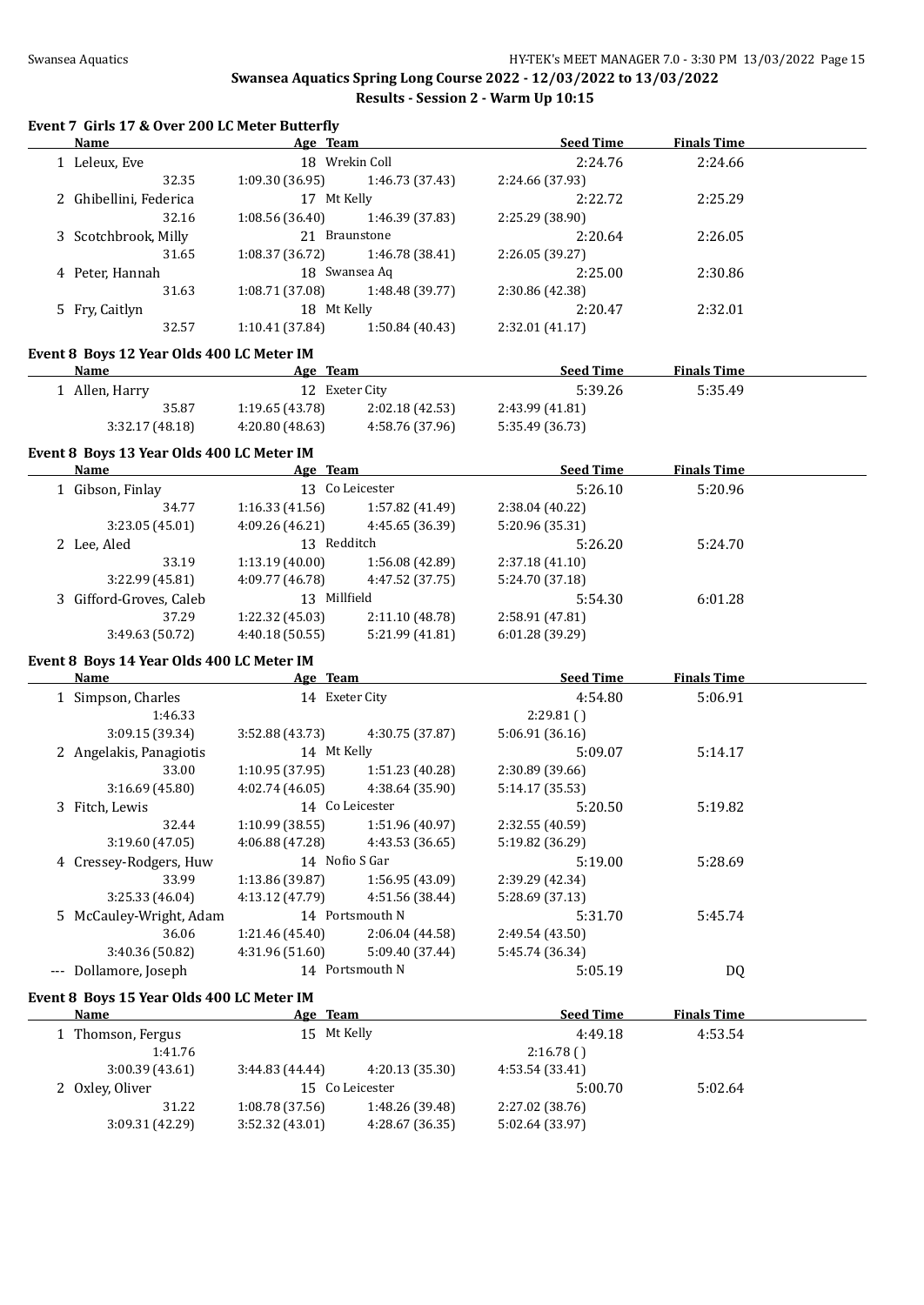#### **Event 7 Girls 17 & Over 200 LC Meter Butterfly**

| Name                                      | Age Team        |                 | <b>Seed Time</b> | <b>Finals Time</b> |  |
|-------------------------------------------|-----------------|-----------------|------------------|--------------------|--|
| 1 Leleux, Eve                             |                 | 18 Wrekin Coll  | 2:24.76          | 2:24.66            |  |
| 32.35                                     | 1:09.30(36.95)  | 1:46.73 (37.43) | 2:24.66 (37.93)  |                    |  |
| 2 Ghibellini, Federica                    | 17 Mt Kelly     |                 | 2:22.72          | 2:25.29            |  |
| 32.16                                     | 1:08.56(36.40)  | 1:46.39 (37.83) | 2:25.29 (38.90)  |                    |  |
| 3 Scotchbrook, Milly                      | 21 Braunstone   |                 | 2:20.64          | 2:26.05            |  |
| 31.65                                     | 1:08.37(36.72)  | 1:46.78 (38.41) | 2:26.05(39.27)   |                    |  |
| 4 Peter, Hannah                           |                 | 18 Swansea Aq   | 2:25.00          | 2:30.86            |  |
| 31.63                                     | 1:08.71 (37.08) | 1:48.48 (39.77) | 2:30.86 (42.38)  |                    |  |
| 5 Fry, Caitlyn                            | 18 Mt Kelly     |                 | 2:20.47          | 2:32.01            |  |
| 32.57                                     | 1:10.41 (37.84) | 1:50.84(40.43)  | 2:32.01(41.17)   |                    |  |
| Event 8 Boys 12 Year Olds 400 LC Meter IM |                 |                 |                  |                    |  |
| <b>Name</b>                               | Age Team        |                 | <b>Seed Time</b> | <b>Finals Time</b> |  |

| 1 Allen, Harry | 12 Exeter City  |                 | 5:39.26         | 5:35.49 |
|----------------|-----------------|-----------------|-----------------|---------|
| 35.87          | 1:19.65(43.78)  | 2:02.18(42.53)  | 2:43.99 (41.81) |         |
| 3:32.17(48.18) | 4:20.80 (48.63) | 4:58.76 (37.96) | 5:35.49 (36.73) |         |

#### **Event 8 Boys 13 Year Olds 400 LC Meter IM**

| <b>Name</b>             | Age Team        |                 | <b>Seed Time</b> | <b>Finals Time</b> |  |
|-------------------------|-----------------|-----------------|------------------|--------------------|--|
| 1 Gibson, Finlay        |                 | 13 Co Leicester | 5:26.10          | 5:20.96            |  |
| 34.77                   | 1:16.33(41.56)  | 1:57.82 (41.49) | 2:38.04 (40.22)  |                    |  |
| 3:23.05(45.01)          | 4:09.26(46.21)  | 4:45.65 (36.39) | 5:20.96 (35.31)  |                    |  |
| 2 Lee, Aled             | 13 <sup>7</sup> | Redditch        | 5:26.20          | 5:24.70            |  |
| 33.19                   | 1:13.19(40.00)  | 1:56.08 (42.89) | 2:37.18(41.10)   |                    |  |
| 3:22.99(45.81)          | 4:09.77 (46.78) | 4:47.52 (37.75) | 5:24.70 (37.18)  |                    |  |
| 3 Gifford-Groves, Caleb | 13 Millfield    |                 | 5:54.30          | 6:01.28            |  |
| 37.29                   | 1:22.32 (45.03) | 2:11.10 (48.78) | 2:58.91 (47.81)  |                    |  |
| 3:49.63 (50.72)         | 4:40.18(50.55)  | 5:21.99 (41.81) | 6:01.28(39.29)   |                    |  |
|                         |                 |                 |                  |                    |  |

#### **Event 8 Boys 14 Year Olds 400 LC Meter IM**

| Name                    | Age Team        |                 | <b>Seed Time</b> | <b>Finals Time</b> |  |
|-------------------------|-----------------|-----------------|------------------|--------------------|--|
| 1 Simpson, Charles      | 14 Exeter City  |                 | 4:54.80          | 5:06.91            |  |
| 1:46.33                 |                 |                 | 2:29.81()        |                    |  |
| 3:09.15(39.34)          | 3:52.88(43.73)  | 4:30.75 (37.87) | 5:06.91(36.16)   |                    |  |
| 2 Angelakis, Panagiotis | 14 Mt Kelly     |                 | 5:09.07          | 5:14.17            |  |
| 33.00                   | 1:10.95(37.95)  | 1:51.23(40.28)  | 2:30.89 (39.66)  |                    |  |
| 3:16.69(45.80)          | 4:02.74(46.05)  | 4:38.64 (35.90) | 5:14.17 (35.53)  |                    |  |
| 3 Fitch, Lewis          |                 | 14 Co Leicester | 5:20.50          | 5:19.82            |  |
| 32.44                   | 1:10.99(38.55)  | 1:51.96 (40.97) | 2:32.55 (40.59)  |                    |  |
| 3:19.60(47.05)          | 4:06.88(47.28)  | 4:43.53 (36.65) | 5:19.82 (36.29)  |                    |  |
| 4 Cressey-Rodgers, Huw  | 14 Nofio S Gar  |                 | 5:19.00          | 5:28.69            |  |
| 33.99                   | 1:13.86(39.87)  | 1:56.95(43.09)  | 2:39.29 (42.34)  |                    |  |
| 3:25.33(46.04)          | 4:13.12 (47.79) | 4:51.56 (38.44) | 5:28.69 (37.13)  |                    |  |
| 5 McCauley-Wright, Adam |                 | 14 Portsmouth N | 5:31.70          | 5:45.74            |  |
| 36.06                   | 1:21.46(45.40)  | 2:06.04(44.58)  | 2:49.54 (43.50)  |                    |  |
| 3:40.36 (50.82)         | 4:31.96(51.60)  | 5:09.40 (37.44) | 5:45.74 (36.34)  |                    |  |
| Dollamore, Joseph       |                 | 14 Portsmouth N | 5:05.19          | DQ                 |  |
|                         |                 |                 |                  |                    |  |

#### **Event 8 Boys 15 Year Olds 400 LC Meter IM**

| <b>Name</b>     | Age Team       |                 | <b>Seed Time</b> | <b>Finals Time</b> |  |
|-----------------|----------------|-----------------|------------------|--------------------|--|
| Thomson, Fergus | 15 Mt Kelly    |                 | 4:49.18          | 4:53.54            |  |
| 1:41.76         |                |                 | 2:16.78()        |                    |  |
| 3:00.39(43.61)  | 3:44.83(44.44) | 4:20.13 (35.30) | 4:53.54 (33.41)  |                    |  |
| 2 Oxley, Oliver | 15             | Co Leicester    | 5:00.70          | 5:02.64            |  |
| 31.22           | 1:08.78(37.56) | 1:48.26 (39.48) | 2:27.02 (38.76)  |                    |  |
| 3:09.31 (42.29) | 3:52.32(43.01) | 4:28.67 (36.35) | 5:02.64 (33.97)  |                    |  |
|                 |                |                 |                  |                    |  |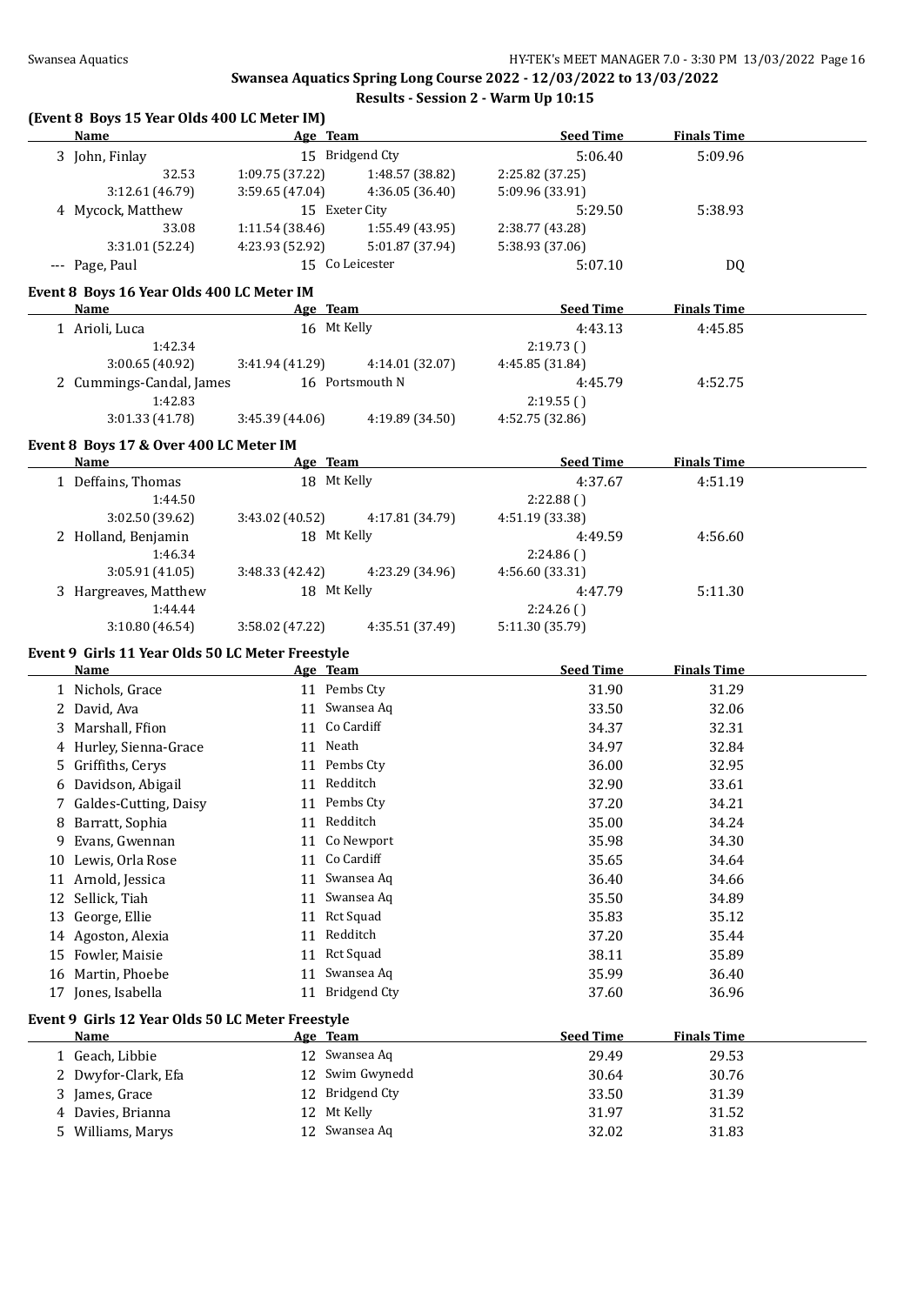#### **(Event 8 Boys 15 Year Olds 400 LC Meter IM) Name Age Team Seed Time Finals Time** 3 John, Finlay 15 Bridgend Cty 5:06.40 5:09.96 32.53 1:09.75 (37.22) 1:48.57 (38.82) 2:25.82 (37.25) 3:12.61 (46.79) 3:59.65 (47.04) 4:36.05 (36.40) 5:09.96 (33.91) 4 Mycock, Matthew 15 Exeter City 5:29.50 5:38.93 33.08 1:11.54 (38.46) 1:55.49 (43.95) 2:38.77 (43.28) 3:31.01 (52.24) 4:23.93 (52.92) 5:01.87 (37.94) 5:38.93 (37.06) --- Page, Paul 15 Co Leicester 5:07.10 DQ **Event 8 Boys 16 Year Olds 400 LC Meter IM Age Team Seed Time Finals Time** 1 Arioli, Luca 16 Mt Kelly 4:43.13 4:45.85 1:42.34 2:19.73 ( ) 3:00.65 (40.92) 3:41.94 (41.29) 4:14.01 (32.07) 4:45.85 (31.84) 2 Cummings-Candal, James 16 Portsmouth N 4:45.79 4:52.75 1:42.83 2:19.55 ( ) 3:01.33 (41.78) 3:45.39 (44.06) 4:19.89 (34.50) 4:52.75 (32.86) **Event 8 Boys 17 & Over 400 LC Meter IM Name Age Team Seed Time Finals Time** 1 Deffains, Thomas 18 Mt Kelly 4:37.67 4:51.19 1:44.50 2:22.88 ( ) 3:02.50 (39.62) 3:43.02 (40.52) 4:17.81 (34.79) 4:51.19 (33.38) 2 Holland, Benjamin 18 Mt Kelly 4:49.59 4:56.60 1:46.34 2:24.86 ( ) 3:05.91 (41.05) 3:48.33 (42.42) 4:23.29 (34.96) 4:56.60 (33.31) 3 Hargreaves, Matthew 18 Mt Kelly 4:47.79 5:11.30 1:44.44 2:24.26 ( ) 3:10.80 (46.54) 3:58.02 (47.22) 4:35.51 (37.49) 5:11.30 (35.79) **Event 9 Girls 11 Year Olds 50 LC Meter Freestyle Name Age Team Seed Time Finals Time** 1 Nichols, Grace 11 Pembs Cty 31.90 31.29 2 David, Ava 11 Swansea Aq 33.50 32.06 3 Marshall, Ffion 11 Co Cardiff 34.37 32.31 4 Hurley, Sienna-Grace 11 Neath 34.97 32.84 5 Griffiths, Cerys 11 Pembs Cty 36.00 32.95 6 Davidson, Abigail 11 Redditch 32.90 33.61 7 Galdes-Cutting, Daisy 11 Pembs Cty 37.20 34.21 8 Barratt, Sophia 11 Redditch 35.00 34.24 9 Evans, Gwennan 11 Co Newport 35.98 34.30 10 Lewis, Orla Rose 11 Co Cardiff 35.65 34.64 11 Arnold, Jessica **11 Swansea Aq 56.40** 36.40 34.66 12 Sellick, Tiah 11 Swansea Aq 35.50 34.89 13 George, Ellie 11 Rct Squad 35.83 35.12 14 Agoston, Alexia 11 Redditch 37.20 35.44 15 Fowler, Maisie 11 Rct Squad 38.11 35.89 16 Martin, Phoebe 26.40 2011 2012 11 Swansea Aq 35.99 36.40 17 Jones, Isabella 11 Bridgend Cty 37.60 36.96 **Event 9 Girls 12 Year Olds 50 LC Meter Freestyle Name Age Team Seed Time Finals Time** 1 Geach, Libbie 12 Swansea Aq 29.49 29.53 2 Dwyfor-Clark, Efa 12 Swim Gwynedd 30.64 30.76 3 James, Grace 12 Bridgend Cty 33.50 31.39 4 Davies, Brianna 12 Mt Kelly 31.97 31.52 5 Williams, Marys 12 Swansea Aq 32.02 31.83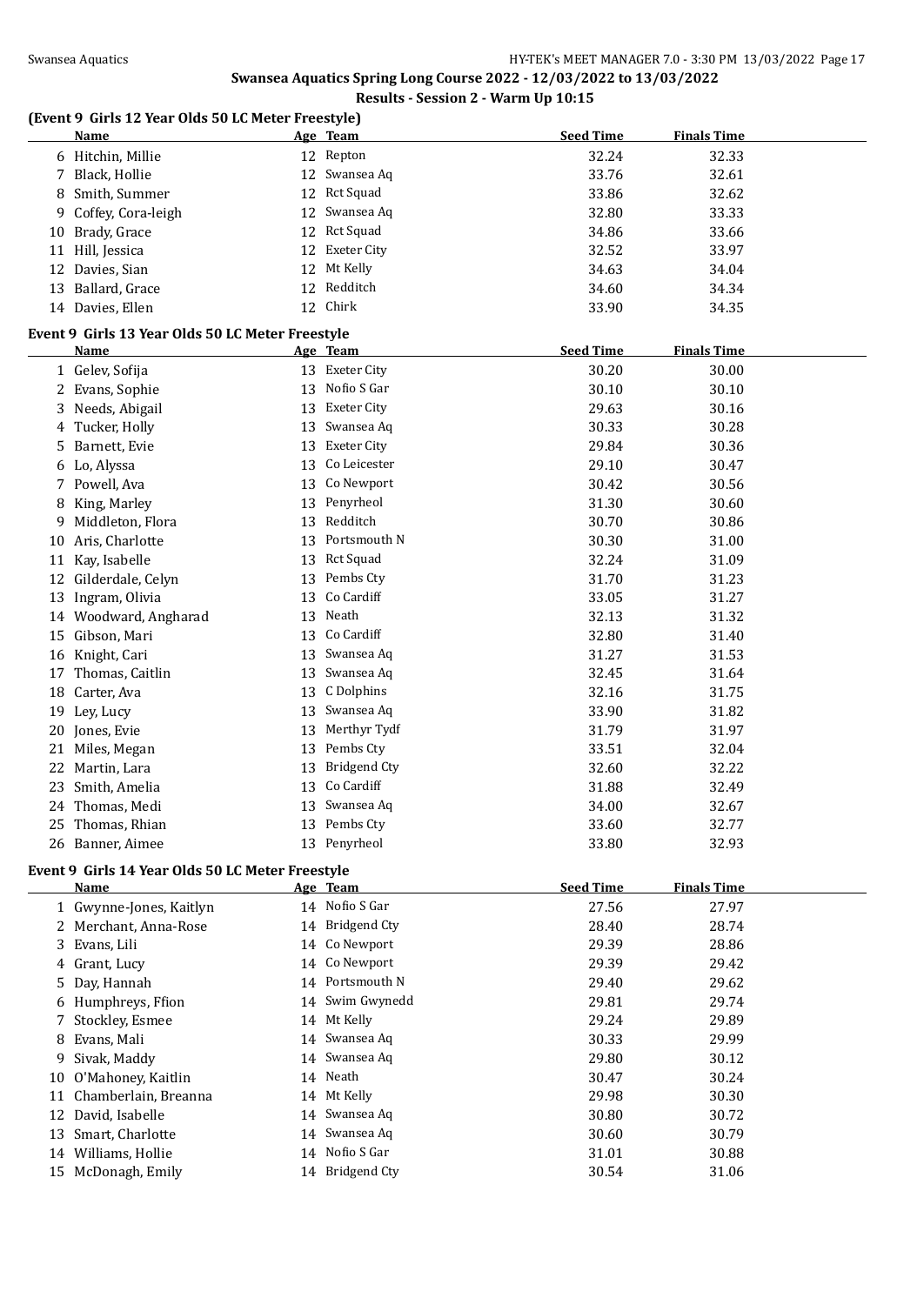# **Swansea Aquatics Spring Long Course 2022 - 12/03/2022 to 13/03/2022**

#### **Results - Session 2 - Warm Up 10:15**

### **(Event 9 Girls 12 Year Olds 50 LC Meter Freestyle)**

|    | Name                                             |    | Age Team            | <b>Seed Time</b> | <b>Finals Time</b> |
|----|--------------------------------------------------|----|---------------------|------------------|--------------------|
|    | 6 Hitchin, Millie                                |    | 12 Repton           | 32.24            | 32.33              |
| 7  | Black, Hollie                                    | 12 | Swansea Aq          | 33.76            | 32.61              |
| 8  | Smith, Summer                                    | 12 | <b>Rct Squad</b>    | 33.86            | 32.62              |
| 9  | Coffey, Cora-leigh                               | 12 | Swansea Aq          | 32.80            | 33.33              |
| 10 | Brady, Grace                                     | 12 | <b>Rct Squad</b>    | 34.86            | 33.66              |
|    | 11 Hill, Jessica                                 | 12 | <b>Exeter City</b>  | 32.52            | 33.97              |
|    | 12 Davies, Sian                                  | 12 | Mt Kelly            | 34.63            | 34.04              |
|    | 13 Ballard, Grace                                | 12 | Redditch            | 34.60            | 34.34              |
|    | 14 Davies, Ellen                                 | 12 | Chirk               | 33.90            | 34.35              |
|    |                                                  |    |                     |                  |                    |
|    | Event 9 Girls 13 Year Olds 50 LC Meter Freestyle |    |                     |                  |                    |
|    | <b>Name</b>                                      |    | Age Team            | <b>Seed Time</b> | <b>Finals Time</b> |
|    | 1 Gelev, Sofija                                  |    | 13 Exeter City      | 30.20            | 30.00              |
|    | 2 Evans, Sophie                                  | 13 | Nofio S Gar         | 30.10            | 30.10              |
|    | 3 Needs, Abigail                                 | 13 | <b>Exeter City</b>  | 29.63            | 30.16              |
|    | 4 Tucker, Holly                                  | 13 | Swansea Aq          | 30.33            | 30.28              |
| 5  | Barnett, Evie                                    | 13 | Exeter City         | 29.84            | 30.36              |
|    | 6 Lo, Alyssa                                     | 13 | Co Leicester        | 29.10            | 30.47              |
|    | 7 Powell, Ava                                    | 13 | Co Newport          | 30.42            | 30.56              |
| 8  | King, Marley                                     | 13 | Penyrheol           | 31.30            | 30.60              |
| 9. | Middleton, Flora                                 | 13 | Redditch            | 30.70            | 30.86              |
|    | 10 Aris, Charlotte                               | 13 | Portsmouth N        | 30.30            | 31.00              |
|    | 11 Kay, Isabelle                                 | 13 | Rct Squad           | 32.24            | 31.09              |
|    | 12 Gilderdale, Celyn                             | 13 | Pembs Cty           | 31.70            | 31.23              |
| 13 | Ingram, Olivia                                   | 13 | Co Cardiff          | 33.05            | 31.27              |
|    | 14 Woodward, Angharad                            | 13 | Neath               | 32.13            | 31.32              |
|    | 15 Gibson, Mari                                  | 13 | Co Cardiff          | 32.80            | 31.40              |
|    | 16 Knight, Cari                                  | 13 | Swansea Aq          | 31.27            | 31.53              |
| 17 | Thomas, Caitlin                                  | 13 | Swansea Aq          | 32.45            | 31.64              |
|    | 18 Carter, Ava                                   | 13 | C Dolphins          | 32.16            | 31.75              |
| 19 | Ley, Lucy                                        | 13 | Swansea Aq          | 33.90            | 31.82              |
|    | 20 Jones, Evie                                   | 13 | Merthyr Tydf        | 31.79            | 31.97              |
|    | 21 Miles, Megan                                  | 13 | Pembs Cty           | 33.51            | 32.04              |
|    | 22 Martin, Lara                                  | 13 | <b>Bridgend Cty</b> | 32.60            | 32.22              |
| 23 | Smith, Amelia                                    | 13 | Co Cardiff          | 31.88            | 32.49              |
|    | 24 Thomas, Medi                                  |    | 13 Swansea Aq       | 34.00            | 32.67              |
|    | 25 Thomas, Rhian                                 |    | 13 Pembs Cty        | 33.60            | 32.77              |
|    | 26 Banner, Aimee                                 |    | 13 Penyrheol        | 33.80            | 32.93              |
|    | Event 9 Girls 14 Year Olds 50 LC Meter Freestyle |    |                     |                  |                    |
|    | <u>Name</u>                                      |    | Age Team            | <b>Seed Time</b> | <b>Finals Time</b> |
|    | 1 Gwynne-Jones, Kaitlyn                          |    | 14 Nofio S Gar      | 27.56            | 27.97              |
|    | 2 Merchant, Anna-Rose                            |    | 14 Bridgend Cty     | 28.40            | 28.74              |
|    | 3 Evans, Lili                                    |    | 14 Co Newport       | 29.39            | 28.86              |
|    | 4 Grant, Lucy                                    |    | 14 Co Newport       | 29.39            | 29.42              |
| 5. | Day, Hannah                                      |    | 14 Portsmouth N     | 29.40            | 29.62              |
|    | 6 Humphreys, Ffion                               |    | 14 Swim Gwynedd     | 29.81            | 29.74              |
| 7  | Stockley, Esmee                                  |    | 14 Mt Kelly         | 29.24            | 29.89              |
| 8  | Evans, Mali                                      |    | 14 Swansea Aq       | 30.33            | 29.99              |
| 9  | Sivak, Maddy                                     |    | 14 Swansea Aq       | 29.80            | 30.12              |
|    | 10 O'Mahoney, Kaitlin                            |    | 14 Neath            | 30.47            | 30.24              |
|    | 11 Chamberlain, Breanna                          |    | 14 Mt Kelly         | 29.98            | 30.30              |
|    | 12 David, Isabelle                               |    | 14 Swansea Aq       | 30.80            | 30.72              |
| 13 | Smart, Charlotte                                 |    | 14 Swansea Aq       | 30.60            | 30.79              |
|    | 14 Williams, Hollie                              |    | 14 Nofio S Gar      | 31.01            | 30.88              |
|    | 15 McDonagh, Emily                               |    | 14 Bridgend Cty     | 30.54            | 31.06              |
|    |                                                  |    |                     |                  |                    |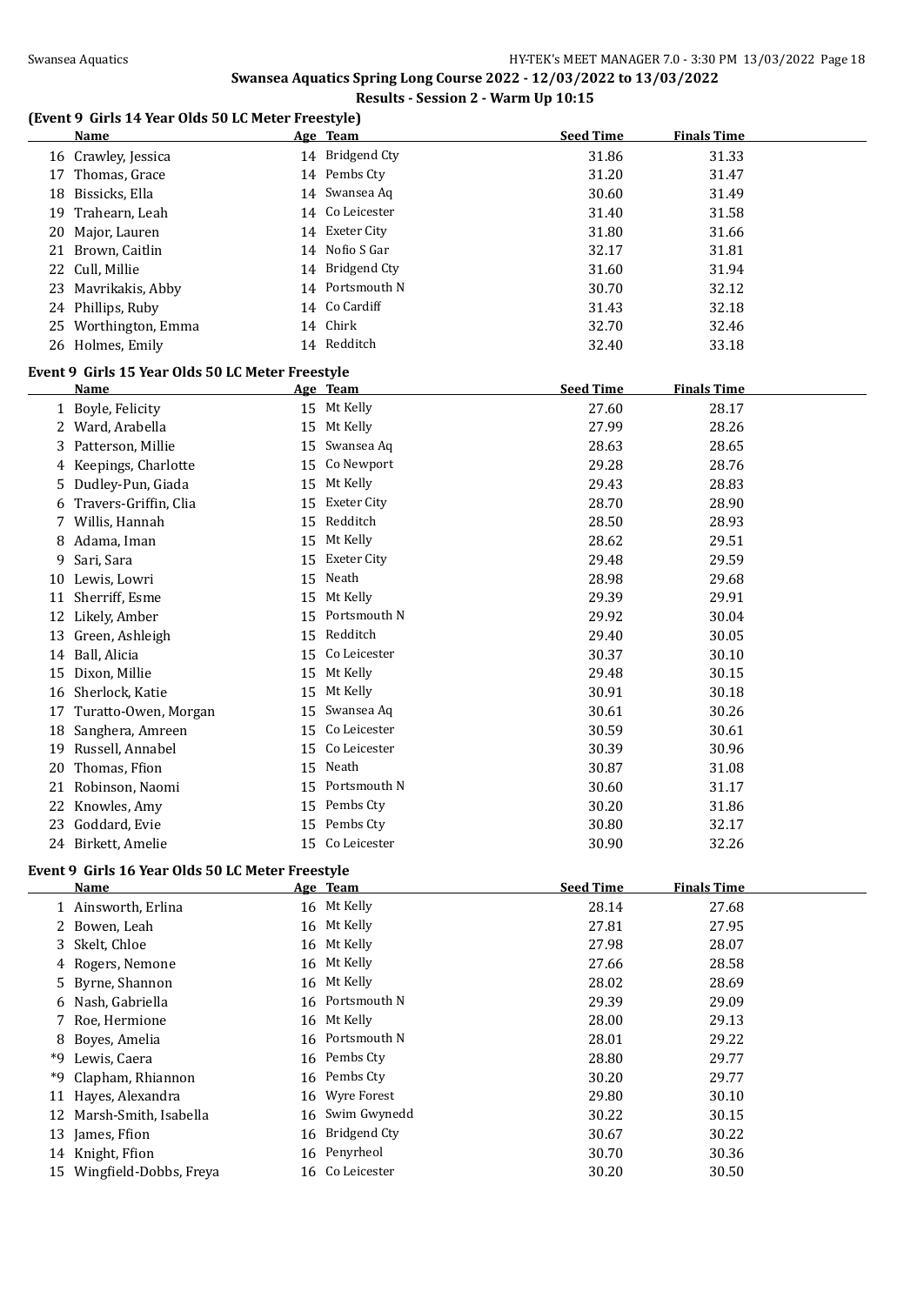# **(Event 9 Girls 14 Year Olds 50 LC Meter Freestyle)**

|    | <b>Name</b>                                      |    | Age Team            | <b>Seed Time</b> | <b>Finals Time</b> |
|----|--------------------------------------------------|----|---------------------|------------------|--------------------|
|    | 16 Crawley, Jessica                              |    | 14 Bridgend Cty     | 31.86            | 31.33              |
|    | 17 Thomas, Grace                                 |    | 14 Pembs Cty        | 31.20            | 31.47              |
|    | 18 Bissicks, Ella                                |    | 14 Swansea Aq       | 30.60            | 31.49              |
| 19 | Trahearn, Leah                                   |    | 14 Co Leicester     | 31.40            | 31.58              |
| 20 | Major, Lauren                                    |    | 14 Exeter City      | 31.80            | 31.66              |
|    | 21 Brown, Caitlin                                |    | 14 Nofio S Gar      | 32.17            | 31.81              |
|    | 22 Cull, Millie                                  |    | 14 Bridgend Cty     | 31.60            | 31.94              |
|    | 23 Mavrikakis, Abby                              |    | 14 Portsmouth N     | 30.70            | 32.12              |
|    | 24 Phillips, Ruby                                |    | 14 Co Cardiff       | 31.43            | 32.18              |
|    | 25 Worthington, Emma                             |    | 14 Chirk            | 32.70            | 32.46              |
|    | 26 Holmes, Emily                                 |    | 14 Redditch         | 32.40            | 33.18              |
|    |                                                  |    |                     |                  |                    |
|    | Event 9 Girls 15 Year Olds 50 LC Meter Freestyle |    |                     |                  |                    |
|    | <b>Name</b>                                      |    | Age Team            | <b>Seed Time</b> | <b>Finals Time</b> |
|    | 1 Boyle, Felicity                                |    | 15 Mt Kelly         | 27.60            | 28.17              |
|    | 2 Ward, Arabella                                 |    | 15 Mt Kelly         | 27.99            | 28.26              |
|    | 3 Patterson, Millie                              |    | 15 Swansea Aq       | 28.63            | 28.65              |
|    | 4 Keepings, Charlotte                            |    | 15 Co Newport       | 29.28            | 28.76              |
|    | 5 Dudley-Pun, Giada                              |    | 15 Mt Kelly         | 29.43            | 28.83              |
|    | 6 Travers-Griffin, Clia                          |    | 15 Exeter City      | 28.70            | 28.90              |
|    | 7 Willis, Hannah                                 |    | 15 Redditch         | 28.50            | 28.93              |
|    | 8 Adama, Iman                                    |    | 15 Mt Kelly         | 28.62            | 29.51              |
| 9  | Sari, Sara                                       | 15 | Exeter City         | 29.48            | 29.59              |
|    | 10 Lewis, Lowri                                  |    | 15 Neath            | 28.98            | 29.68              |
| 11 | Sherriff, Esme                                   |    | 15 Mt Kelly         | 29.39            | 29.91              |
| 12 | Likely, Amber                                    | 15 | Portsmouth N        | 29.92            | 30.04              |
|    | 13 Green, Ashleigh                               | 15 | Redditch            | 29.40            | 30.05              |
|    | 14 Ball, Alicia                                  | 15 | Co Leicester        | 30.37            | 30.10              |
|    | 15 Dixon, Millie                                 |    | 15 Mt Kelly         | 29.48            | 30.15              |
|    | 16 Sherlock, Katie                               | 15 | Mt Kelly            | 30.91            | 30.18              |
|    | 17 Turatto-Owen, Morgan                          |    | 15 Swansea Aq       | 30.61            | 30.26              |
| 18 | Sanghera, Amreen                                 |    | 15 Co Leicester     | 30.59            | 30.61              |
|    | 19 Russell, Annabel                              |    | 15 Co Leicester     | 30.39            | 30.96              |
| 20 | Thomas, Ffion                                    |    | 15 Neath            | 30.87            | 31.08              |
|    | 21 Robinson, Naomi                               |    | 15 Portsmouth N     | 30.60            | 31.17              |
|    | 22 Knowles, Amy                                  |    | 15 Pembs Cty        | 30.20            | 31.86              |
|    | 23 Goddard, Evie                                 |    | 15 Pembs Cty        | 30.80            | 32.17              |
|    | 24 Birkett, Amelie                               |    | 15 Co Leicester     | 30.90            | 32.26              |
|    |                                                  |    |                     |                  |                    |
|    | Event 9 Girls 16 Year Olds 50 LC Meter Freestyle |    |                     |                  |                    |
|    | <u>Name</u>                                      |    | Age Team            | <b>Seed Time</b> | <b>Finals Time</b> |
|    | 1 Ainsworth, Erlina                              |    | 16 Mt Kelly         | 28.14            | 27.68              |
|    | 2 Bowen, Leah                                    |    | 16 Mt Kelly         | 27.81            | 27.95              |
|    | 3 Skelt, Chloe                                   |    | 16 Mt Kelly         | 27.98            | 28.07              |
|    | 4 Rogers, Nemone                                 |    | 16 Mt Kelly         | 27.66            | 28.58              |
| 5  | Byrne, Shannon                                   |    | 16 Mt Kelly         | 28.02            | 28.69              |
|    | 6 Nash, Gabriella                                |    | 16 Portsmouth N     | 29.39            | 29.09              |
| 7  | Roe, Hermione                                    |    | 16 Mt Kelly         | 28.00            | 29.13              |
| 8  | Boyes, Amelia                                    |    | 16 Portsmouth N     | 28.01            | 29.22              |
|    | *9 Lewis, Caera                                  |    | 16 Pembs Cty        | 28.80            | 29.77              |
| *9 | Clapham, Rhiannon                                |    | 16 Pembs Cty        | 30.20            | 29.77              |
| 11 | Hayes, Alexandra                                 | 16 | Wyre Forest         | 29.80            | 30.10              |
| 12 | Marsh-Smith, Isabella                            | 16 | Swim Gwynedd        | 30.22            | 30.15              |
|    | 13 James, Ffion                                  | 16 | <b>Bridgend Cty</b> | 30.67            | 30.22              |
|    | 14 Knight, Ffion                                 |    | 16 Penyrheol        | 30.70            | 30.36              |
|    |                                                  |    |                     |                  |                    |

Wingfield-Dobbs, Freya 16 Co Leicester 30.20 30.50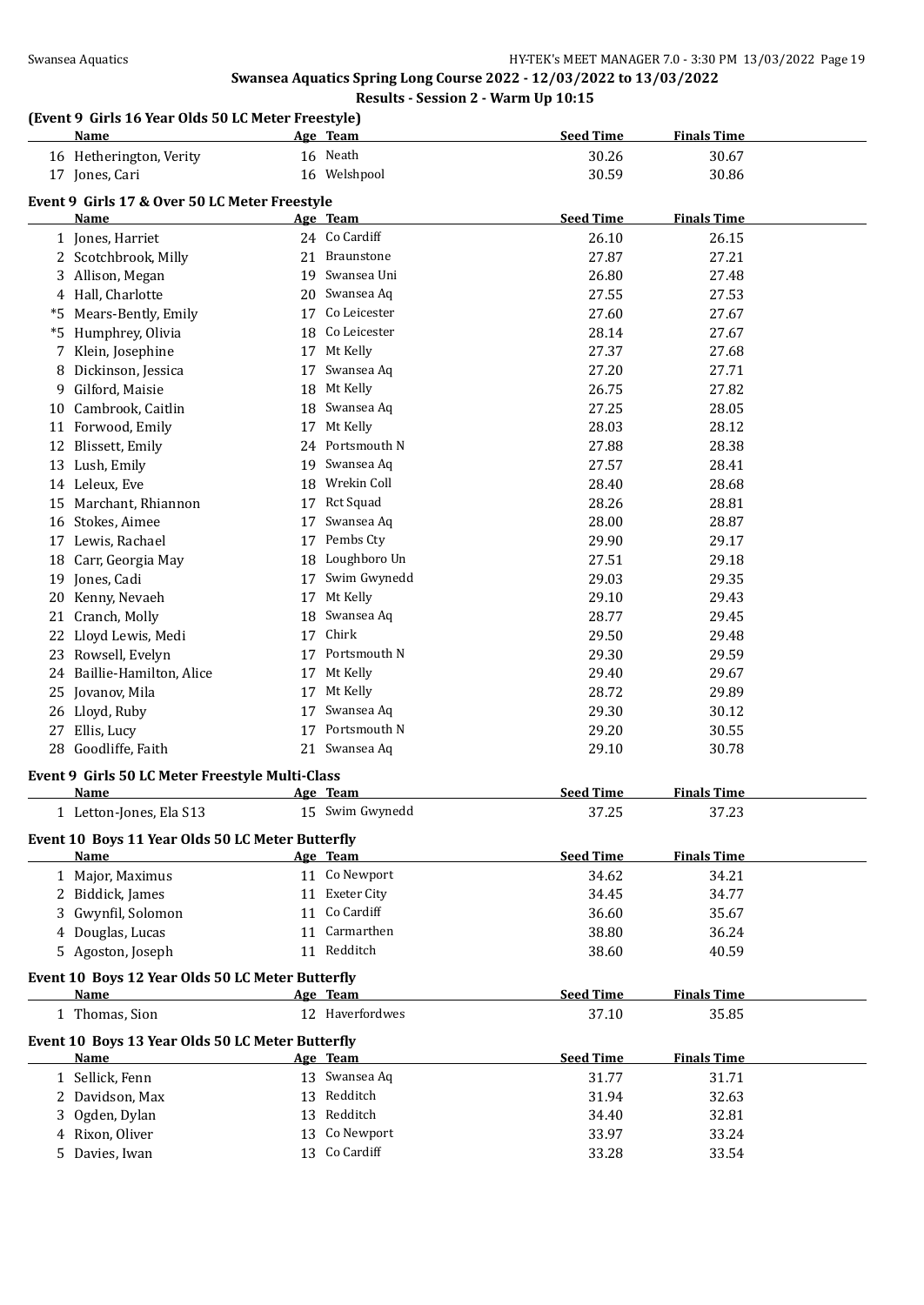# **(Event 9 Girls 16 Year Olds 50 LC Meter Freestyle)**

|    | and to real ones so be meter rreestyle)          |    |                                  | <b>Seed Time</b> | <b>Finals Time</b> |  |
|----|--------------------------------------------------|----|----------------------------------|------------------|--------------------|--|
|    | <u>Name</u>                                      |    | Age Team                         |                  |                    |  |
|    | 16 Hetherington, Verity                          |    | 16 Neath                         | 30.26            | 30.67              |  |
|    | 17 Jones, Cari                                   |    | 16 Welshpool                     | 30.59            | 30.86              |  |
|    | Event 9 Girls 17 & Over 50 LC Meter Freestyle    |    |                                  |                  |                    |  |
|    | Name                                             |    | Age Team                         | <b>Seed Time</b> | <b>Finals Time</b> |  |
|    | 1 Jones, Harriet                                 |    | 24 Co Cardiff                    | 26.10            | 26.15              |  |
|    | 2 Scotchbrook, Milly                             | 21 | <b>Braunstone</b>                | 27.87            | 27.21              |  |
| 3  | Allison, Megan                                   |    | 19 Swansea Uni                   | 26.80            | 27.48              |  |
|    | 4 Hall, Charlotte                                |    | 20 Swansea Aq                    | 27.55            | 27.53              |  |
| *5 | Mears-Bently, Emily                              | 17 | Co Leicester                     | 27.60            | 27.67              |  |
|    | *5 Humphrey, Olivia                              | 18 | Co Leicester                     | 28.14            | 27.67              |  |
| 7  | Klein, Josephine                                 |    | 17 Mt Kelly                      | 27.37            | 27.68              |  |
| 8  | Dickinson, Jessica                               | 17 | Swansea Aq                       | 27.20            | 27.71              |  |
|    | 9 Gilford, Maisie                                |    | 18 Mt Kelly                      | 26.75            | 27.82              |  |
|    | 10 Cambrook, Caitlin                             | 18 | Swansea Aq                       | 27.25            | 28.05              |  |
|    | 11 Forwood, Emily                                | 17 | Mt Kelly                         | 28.03            | 28.12              |  |
|    | 12 Blissett, Emily                               | 24 | Portsmouth N                     | 27.88            | 28.38              |  |
|    | 13 Lush, Emily                                   |    | 19 Swansea Aq                    | 27.57            | 28.41              |  |
|    | 14 Leleux, Eve                                   |    | 18 Wrekin Coll                   | 28.40            | 28.68              |  |
|    | 15 Marchant, Rhiannon                            |    | 17 Rct Squad                     | 28.26            | 28.81              |  |
|    | 16 Stokes, Aimee                                 | 17 | Swansea Aq                       | 28.00            | 28.87              |  |
|    | 17 Lewis, Rachael                                | 17 | Pembs Cty                        | 29.90            | 29.17              |  |
|    | 18 Carr, Georgia May                             | 18 | Loughboro Un                     | 27.51            | 29.18              |  |
|    | 19 Jones, Cadi                                   | 17 | Swim Gwynedd                     | 29.03            | 29.35              |  |
|    | 20 Kenny, Nevaeh                                 |    | 17 Mt Kelly                      | 29.10            | 29.43              |  |
|    | 21 Cranch, Molly                                 | 18 | Swansea Aq                       | 28.77            | 29.45              |  |
| 22 | Lloyd Lewis, Medi                                | 17 | Chirk                            | 29.50            | 29.48              |  |
|    | 23 Rowsell, Evelyn                               |    | 17 Portsmouth N                  | 29.30            | 29.59              |  |
|    | 24 Baillie-Hamilton, Alice                       |    | 17 Mt Kelly                      | 29.40            | 29.67              |  |
|    |                                                  |    | 17 Mt Kelly                      | 28.72            |                    |  |
| 25 | Jovanov, Mila                                    |    |                                  |                  | 29.89              |  |
|    | 26 Lloyd, Ruby                                   |    | 17 Swansea Aq<br>17 Portsmouth N | 29.30            | 30.12              |  |
| 27 | Ellis, Lucy                                      |    |                                  | 29.20            | 30.55              |  |
|    | 28 Goodliffe, Faith                              |    | 21 Swansea Aq                    | 29.10            | 30.78              |  |
|    | Event 9 Girls 50 LC Meter Freestyle Multi-Class  |    |                                  |                  |                    |  |
|    | Name                                             |    | Age Team                         | <b>Seed Time</b> | <b>Finals Time</b> |  |
|    | 1 Letton-Jones, Ela S13                          |    | 15 Swim Gwynedd                  | 37.25            | 37.23              |  |
|    | Event 10 Boys 11 Year Olds 50 LC Meter Butterfly |    |                                  |                  |                    |  |
|    | Name                                             |    | Age Team                         | <b>Seed Time</b> | <b>Finals Time</b> |  |
|    | 1 Major, Maximus                                 |    | 11 Co Newport                    | 34.62            | 34.21              |  |
|    | 2 Biddick, James                                 |    | 11 Exeter City                   | 34.45            | 34.77              |  |
|    | 3 Gwynfil, Solomon                               |    | 11 Co Cardiff                    | 36.60            | 35.67              |  |
|    | 4 Douglas, Lucas                                 |    | 11 Carmarthen                    | 38.80            | 36.24              |  |
|    | 5 Agoston, Joseph                                |    | 11 Redditch                      | 38.60            | 40.59              |  |
|    |                                                  |    |                                  |                  |                    |  |
|    | Event 10 Boys 12 Year Olds 50 LC Meter Butterfly |    |                                  |                  |                    |  |
|    | <b>Name</b>                                      |    | Age Team                         | <b>Seed Time</b> | <b>Finals Time</b> |  |
|    | 1 Thomas, Sion                                   |    | 12 Haverfordwes                  | 37.10            | 35.85              |  |
|    | Event 10 Boys 13 Year Olds 50 LC Meter Butterfly |    |                                  |                  |                    |  |
|    | <b>Name</b>                                      |    | Age Team                         | <b>Seed Time</b> | <b>Finals Time</b> |  |
|    | 1 Sellick, Fenn                                  |    | 13 Swansea Aq                    | 31.77            | 31.71              |  |
|    | 2 Davidson, Max                                  |    | 13 Redditch                      | 31.94            | 32.63              |  |
|    | 3 Ogden, Dylan                                   |    | 13 Redditch                      | 34.40            | 32.81              |  |
|    | 4 Rixon, Oliver                                  |    | 13 Co Newport                    | 33.97            | 33.24              |  |
|    | 5 Davies, Iwan                                   |    | 13 Co Cardiff                    | 33.28            | 33.54              |  |
|    |                                                  |    |                                  |                  |                    |  |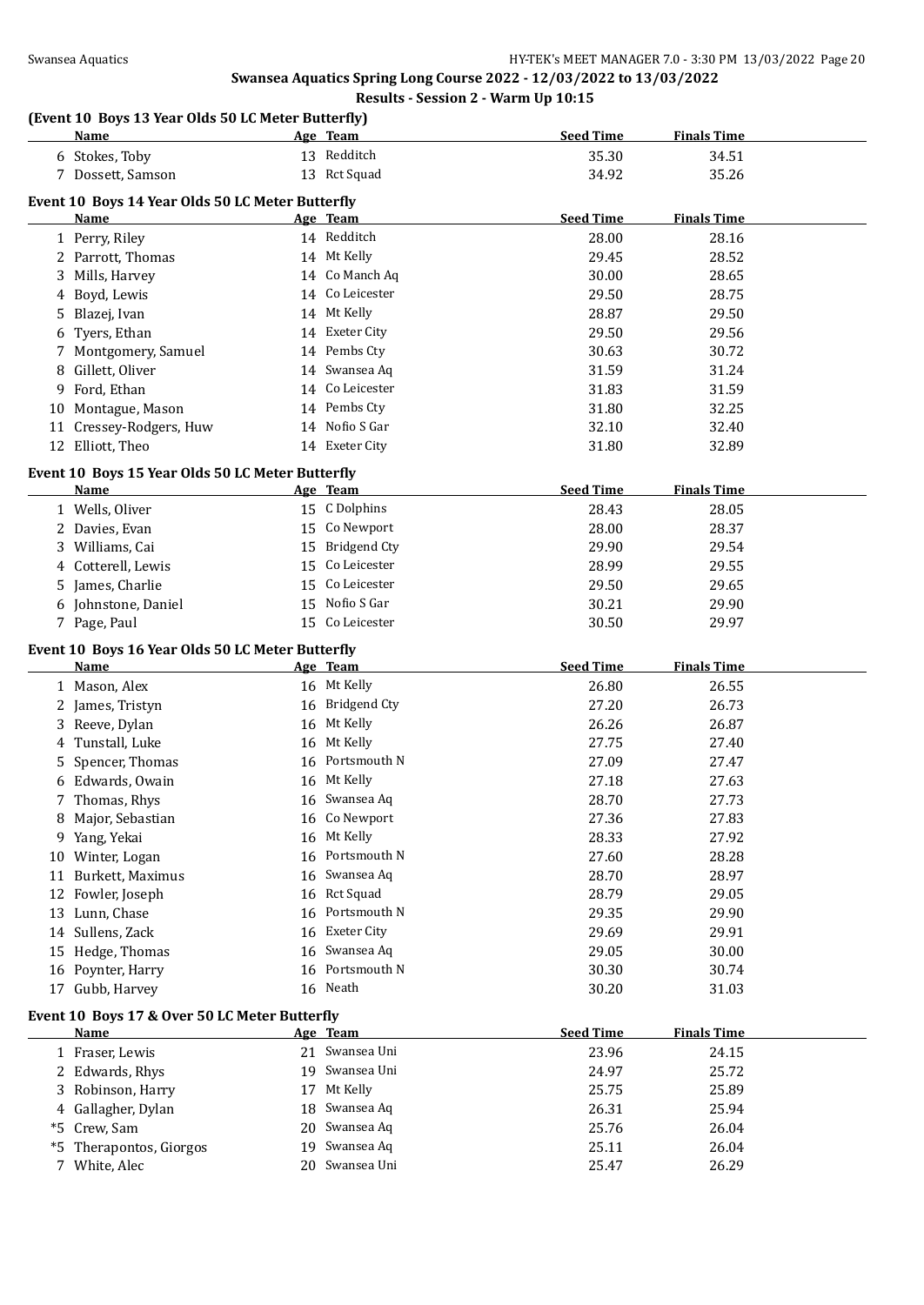|    | (Event 10 Boys 13 Year Olds 50 LC Meter Butterfly)<br>Name |    | Age Team                     | <b>Seed Time</b> | <b>Finals Time</b> |  |
|----|------------------------------------------------------------|----|------------------------------|------------------|--------------------|--|
|    | 6 Stokes, Toby                                             |    | 13 Redditch                  | 35.30            | 34.51              |  |
|    | 7 Dossett, Samson                                          |    | 13 Rct Squad                 | 34.92            | 35.26              |  |
|    |                                                            |    |                              |                  |                    |  |
|    | Event 10 Boys 14 Year Olds 50 LC Meter Butterfly<br>Name   |    | Age Team                     | <b>Seed Time</b> | <b>Finals Time</b> |  |
|    |                                                            |    | 14 Redditch                  | 28.00            | 28.16              |  |
|    | 1 Perry, Riley<br>2 Parrott, Thomas                        |    | 14 Mt Kelly                  | 29.45            | 28.52              |  |
|    | Mills, Harvey                                              |    | 14 Co Manch Aq               | 30.00            | 28.65              |  |
| 3  |                                                            |    | 14 Co Leicester              | 29.50            | 28.75              |  |
| 4  | Boyd, Lewis                                                |    | 14 Mt Kelly                  |                  | 29.50              |  |
| 5  | Blazej, Ivan                                               |    | 14 Exeter City               | 28.87            |                    |  |
| 6  | Tyers, Ethan                                               |    | 14 Pembs Cty                 | 29.50            | 29.56              |  |
|    | Montgomery, Samuel                                         |    |                              | 30.63            | 30.72              |  |
| 8  | Gillett, Oliver                                            |    | 14 Swansea Aq                | 31.59            | 31.24              |  |
| 9  | Ford, Ethan                                                |    | 14 Co Leicester              | 31.83            | 31.59              |  |
| 10 | Montague, Mason                                            |    | 14 Pembs Cty                 | 31.80            | 32.25              |  |
|    | 11 Cressey-Rodgers, Huw                                    |    | 14 Nofio S Gar               | 32.10            | 32.40              |  |
|    | 12 Elliott, Theo                                           |    | 14 Exeter City               | 31.80            | 32.89              |  |
|    | Event 10 Boys 15 Year Olds 50 LC Meter Butterfly           |    |                              |                  |                    |  |
|    | Name                                                       |    | Age Team                     | <b>Seed Time</b> | <b>Finals Time</b> |  |
|    | 1 Wells, Oliver                                            |    | 15 C Dolphins                | 28.43            | 28.05              |  |
|    | 2 Davies, Evan                                             |    | 15 Co Newport                | 28.00            | 28.37              |  |
|    | 3 Williams, Cai                                            |    | 15 Bridgend Cty              | 29.90            | 29.54              |  |
|    | 4 Cotterell, Lewis                                         |    | 15 Co Leicester              | 28.99            | 29.55              |  |
|    | 5 James, Charlie                                           |    | 15 Co Leicester              | 29.50            | 29.65              |  |
|    | 6 Johnstone, Daniel                                        |    | 15 Nofio S Gar               | 30.21            | 29.90              |  |
|    | 7 Page, Paul                                               |    | 15 Co Leicester              | 30.50            | 29.97              |  |
|    |                                                            |    |                              |                  |                    |  |
|    | Event 10 Boys 16 Year Olds 50 LC Meter Butterfly<br>Name   |    | Age Team                     | <b>Seed Time</b> | <b>Finals Time</b> |  |
|    | 1 Mason, Alex                                              |    | 16 Mt Kelly                  | 26.80            | 26.55              |  |
|    |                                                            |    | 16 Bridgend Cty              | 27.20            | 26.73              |  |
|    | 2 James, Tristyn<br>3 Reeve, Dylan                         |    | 16 Mt Kelly                  |                  | 26.87              |  |
|    |                                                            |    | 16 Mt Kelly                  | 26.26            |                    |  |
| 4  | Tunstall, Luke                                             |    |                              | 27.75            | 27.40              |  |
| 5  | Spencer, Thomas                                            |    | 16 Portsmouth N              | 27.09            | 27.47              |  |
| 6  | Edwards, Owain                                             |    | 16 Mt Kelly                  | 27.18            | 27.63              |  |
|    | 7 Thomas, Rhys                                             |    | 16 Swansea Aq                | 28.70            | 27.73              |  |
|    | 8 Major, Sebastian                                         |    | 16 Co Newport                | 27.36            | 27.83              |  |
|    | 9 Yang, Yekai                                              |    | 16 Mt Kelly                  | 28.33            | 27.92              |  |
|    | 10 Winter, Logan                                           |    | 16 Portsmouth N              | 27.60            | 28.28              |  |
|    | 11 Burkett, Maximus                                        |    | 16 Swansea Aq                | 28.70            | 28.97              |  |
|    | 12 Fowler, Joseph                                          |    | 16 Rct Squad                 | 28.79            | 29.05              |  |
| 13 | Lunn, Chase                                                | 16 | Portsmouth N                 | 29.35            | 29.90              |  |
|    | 14 Sullens, Zack                                           | 16 | Exeter City                  | 29.69            | 29.91              |  |
|    | 15 Hedge, Thomas                                           |    | 16 Swansea Aq                | 29.05            | 30.00              |  |
|    | 16 Poynter, Harry                                          |    | 16 Portsmouth N              | 30.30            | 30.74              |  |
|    |                                                            |    |                              | 30.20            | 31.03              |  |
|    | 17 Gubb, Harvey                                            |    | 16 Neath                     |                  |                    |  |
|    |                                                            |    |                              |                  |                    |  |
|    | Event 10 Boys 17 & Over 50 LC Meter Butterfly              |    |                              |                  |                    |  |
|    | <b>Name</b>                                                |    | Age Team                     | <b>Seed Time</b> | <b>Finals Time</b> |  |
|    | 1 Fraser, Lewis                                            |    | 21 Swansea Uni               | 23.96            | 24.15              |  |
|    | 2 Edwards, Rhys                                            |    | 19 Swansea Uni               | 24.97            | 25.72              |  |
| 3  | Robinson, Harry                                            |    | 17 Mt Kelly                  | 25.75            | 25.89              |  |
| 4  | Gallagher, Dylan                                           |    | 18 Swansea Aq                | 26.31            | 25.94              |  |
| *5 | Crew, Sam                                                  | 20 | Swansea Aq                   | 25.76            | 26.04              |  |
| *5 | Therapontos, Giorgos<br>7 White, Alec                      | 19 | Swansea Aq<br>20 Swansea Uni | 25.11<br>25.47   | 26.04<br>26.29     |  |